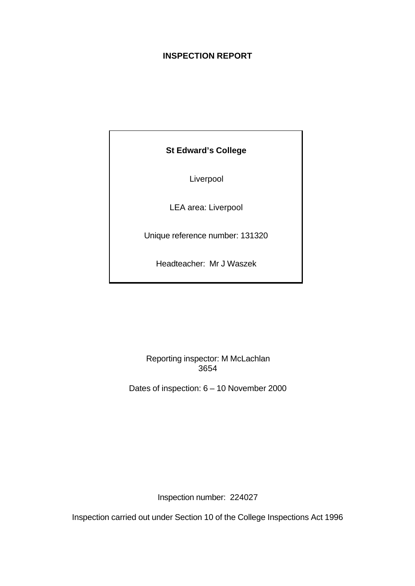# **INSPECTION REPORT**

# **St Edward's College**

Liverpool

LEA area: Liverpool

Unique reference number: 131320

Headteacher: Mr J Waszek

Reporting inspector: M McLachlan 3654

Dates of inspection: 6 – 10 November 2000

Inspection number: 224027

Inspection carried out under Section 10 of the College Inspections Act 1996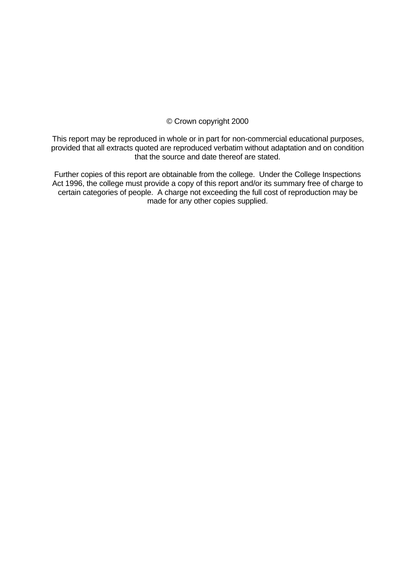# © Crown copyright 2000

This report may be reproduced in whole or in part for non-commercial educational purposes, provided that all extracts quoted are reproduced verbatim without adaptation and on condition that the source and date thereof are stated.

Further copies of this report are obtainable from the college. Under the College Inspections Act 1996, the college must provide a copy of this report and/or its summary free of charge to certain categories of people. A charge not exceeding the full cost of reproduction may be made for any other copies supplied.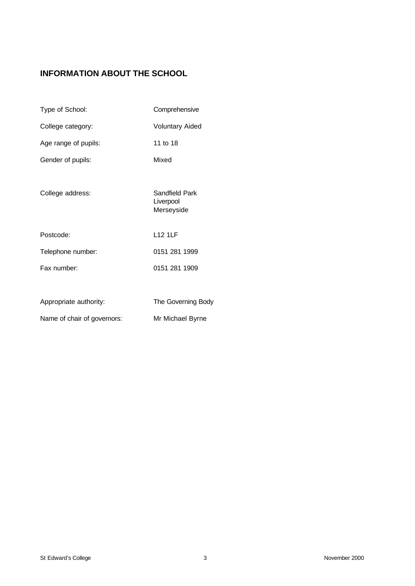# **INFORMATION ABOUT THE SCHOOL**

| Type of School:             | Comprehensive                             |
|-----------------------------|-------------------------------------------|
| College category:           | <b>Voluntary Aided</b>                    |
| Age range of pupils:        | 11 to 18                                  |
| Gender of pupils:           | Mixed                                     |
| College address:            | Sandfield Park<br>Liverpool<br>Merseyside |
| Postcode:                   | <b>L12 1LF</b>                            |
| Telephone number:           | 0151 281 1999                             |
| Fax number:                 | 0151 281 1909                             |
|                             |                                           |
| Appropriate authority:      | The Governing Body                        |
| Name of chair of governors: | Mr Michael Byrne                          |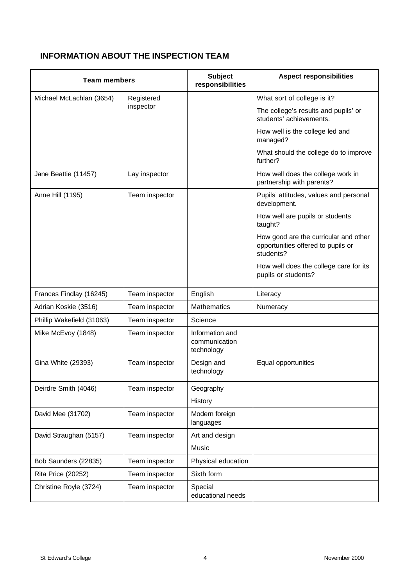# **INFORMATION ABOUT THE INSPECTION TEAM**

| <b>Team members</b>                    |                | <b>Subject</b><br>responsibilities             | <b>Aspect responsibilities</b>                                                           |
|----------------------------------------|----------------|------------------------------------------------|------------------------------------------------------------------------------------------|
| Michael McLachlan (3654)<br>Registered |                |                                                | What sort of college is it?                                                              |
|                                        | inspector      |                                                | The college's results and pupils' or<br>students' achievements.                          |
|                                        |                |                                                | How well is the college led and<br>managed?                                              |
|                                        |                |                                                | What should the college do to improve<br>further?                                        |
| Jane Beattie (11457)                   | Lay inspector  |                                                | How well does the college work in<br>partnership with parents?                           |
| Anne Hill (1195)                       | Team inspector |                                                | Pupils' attitudes, values and personal<br>development.                                   |
|                                        |                |                                                | How well are pupils or students<br>taught?                                               |
|                                        |                |                                                | How good are the curricular and other<br>opportunities offered to pupils or<br>students? |
|                                        |                |                                                | How well does the college care for its<br>pupils or students?                            |
| Frances Findlay (16245)                | Team inspector | English                                        | Literacy                                                                                 |
| Adrian Koskie (3516)                   | Team inspector | <b>Mathematics</b>                             | Numeracy                                                                                 |
| Phillip Wakefield (31063)              | Team inspector | Science                                        |                                                                                          |
| Mike McEvoy (1848)                     | Team inspector | Information and<br>communication<br>technology |                                                                                          |
| Gina White (29393)                     | Team inspector | Design and<br>technology                       | Equal opportunities                                                                      |
| Deirdre Smith (4046)                   | Team inspector | Geography                                      |                                                                                          |
|                                        |                | History                                        |                                                                                          |
| David Mee (31702)                      | Team inspector | Modern foreign<br>languages                    |                                                                                          |
| David Straughan (5157)                 | Team inspector | Art and design                                 |                                                                                          |
|                                        |                | Music                                          |                                                                                          |
| Bob Saunders (22835)                   | Team inspector | Physical education                             |                                                                                          |
| <b>Rita Price (20252)</b>              | Team inspector | Sixth form                                     |                                                                                          |
| Christine Royle (3724)                 | Team inspector | Special<br>educational needs                   |                                                                                          |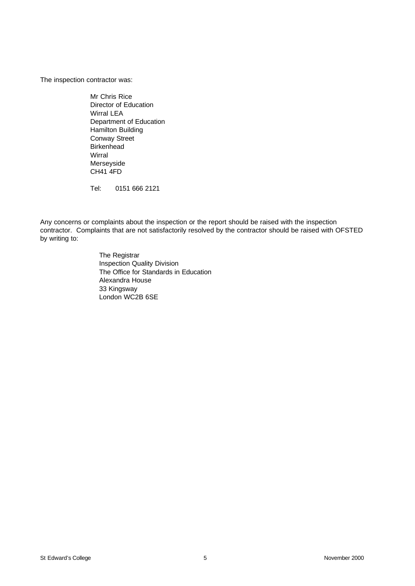The inspection contractor was:

Mr Chris Rice Director of Education Wirral LEA Department of Education Hamilton Building Conway Street Birkenhead Wirral Merseyside CH41 4FD

Tel: 0151 666 2121

Any concerns or complaints about the inspection or the report should be raised with the inspection contractor. Complaints that are not satisfactorily resolved by the contractor should be raised with OFSTED by writing to:

> The Registrar Inspection Quality Division The Office for Standards in Education Alexandra House 33 Kingsway London WC2B 6SE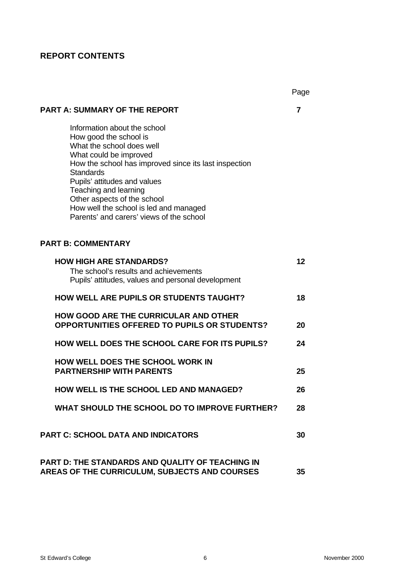# **REPORT CONTENTS**

|                                                                                                                                                                                                                                                                                                                                                                          | Page |
|--------------------------------------------------------------------------------------------------------------------------------------------------------------------------------------------------------------------------------------------------------------------------------------------------------------------------------------------------------------------------|------|
| PART A: SUMMARY OF THE REPORT                                                                                                                                                                                                                                                                                                                                            | 7    |
| Information about the school<br>How good the school is<br>What the school does well<br>What could be improved<br>How the school has improved since its last inspection<br><b>Standards</b><br>Pupils' attitudes and values<br>Teaching and learning<br>Other aspects of the school<br>How well the school is led and managed<br>Parents' and carers' views of the school |      |
| <b>PART B: COMMENTARY</b>                                                                                                                                                                                                                                                                                                                                                |      |
| <b>HOW HIGH ARE STANDARDS?</b><br>The school's results and achievements<br>Pupils' attitudes, values and personal development                                                                                                                                                                                                                                            | 12   |
| <b>HOW WELL ARE PUPILS OR STUDENTS TAUGHT?</b>                                                                                                                                                                                                                                                                                                                           | 18   |
| <b>HOW GOOD ARE THE CURRICULAR AND OTHER</b><br><b>OPPORTUNITIES OFFERED TO PUPILS OR STUDENTS?</b>                                                                                                                                                                                                                                                                      | 20   |
| <b>HOW WELL DOES THE SCHOOL CARE FOR ITS PUPILS?</b>                                                                                                                                                                                                                                                                                                                     | 24   |
| <b>HOW WELL DOES THE SCHOOL WORK IN</b><br><b>PARTNERSHIP WITH PARENTS</b>                                                                                                                                                                                                                                                                                               | 25   |
| <b>HOW WELL IS THE SCHOOL LED AND MANAGED?</b>                                                                                                                                                                                                                                                                                                                           | 26   |
| <b>WHAT SHOULD THE SCHOOL DO TO IMPROVE FURTHER?</b>                                                                                                                                                                                                                                                                                                                     | 28   |
| <b>PART C: SCHOOL DATA AND INDICATORS</b>                                                                                                                                                                                                                                                                                                                                | 30   |
| <b>PART D: THE STANDARDS AND QUALITY OF TEACHING IN</b><br>AREAS OF THE CURRICULUM, SUBJECTS AND COURSES                                                                                                                                                                                                                                                                 | 35   |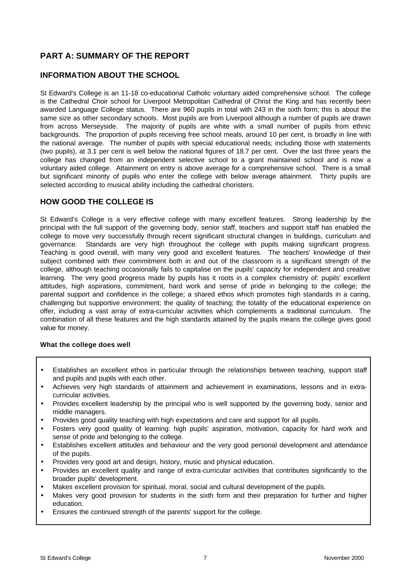# **PART A: SUMMARY OF THE REPORT**

# **INFORMATION ABOUT THE SCHOOL**

St Edward's College is an 11-18 co-educational Catholic voluntary aided comprehensive school. The college is the Cathedral Choir school for Liverpool Metropolitan Cathedral of Christ the King and has recently been awarded Language College status. There are 960 pupils in total with 243 in the sixth form; this is about the same size as other secondary schools. Most pupils are from Liverpool although a number of pupils are drawn from across Merseyside. The majority of pupils are white with a small number of pupils from ethnic backgrounds. The proportion of pupils receiving free school meals, around 10 per cent, is broadly in line with the national average. The number of pupils with special educational needs; including those with statements (two pupils), at 3.1 per cent is well below the national figures of 18.7 per cent. Over the last three years the college has changed from an independent selective school to a grant maintained school and is now a voluntary aided college. Attainment on entry is above average for a comprehensive school. There is a small but significant minority of pupils who enter the college with below average attainment. Thirty pupils are selected according to musical ability including the cathedral choristers.

## **HOW GOOD THE COLLEGE IS**

St Edward's College is a very effective college with many excellent features. Strong leadership by the principal with the full support of the governing body, senior staff, teachers and support staff has enabled the college to move very successfully through recent significant structural changes in buildings, curriculum and governance. Standards are very high throughout the college with pupils making significant progress. Teaching is good overall, with many very good and excellent features. The teachers' knowledge of their subject combined with their commitment both in and out of the classroom is a significant strength of the college, although teaching occasionally fails to capitalise on the pupils' capacity for independent and creative learning. The very good progress made by pupils has it roots in a complex chemistry of: pupils' excellent attitudes, high aspirations, commitment, hard work and sense of pride in belonging to the college; the parental support and confidence in the college; a shared ethos which promotes high standards in a caring, challenging but supportive environment; the quality of teaching; the totality of the educational experience on offer, including a vast array of extra-curricular activities which complements a traditional curriculum. The combination of all these features and the high standards attained by the pupils means the college gives good value for money.

#### **What the college does well**

- Establishes an excellent ethos in particular through the relationships between teaching, support staff and pupils and pupils with each other.
- Achieves very high standards of attainment and achievement in examinations, lessons and in extracurricular activities.
- Provides excellent leadership by the principal who is well supported by the governing body, senior and middle managers.
- Provides good quality teaching with high expectations and care and support for all pupils.
- Fosters very good quality of learning: high pupils' aspiration, motivation, capacity for hard work and sense of pride and belonging to the college.
- Establishes excellent attitudes and behaviour and the very good personal development and attendance of the pupils.
- Provides very good art and design, history, music and physical education.
- Provides an excellent quality and range of extra-curricular activities that contributes significantly to the broader pupils' development.
- Makes excellent provision for spiritual, moral, social and cultural development of the pupils.
- Makes very good provision for students in the sixth form and their preparation for further and higher education.
- Ensures the continued strength of the parents' support for the college.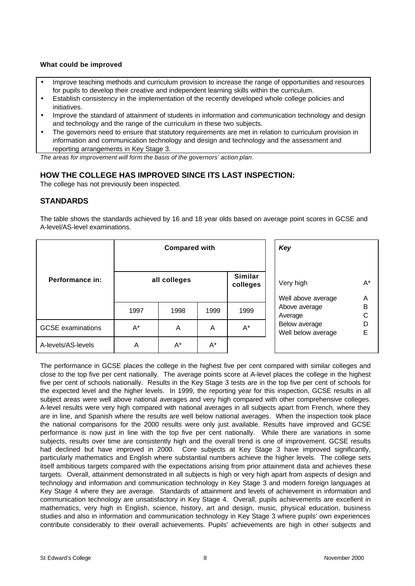#### **What could be improved**

- Improve teaching methods and curriculum provision to increase the range of opportunities and resources for pupils to develop their creative and independent learning skills within the curriculum.
- Establish consistency in the implementation of the recently developed whole college policies and initiatives.
- Improve the standard of attainment of students in information and communication technology and design and technology and the range of the curriculum in these two subjects.
- The governors need to ensure that statutory requirements are met in relation to curriculum provision in information and communication technology and design and technology and the assessment and reporting arrangements in Key Stage 3.

*The areas for improvement will form the basis of the governors' action plan.*

# **HOW THE COLLEGE HAS IMPROVED SINCE ITS LAST INSPECTION:**

The college has not previously been inspected.

## **STANDARDS**

The table shows the standards achieved by 16 and 18 year olds based on average point scores in GCSE and A-level/AS-level examinations.

|                          | <b>Compared with</b> |              |       |                            | Key                                 |              |
|--------------------------|----------------------|--------------|-------|----------------------------|-------------------------------------|--------------|
| Performance in:          |                      | all colleges |       | <b>Similar</b><br>colleges | Very high                           | A*           |
|                          |                      |              |       |                            | Well above average                  | A            |
|                          | 1997                 | 1998         | 1999  | 1999                       | Above average<br>Average            | $\sf B$<br>C |
| <b>GCSE</b> examinations | $A^*$                | A            | A     | $A^*$                      | Below average<br>Well below average | D<br>E       |
| A-levels/AS-levels       | A                    | $A^*$        | $A^*$ |                            |                                     |              |

The performance in GCSE places the college in the highest five per cent compared with similar colleges and close to the top five per cent nationally. The average points score at A-level places the college in the highest five per cent of schools nationally. Results in the Key Stage 3 tests are in the top five per cent of schools for the expected level and the higher levels. In 1999, the reporting year for this inspection, GCSE results in all subject areas were well above national averages and very high compared with other comprehensive colleges. A-level results were very high compared with national averages in all subjects apart from French, where they are in line, and Spanish where the results are well below national averages. When the inspection took place the national comparisons for the 2000 results were only just available. Results have improved and GCSE performance is now just in line with the top five per cent nationally. While there are variations in some subjects, results over time are consistently high and the overall trend is one of improvement. GCSE results had declined but have improved in 2000. Core subjects at Key Stage 3 have improved significantly, particularly mathematics and English where substantial numbers achieve the higher levels. The college sets itself ambitious targets compared with the expectations arising from prior attainment data and achieves these targets. Overall, attainment demonstrated in all subjects is high or very high apart from aspects of design and technology and information and communication technology in Key Stage 3 and modern foreign languages at Key Stage 4 where they are average. Standards of attainment and levels of achievement in information and communication technology are unsatisfactory in Key Stage 4. Overall, pupils achievements are excellent in mathematics, very high in English, science, history, art and design, music, physical education, business studies and also in information and communication technology in Key Stage 3 where pupils' own experiences contribute considerably to their overall achievements. Pupils' achievements are high in other subjects and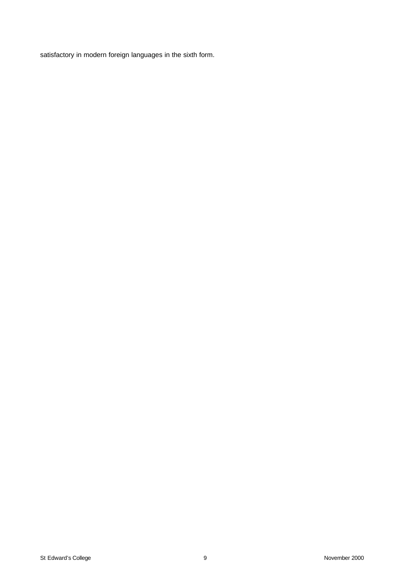satisfactory in modern foreign languages in the sixth form.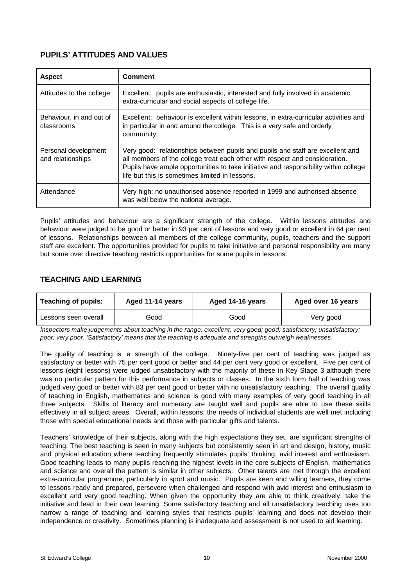# **PUPILS' ATTITUDES AND VALUES**

| <b>Aspect</b>                             | <b>Comment</b>                                                                                                                                                                                                                                                                                          |
|-------------------------------------------|---------------------------------------------------------------------------------------------------------------------------------------------------------------------------------------------------------------------------------------------------------------------------------------------------------|
| Attitudes to the college                  | Excellent: pupils are enthusiastic, interested and fully involved in academic,<br>extra-curricular and social aspects of college life.                                                                                                                                                                  |
| Behaviour, in and out of<br>classrooms    | Excellent: behaviour is excellent within lessons, in extra-curricular activities and<br>in particular in and around the college. This is a very safe and orderly<br>community.                                                                                                                          |
| Personal development<br>and relationships | Very good: relationships between pupils and pupils and staff are excellent and<br>all members of the college treat each other with respect and consideration.<br>Pupils have ample opportunities to take initiative and responsibility within college<br>life but this is sometimes limited in lessons. |
| Attendance                                | Very high: no unauthorised absence reported in 1999 and authorised absence<br>was well below the national average.                                                                                                                                                                                      |

Pupils' attitudes and behaviour are a significant strength of the college. Within lessons attitudes and behaviour were judged to be good or better in 93 per cent of lessons and very good or excellent in 64 per cent of lessons. Relationships between all members of the college community, pupils, teachers and the support staff are excellent. The opportunities provided for pupils to take initiative and personal responsibility are many but some over directive teaching restricts opportunities for some pupils in lessons.

# **TEACHING AND LEARNING**

| <b>Teaching of pupils:</b> | Aged 11-14 years<br>Aged 14-16 years |      | Aged over 16 years |  |
|----------------------------|--------------------------------------|------|--------------------|--|
| Lessons seen overall       | Good                                 | Good | Very good          |  |

*Inspectors make judgements about teaching in the range: excellent; very good; good; satisfactory; unsatisfactory; poor; very poor. 'Satisfactory' means that the teaching is adequate and strengths outweigh weaknesses.*

The quality of teaching is a strength of the college. Ninety-five per cent of teaching was judged as satisfactory or better with 75 per cent good or better and 44 per cent very good or excellent. Five per cent of lessons (eight lessons) were judged unsatisfactory with the majority of these in Key Stage 3 although there was no particular pattern for this performance in subjects or classes. In the sixth form half of teaching was judged very good or better with 83 per cent good or better with no unsatisfactory teaching. The overall quality of teaching in English, mathematics and science is good with many examples of very good teaching in all three subjects. Skills of literacy and numeracy are taught well and pupils are able to use these skills effectively in all subject areas. Overall, within lessons, the needs of individual students are well met including those with special educational needs and those with particular gifts and talents.

Teachers' knowledge of their subjects, along with the high expectations they set, are significant strengths of teaching. The best teaching is seen in many subjects but consistently seen in art and design, history, music and physical education where teaching frequently stimulates pupils' thinking, avid interest and enthusiasm. Good teaching leads to many pupils reaching the highest levels in the core subjects of English, mathematics and science and overall the pattern is similar in other subjects. Other talents are met through the excellent extra-curricular programme, particularly in sport and music. Pupils are keen and willing learners, they come to lessons ready and prepared, persevere when challenged and respond with avid interest and enthusiasm to excellent and very good teaching. When given the opportunity they are able to think creatively, take the initiative and lead in their own learning. Some satisfactory teaching and all unsatisfactory teaching uses too narrow a range of teaching and learning styles that restricts pupils' learning and does not develop their independence or creativity. Sometimes planning is inadequate and assessment is not used to aid learning.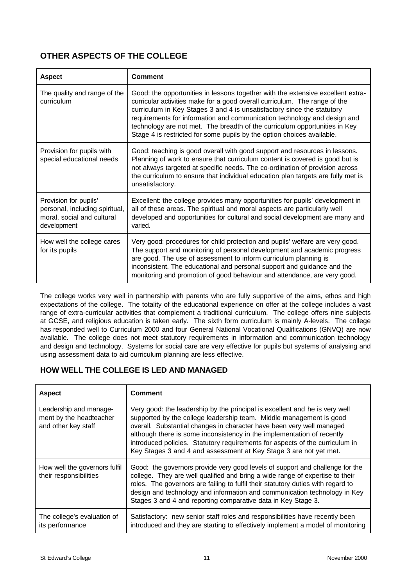# **OTHER ASPECTS OF THE COLLEGE**

| <b>Aspect</b>                                                                                        | <b>Comment</b>                                                                                                                                                                                                                                                                                                                                                                                                                                                              |
|------------------------------------------------------------------------------------------------------|-----------------------------------------------------------------------------------------------------------------------------------------------------------------------------------------------------------------------------------------------------------------------------------------------------------------------------------------------------------------------------------------------------------------------------------------------------------------------------|
| The quality and range of the<br>curriculum                                                           | Good: the opportunities in lessons together with the extensive excellent extra-<br>curricular activities make for a good overall curriculum. The range of the<br>curriculum in Key Stages 3 and 4 is unsatisfactory since the statutory<br>requirements for information and communication technology and design and<br>technology are not met. The breadth of the curriculum opportunities in Key<br>Stage 4 is restricted for some pupils by the option choices available. |
| Provision for pupils with<br>special educational needs                                               | Good: teaching is good overall with good support and resources in lessons.<br>Planning of work to ensure that curriculum content is covered is good but is<br>not always targeted at specific needs. The co-ordination of provision across<br>the curriculum to ensure that individual education plan targets are fully met is<br>unsatisfactory.                                                                                                                           |
| Provision for pupils'<br>personal, including spiritual,<br>moral, social and cultural<br>development | Excellent: the college provides many opportunities for pupils' development in<br>all of these areas. The spiritual and moral aspects are particularly well<br>developed and opportunities for cultural and social development are many and<br>varied.                                                                                                                                                                                                                       |
| How well the college cares<br>for its pupils                                                         | Very good: procedures for child protection and pupils' welfare are very good.<br>The support and monitoring of personal development and academic progress<br>are good. The use of assessment to inform curriculum planning is<br>inconsistent. The educational and personal support and guidance and the<br>monitoring and promotion of good behaviour and attendance, are very good.                                                                                       |

The college works very well in partnership with parents who are fully supportive of the aims, ethos and high expectations of the college. The totality of the educational experience on offer at the college includes a vast range of extra-curricular activities that complement a traditional curriculum. The college offers nine subjects at GCSE, and religious education is taken early. The sixth form curriculum is mainly A-levels. The college has responded well to Curriculum 2000 and four General National Vocational Qualifications (GNVQ) are now available. The college does not meet statutory requirements in information and communication technology and design and technology. Systems for social care are very effective for pupils but systems of analysing and using assessment data to aid curriculum planning are less effective.

# **HOW WELL THE COLLEGE IS LED AND MANAGED**

| <b>Aspect</b>                                                            | <b>Comment</b>                                                                                                                                                                                                                                                                                                                                                                                                                                             |
|--------------------------------------------------------------------------|------------------------------------------------------------------------------------------------------------------------------------------------------------------------------------------------------------------------------------------------------------------------------------------------------------------------------------------------------------------------------------------------------------------------------------------------------------|
| Leadership and manage-<br>ment by the headteacher<br>and other key staff | Very good: the leadership by the principal is excellent and he is very well<br>supported by the college leadership team. Middle management is good<br>overall. Substantial changes in character have been very well managed<br>although there is some inconsistency in the implementation of recently<br>introduced policies. Statutory requirements for aspects of the curriculum in<br>Key Stages 3 and 4 and assessment at Key Stage 3 are not yet met. |
| How well the governors fulfil<br>their responsibilities                  | Good: the governors provide very good levels of support and challenge for the<br>college. They are well qualified and bring a wide range of expertise to their<br>roles. The governors are failing to fulfil their statutory duties with regard to<br>design and technology and information and communication technology in Key<br>Stages 3 and 4 and reporting comparative data in Key Stage 3.                                                           |
| The college's evaluation of<br>its performance                           | Satisfactory: new senior staff roles and responsibilities have recently been<br>introduced and they are starting to effectively implement a model of monitoring                                                                                                                                                                                                                                                                                            |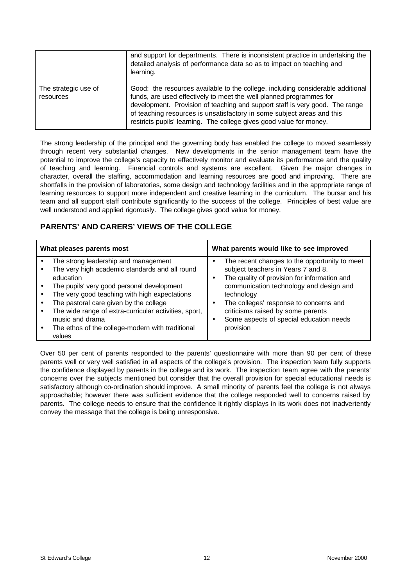|                                   | and support for departments. There is inconsistent practice in undertaking the<br>detailed analysis of performance data so as to impact on teaching and<br>learning.                                                                                                                                                                                                                    |
|-----------------------------------|-----------------------------------------------------------------------------------------------------------------------------------------------------------------------------------------------------------------------------------------------------------------------------------------------------------------------------------------------------------------------------------------|
| The strategic use of<br>resources | Good: the resources available to the college, including considerable additional<br>funds, are used effectively to meet the well planned programmes for<br>development. Provision of teaching and support staff is very good. The range<br>of teaching resources is unsatisfactory in some subject areas and this<br>restricts pupils' learning. The college gives good value for money. |

The strong leadership of the principal and the governing body has enabled the college to moved seamlessly through recent very substantial changes. New developments in the senior management team have the potential to improve the college's capacity to effectively monitor and evaluate its performance and the quality of teaching and learning. Financial controls and systems are excellent. Given the major changes in character, overall the staffing, accommodation and learning resources are good and improving. There are shortfalls in the provision of laboratories, some design and technology facilities and in the appropriate range of learning resources to support more independent and creative learning in the curriculum. The bursar and his team and all support staff contribute significantly to the success of the college. Principles of best value are well understood and applied rigorously. The college gives good value for money.

# **PARENTS' AND CARERS' VIEWS OF THE COLLEGE**

| What pleases parents most                             | What parents would like to see improved       |  |  |
|-------------------------------------------------------|-----------------------------------------------|--|--|
| The strong leadership and management                  | The recent changes to the opportunity to meet |  |  |
| The very high academic standards and all round        | subject teachers in Years 7 and 8.            |  |  |
| education                                             | The quality of provision for information and  |  |  |
| The pupils' very good personal development            | ٠                                             |  |  |
| The very good teaching with high expectations         | communication technology and design and       |  |  |
| The pastoral care given by the college                | technology                                    |  |  |
| The wide range of extra-curricular activities, sport, | The colleges' response to concerns and        |  |  |
| music and drama                                       | criticisms raised by some parents             |  |  |
| The ethos of the college-modern with traditional      | Some aspects of special education needs       |  |  |
| values                                                | provision                                     |  |  |

Over 50 per cent of parents responded to the parents' questionnaire with more than 90 per cent of these parents well or very well satisfied in all aspects of the college's provision. The inspection team fully supports the confidence displayed by parents in the college and its work. The inspection team agree with the parents' concerns over the subjects mentioned but consider that the overall provision for special educational needs is satisfactory although co-ordination should improve. A small minority of parents feel the college is not always approachable; however there was sufficient evidence that the college responded well to concerns raised by parents. The college needs to ensure that the confidence it rightly displays in its work does not inadvertently convey the message that the college is being unresponsive.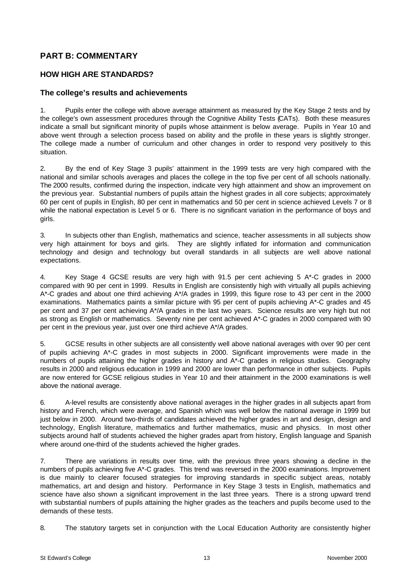# **PART B: COMMENTARY**

## **HOW HIGH ARE STANDARDS?**

### **The college's results and achievements**

1. Pupils enter the college with above average attainment as measured by the Key Stage 2 tests and by the college's own assessment procedures through the Cognitive Ability Tests (CATs). Both these measures indicate a small but significant minority of pupils whose attainment is below average. Pupils in Year 10 and above went through a selection process based on ability and the profile in these years is slightly stronger. The college made a number of curriculum and other changes in order to respond very positively to this situation.

2. By the end of Key Stage 3 pupils' attainment in the 1999 tests are very high compared with the national and similar schools averages and places the college in the top five per cent of all schools nationally. The 2000 results, confirmed during the inspection, indicate very high attainment and show an improvement on the previous year. Substantial numbers of pupils attain the highest grades in all core subjects; approximately 60 per cent of pupils in English, 80 per cent in mathematics and 50 per cent in science achieved Levels 7 or 8 while the national expectation is Level 5 or 6. There is no significant variation in the performance of boys and girls.

3. In subjects other than English, mathematics and science, teacher assessments in all subjects show very high attainment for boys and girls. They are slightly inflated for information and communication technology and design and technology but overall standards in all subjects are well above national expectations.

4. Key Stage 4 GCSE results are very high with 91.5 per cent achieving 5 A\*-C grades in 2000 compared with 90 per cent in 1999. Results in English are consistently high with virtually all pupils achieving A\*-C grades and about one third achieving A\*/A grades in 1999, this figure rose to 43 per cent in the 2000 examinations. Mathematics paints a similar picture with 95 per cent of pupils achieving A\*-C grades and 45 per cent and 37 per cent achieving A\*/A grades in the last two years. Science results are very high but not as strong as English or mathematics. Seventy nine per cent achieved A\*-C grades in 2000 compared with 90 per cent in the previous year, just over one third achieve A\*/A grades.

5. GCSE results in other subjects are all consistently well above national averages with over 90 per cent of pupils achieving A\*-C grades in most subjects in 2000. Significant improvements were made in the numbers of pupils attaining the higher grades in history and A\*-C grades in religious studies. Geography results in 2000 and religious education in 1999 and 2000 are lower than performance in other subjects. Pupils are now entered for GCSE religious studies in Year 10 and their attainment in the 2000 examinations is well above the national average.

6. A-level results are consistently above national averages in the higher grades in all subjects apart from history and French, which were average, and Spanish which was well below the national average in 1999 but just below in 2000. Around two-thirds of candidates achieved the higher grades in art and design, design and technology, English literature, mathematics and further mathematics, music and physics. In most other subjects around half of students achieved the higher grades apart from history, English language and Spanish where around one-third of the students achieved the higher grades.

7. There are variations in results over time, with the previous three years showing a decline in the numbers of pupils achieving five A\*-C grades. This trend was reversed in the 2000 examinations. Improvement is due mainly to clearer focused strategies for improving standards in specific subject areas, notably mathematics, art and design and history. Performance in Key Stage 3 tests in English, mathematics and science have also shown a significant improvement in the last three years. There is a strong upward trend with substantial numbers of pupils attaining the higher grades as the teachers and pupils become used to the demands of these tests.

8. The statutory targets set in conjunction with the Local Education Authority are consistently higher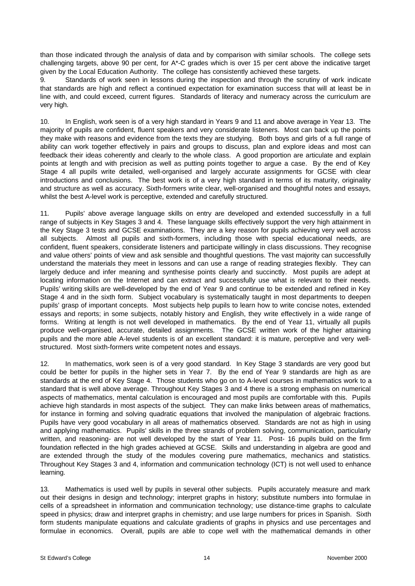than those indicated through the analysis of data and by comparison with similar schools. The college sets challenging targets, above 90 per cent, for A\*-C grades which is over 15 per cent above the indicative target given by the Local Education Authority. The college has consistently achieved these targets.

9. Standards of work seen in lessons during the inspection and through the scrutiny of work indicate that standards are high and reflect a continued expectation for examination success that will at least be in line with, and could exceed, current figures. Standards of literacy and numeracy across the curriculum are very high.

10. In English, work seen is of a very high standard in Years 9 and 11 and above average in Year 13. The majority of pupils are confident, fluent speakers and very considerate listeners. Most can back up the points they make with reasons and evidence from the texts they are studying. Both boys and girls of a full range of ability can work together effectively in pairs and groups to discuss, plan and explore ideas and most can feedback their ideas coherently and clearly to the whole class. A good proportion are articulate and explain points at length and with precision as well as putting points together to argue a case. By the end of Key Stage 4 all pupils write detailed, well-organised and largely accurate assignments for GCSE with clear introductions and conclusions. The best work is of a very high standard in terms of its maturity, originality and structure as well as accuracy. Sixth-formers write clear, well-organised and thoughtful notes and essays, whilst the best A-level work is perceptive, extended and carefully structured.

11. Pupils' above average language skills on entry are developed and extended successfully in a full range of subjects in Key Stages 3 and 4. These language skills effectively support the very high attainment in the Key Stage 3 tests and GCSE examinations. They are a key reason for pupils achieving very well across all subjects. Almost all pupils and sixth-formers, including those with special educational needs, are confident, fluent speakers, considerate listeners and participate willingly in class discussions. They recognise and value others' points of view and ask sensible and thoughtful questions. The vast majority can successfully understand the materials they meet in lessons and can use a range of reading strategies flexibly. They can largely deduce and infer meaning and synthesise points clearly and succinctly. Most pupils are adept at locating information on the Internet and can extract and successfully use what is relevant to their needs. Pupils' writing skills are well-developed by the end of Year 9 and continue to be extended and refined in Key Stage 4 and in the sixth form. Subject vocabulary is systematically taught in most departments to deepen pupils' grasp of important concepts. Most subjects help pupils to learn how to write concise notes, extended essays and reports; in some subjects, notably history and English, they write effectively in a wide range of forms. Writing at length is not well developed in mathematics. By the end of Year 11, virtually all pupils produce well-organised, accurate, detailed assignments. The GCSE written work of the higher attaining pupils and the more able A-level students is of an excellent standard: it is mature, perceptive and very wellstructured. Most sixth-formers write competent notes and essays.

12. In mathematics, work seen is of a very good standard. In Key Stage 3 standards are very good but could be better for pupils in the higher sets in Year 7. By the end of Year 9 standards are high as are standards at the end of Key Stage 4. Those students who go on to A-level courses in mathematics work to a standard that is well above average. Throughout Key Stages 3 and 4 there is a strong emphasis on numerical aspects of mathematics, mental calculation is encouraged and most pupils are comfortable with this. Pupils achieve high standards in most aspects of the subject. They can make links between areas of mathematics, for instance in forming and solving quadratic equations that involved the manipulation of algebraic fractions. Pupils have very good vocabulary in all areas of mathematics observed. Standards are not as high in using and applying mathematics. Pupils' skills in the three strands of problem solving, communication, particularly written, and reasoning- are not well developed by the start of Year 11. Post- 16 pupils build on the firm foundation reflected in the high grades achieved at GCSE. Skills and understanding in algebra are good and are extended through the study of the modules covering pure mathematics, mechanics and statistics. Throughout Key Stages 3 and 4, information and communication technology (ICT) is not well used to enhance learning.

13. Mathematics is used well by pupils in several other subjects. Pupils accurately measure and mark out their designs in design and technology; interpret graphs in history; substitute numbers into formulae in cells of a spreadsheet in information and communication technology; use distance-time graphs to calculate speed in physics; draw and interpret graphs in chemistry; and use large numbers for prices in Spanish. Sixth form students manipulate equations and calculate gradients of graphs in physics and use percentages and formulae in economics. Overall, pupils are able to cope well with the mathematical demands in other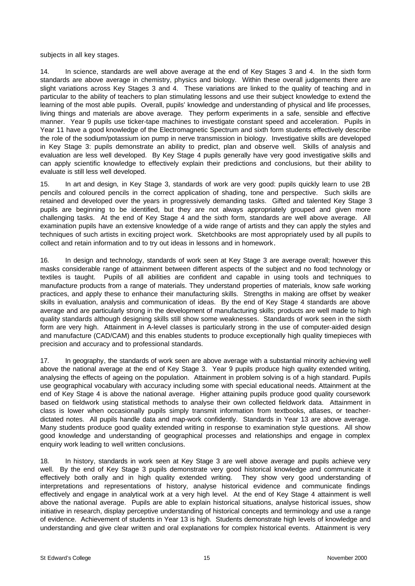subjects in all key stages.

14. In science, standards are well above average at the end of Key Stages 3 and 4. In the sixth form standards are above average in chemistry, physics and biology. Within these overall judgements there are slight variations across Key Stages 3 and 4. These variations are linked to the quality of teaching and in particular to the ability of teachers to plan stimulating lessons and use their subject knowledge to extend the learning of the most able pupils. Overall, pupils' knowledge and understanding of physical and life processes, living things and materials are above average. They perform experiments in a safe, sensible and effective manner. Year 9 pupils use ticker-tape machines to investigate constant speed and acceleration. Pupils in Year 11 have a good knowledge of the Electromagnetic Spectrum and sixth form students effectively describe the role of the sodium/potassium ion pump in nerve transmission in biology. Investigative skills are developed in Key Stage 3: pupils demonstrate an ability to predict, plan and observe well. Skills of analysis and evaluation are less well developed. By Key Stage 4 pupils generally have very good investigative skills and can apply scientific knowledge to effectively explain their predictions and conclusions, but their ability to evaluate is still less well developed.

15. In art and design, in Key Stage 3, standards of work are very good: pupils quickly learn to use 2B pencils and coloured pencils in the correct application of shading, tone and perspective. Such skills are retained and developed over the years in progressively demanding tasks. Gifted and talented Key Stage 3 pupils are beginning to be identified, but they are not always appropriately grouped and given more challenging tasks. At the end of Key Stage 4 and the sixth form, standards are well above average. All examination pupils have an extensive knowledge of a wide range of artists and they can apply the styles and techniques of such artists in exciting project work. Sketchbooks are most appropriately used by all pupils to collect and retain information and to try out ideas in lessons and in homework.

16. In design and technology, standards of work seen at Key Stage 3 are average overall; however this masks considerable range of attainment between different aspects of the subject and no food technology or textiles is taught. Pupils of all abilities are confident and capable in using tools and techniques to manufacture products from a range of materials. They understand properties of materials, know safe working practices, and apply these to enhance their manufacturing skills. Strengths in making are offset by weaker skills in evaluation, analysis and communication of ideas. By the end of Key Stage 4 standards are above average and are particularly strong in the development of manufacturing skills; products are well made to high quality standards although designing skills still show some weaknesses. Standards of work seen in the sixth form are very high. Attainment in A-level classes is particularly strong in the use of computer-aided design and manufacture (CAD/CAM) and this enables students to produce exceptionally high quality timepieces with precision and accuracy and to professional standards.

17. In geography, the standards of work seen are above average with a substantial minority achieving well above the national average at the end of Key Stage 3. Year 9 pupils produce high quality extended writing, analysing the effects of ageing on the population. Attainment in problem solving is of a high standard. Pupils use geographical vocabulary with accuracy including some with special educational needs. Attainment at the end of Key Stage 4 is above the national average. Higher attaining pupils produce good quality coursework based on fieldwork using statistical methods to analyse their own collected fieldwork data. Attainment in class is lower when occasionally pupils simply transmit information from textbooks, atlases, or teacherdictated notes. All pupils handle data and map-work confidently. Standards in Year 13 are above average. Many students produce good quality extended writing in response to examination style questions. All show good knowledge and understanding of geographical processes and relationships and engage in complex enquiry work leading to well written conclusions.

18. In history, standards in work seen at Key Stage 3 are well above average and pupils achieve very well. By the end of Key Stage 3 pupils demonstrate very good historical knowledge and communicate it effectively both orally and in high quality extended writing. They show very good understanding of interpretations and representations of history, analyse historical evidence and communicate findings effectively and engage in analytical work at a very high level. At the end of Key Stage 4 attainment is well above the national average. Pupils are able to explain historical situations, analyse historical issues, show initiative in research, display perceptive understanding of historical concepts and terminology and use a range of evidence. Achievement of students in Year 13 is high. Students demonstrate high levels of knowledge and understanding and give clear written and oral explanations for complex historical events. Attainment is very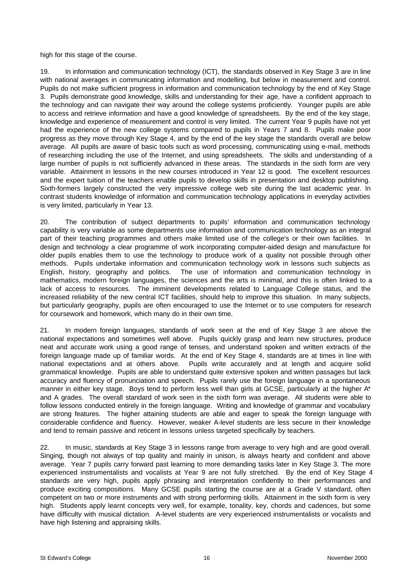high for this stage of the course.

19. In information and communication technology (ICT), the standards observed in Key Stage 3 are in line with national averages in communicating information and modelling, but below in measurement and control. Pupils do not make sufficient progress in information and communication technology by the end of Key Stage 3. Pupils demonstrate good knowledge, skills and understanding for their age, have a confident approach to the technology and can navigate their way around the college systems proficiently. Younger pupils are able to access and retrieve information and have a good knowledge of spreadsheets. By the end of the key stage, knowledge and experience of measurement and control is very limited. The current Year 9 pupils have not yet had the experience of the new college systems compared to pupils in Years 7 and 8. Pupils make poor progress as they move through Key Stage 4, and by the end of the key stage the standards overall are below average. All pupils are aware of basic tools such as word processing, communicating using e-mail, methods of researching including the use of the Internet, and using spreadsheets. The skills and understanding of a large number of pupils is not sufficiently advanced in these areas. The standards in the sixth form are very variable. Attainment in lessons in the new courses introduced in Year 12 is good. The excellent resources and the expert tuition of the teachers enable pupils to develop skills in presentation and desktop publishing. Sixth-formers largely constructed the very impressive college web site during the last academic year. In contrast students knowledge of information and communication technology applications in everyday activities is very limited, particularly in Year 13.

20. The contribution of subject departments to pupils' information and communication technology capability is very variable as some departments use information and communication technology as an integral part of their teaching programmes and others make limited use of the college's or their own facilities. In design and technology a clear programme of work incorporating computer-aided design and manufacture for older pupils enables them to use the technology to produce work of a quality not possible through other methods. Pupils undertake information and communication technology work in lessons such subjects as English, history, geography and politics. The use of information and communication technology in mathematics, modern foreign languages, the sciences and the arts is minimal, and this is often linked to a lack of access to resources. The imminent developments related to Language College status, and the increased reliability of the new central ICT facilities, should help to improve this situation. In many subjects, but particularly geography, pupils are often encouraged to use the Internet or to use computers for research for coursework and homework, which many do in their own time.

21. In modern foreign languages, standards of work seen at the end of Key Stage 3 are above the national expectations and sometimes well above. Pupils quickly grasp and learn new structures, produce neat and accurate work using a good range of tenses, and understand spoken and written extracts of the foreign language made up of familiar words. At the end of Key Stage 4, standards are at times in line with national expectations and at others above. Pupils write accurately and at length and acquire solid grammatical knowledge. Pupils are able to understand quite extensive spoken and written passages but lack accuracy and fluency of pronunciation and speech. Pupils rarely use the foreign language in a spontaneous manner in either key stage. Boys tend to perform less well than girls at GCSE, particularly at the higher A\* and A grades. The overall standard of work seen in the sixth form was average. All students were able to follow lessons conducted entirely in the foreign language. Writing and knowledge of grammar and vocabulary are strong features. The higher attaining students are able and eager to speak the foreign language with considerable confidence and fluency. However, weaker A-level students are less secure in their knowledge and tend to remain passive and reticent in lessons unless targeted specifically by teachers.

22. In music, standards at Key Stage 3 in lessons range from average to very high and are good overall. Singing, though not always of top quality and mainly in unison, is always hearty and confident and above average. Year 7 pupils carry forward past learning to more demanding tasks later in Key Stage 3. The more experienced instrumentalists and vocalists at Year 9 are not fully stretched. By the end of Key Stage 4 standards are very high, pupils apply phrasing and interpretation confidently to their performances and produce exciting compositions. Many GCSE pupils starting the course are at a Grade V standard, often competent on two or more instruments and with strong performing skills. Attainment in the sixth form is very high. Students apply learnt concepts very well, for example, tonality, key, chords and cadences, but some have difficulty with musical dictation. A-level students are very experienced instrumentalists or vocalists and have high listening and appraising skills.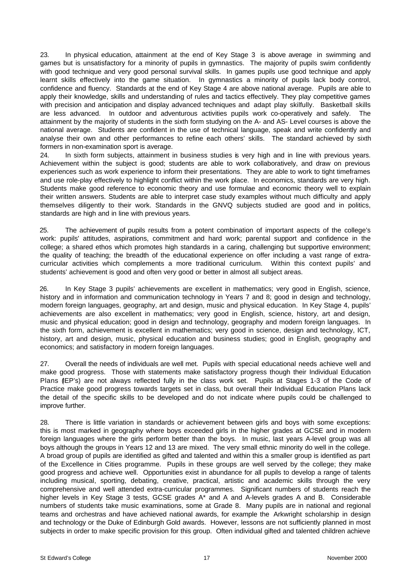23. In physical education, attainment at the end of Key Stage 3 is above average in swimming and games but is unsatisfactory for a minority of pupils in gymnastics. The majority of pupils swim confidently with good technique and very good personal survival skills. In games pupils use good technique and apply learnt skills effectively into the game situation. In gymnastics a minority of pupils lack body control, confidence and fluency. Standards at the end of Key Stage 4 are above national average. Pupils are able to apply their knowledge, skills and understanding of rules and tactics effectively. They play competitive games with precision and anticipation and display advanced techniques and adapt play skilfully. Basketball skills are less advanced. In outdoor and adventurous activities pupils work co-operatively and safely. The attainment by the majority of students in the sixth form studying on the A- and AS- Level courses is above the national average. Students are confident in the use of technical language, speak and write confidently and analyse their own and other performances to refine each others' skills. The standard achieved by sixth formers in non-examination sport is average.

24. In sixth form subjects, attainment in business studies is very high and in line with previous years. Achievement within the subject is good; students are able to work collaboratively, and draw on previous experiences such as work experience to inform their presentations. They are able to work to tight timeframes and use role-play effectively to highlight conflict within the work place. In economics, standards are very high. Students make good reference to economic theory and use formulae and economic theory well to explain their written answers. Students are able to interpret case study examples without much difficulty and apply themselves diligently to their work. Standards in the GNVQ subjects studied are good and in politics, standards are high and in line with previous years.

25. The achievement of pupils results from a potent combination of important aspects of the college's work: pupils' attitudes, aspirations, commitment and hard work; parental support and confidence in the college; a shared ethos which promotes high standards in a caring, challenging but supportive environment; the quality of teaching; the breadth of the educational experience on offer including a vast range of extracurricular activities which complements a more traditional curriculum. Within this context pupils' and students' achievement is good and often very good or better in almost all subject areas.

26. In Key Stage 3 pupils' achievements are excellent in mathematics; very good in English, science, history and in information and communication technology in Years 7 and 8; good in design and technology, modern foreign languages, geography, art and design, music and physical education. In Key Stage 4, pupils' achievements are also excellent in mathematics; very good in English, science, history, art and design, music and physical education; good in design and technology, geography and modern foreign languages. In the sixth form, achievement is excellent in mathematics; very good in science, design and technology, ICT, history, art and design, music, physical education and business studies; good in English, geography and economics; and satisfactory in modern foreign languages.

27. Overall the needs of individuals are well met. Pupils with special educational needs achieve well and make good progress. Those with statements make satisfactory progress though their Individual Education Plans (IEP's) are not always reflected fully in the class work set. Pupils at Stages 1-3 of the Code of Practice make good progress towards targets set in class, but overall their Individual Education Plans lack the detail of the specific skills to be developed and do not indicate where pupils could be challenged to improve further.

28. There is little variation in standards or achievement between girls and boys with some exceptions: this is most marked in geography where boys exceeded girls in the higher grades at GCSE and in modern foreign languages where the girls perform better than the boys. In music, last years A-level group was all boys although the groups in Years 12 and 13 are mixed. The very small ethnic minority do well in the college. A broad group of pupils are identified as gifted and talented and within this a smaller group is identified as part of the Excellence in Cities programme. Pupils in these groups are well served by the college; they make good progress and achieve well. Opportunities exist in abundance for all pupils to develop a range of talents including musical, sporting, debating, creative, practical, artistic and academic skills through the very comprehensive and well attended extra-curricular programmes. Significant numbers of students reach the higher levels in Key Stage 3 tests, GCSE grades A<sup>\*</sup> and A and A-levels grades A and B. Considerable numbers of students take music examinations, some at Grade 8. Many pupils are in national and regional teams and orchestras and have achieved national awards, for example the Arkwright scholarship in design and technology or the Duke of Edinburgh Gold awards. However, lessons are not sufficiently planned in most subjects in order to make specific provision for this group. Often individual gifted and talented children achieve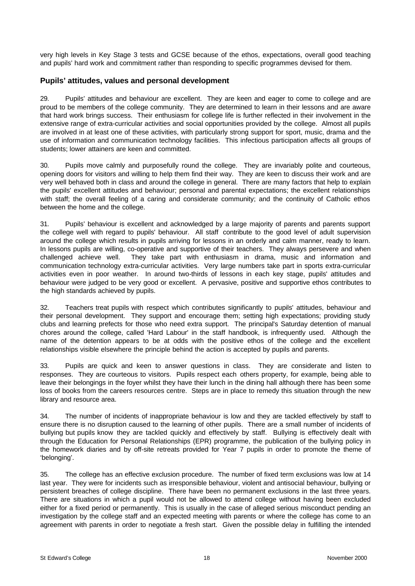very high levels in Key Stage 3 tests and GCSE because of the ethos, expectations, overall good teaching and pupils' hard work and commitment rather than responding to specific programmes devised for them.

### **Pupils' attitudes, values and personal development**

29. Pupils' attitudes and behaviour are excellent. They are keen and eager to come to college and are proud to be members of the college community. They are determined to learn in their lessons and are aware that hard work brings success. Their enthusiasm for college life is further reflected in their involvement in the extensive range of extra-curricular activities and social opportunities provided by the college. Almost all pupils are involved in at least one of these activities, with particularly strong support for sport, music, drama and the use of information and communication technology facilities. This infectious participation affects all groups of students; lower attainers are keen and committed.

30. Pupils move calmly and purposefully round the college. They are invariably polite and courteous, opening doors for visitors and willing to help them find their way. They are keen to discuss their work and are very well behaved both in class and around the college in general. There are many factors that help to explain the pupils' excellent attitudes and behaviour; personal and parental expectations; the excellent relationships with staff; the overall feeling of a caring and considerate community; and the continuity of Catholic ethos between the home and the college.

31. Pupils' behaviour is excellent and acknowledged by a large majority of parents and parents support the college well with regard to pupils' behaviour. All staff contribute to the good level of adult supervision around the college which results in pupils arriving for lessons in an orderly and calm manner, ready to learn. In lessons pupils are willing, co-operative and supportive of their teachers. They always persevere and when challenged achieve well. They take part with enthusiasm in drama, music and information and communication technology extra-curricular activities. Very large numbers take part in sports extra-curricular activities even in poor weather. In around two-thirds of lessons in each key stage, pupils' attitudes and behaviour were judged to be very good or excellent. A pervasive, positive and supportive ethos contributes to the high standards achieved by pupils.

32. Teachers treat pupils with respect which contributes significantly to pupils' attitudes, behaviour and their personal development. They support and encourage them; setting high expectations; providing study clubs and learning prefects for those who need extra support. The principal's Saturday detention of manual chores around the college, called 'Hard Labour' in the staff handbook, is infrequently used. Although the name of the detention appears to be at odds with the positive ethos of the college and the excellent relationships visible elsewhere the principle behind the action is accepted by pupils and parents.

33. Pupils are quick and keen to answer questions in class. They are considerate and listen to responses. They are courteous to visitors. Pupils respect each others property, for example, being able to leave their belongings in the foyer whilst they have their lunch in the dining hall although there has been some loss of books from the careers resources centre. Steps are in place to remedy this situation through the new library and resource area.

34. The number of incidents of inappropriate behaviour is low and they are tackled effectively by staff to ensure there is no disruption caused to the learning of other pupils. There are a small number of incidents of bullying but pupils know they are tackled quickly and effectively by staff. Bullying is effectively dealt with through the Education for Personal Relationships (EPR) programme, the publication of the bullying policy in the homework diaries and by off-site retreats provided for Year 7 pupils in order to promote the theme of 'belonging'.

35. The college has an effective exclusion procedure. The number of fixed term exclusions was low at 14 last year. They were for incidents such as irresponsible behaviour, violent and antisocial behaviour, bullying or persistent breaches of college discipline. There have been no permanent exclusions in the last three years. There are situations in which a pupil would not be allowed to attend college without having been excluded either for a fixed period or permanently. This is usually in the case of alleged serious misconduct pending an investigation by the college staff and an expected meeting with parents or where the college has come to an agreement with parents in order to negotiate a fresh start. Given the possible delay in fulfilling the intended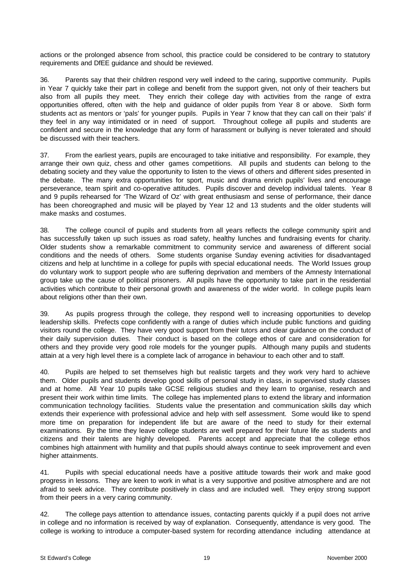actions or the prolonged absence from school, this practice could be considered to be contrary to statutory requirements and DfEE guidance and should be reviewed.

36. Parents say that their children respond very well indeed to the caring, supportive community. Pupils in Year 7 quickly take their part in college and benefit from the support given, not only of their teachers but also from all pupils they meet. They enrich their college day with activities from the range of extra opportunities offered, often with the help and guidance of older pupils from Year 8 or above. Sixth form students act as mentors or 'pals' for younger pupils. Pupils in Year 7 know that they can call on their 'pals' if they feel in any way intimidated or in need of support. Throughout college all pupils and students are confident and secure in the knowledge that any form of harassment or bullying is never tolerated and should be discussed with their teachers.

37. From the earliest years, pupils are encouraged to take initiative and responsibility. For example, they arrange their own quiz, chess and other games competitions. All pupils and students can belong to the debating society and they value the opportunity to listen to the views of others and different sides presented in the debate. The many extra opportunities for sport, music and drama enrich pupils' lives and encourage perseverance, team spirit and co-operative attitudes. Pupils discover and develop individual talents. Year 8 and 9 pupils rehearsed for 'The Wizard of Oz' with great enthusiasm and sense of performance, their dance has been choreographed and music will be played by Year 12 and 13 students and the older students will make masks and costumes.

38. The college council of pupils and students from all years reflects the college community spirit and has successfully taken up such issues as road safety, healthy lunches and fundraising events for charity. Older students show a remarkable commitment to community service and awareness of different social conditions and the needs of others. Some students organise Sunday evening activities for disadvantaged citizens and help at lunchtime in a college for pupils with special educational needs. The World Issues group do voluntary work to support people who are suffering deprivation and members of the Amnesty International group take up the cause of political prisoners. All pupils have the opportunity to take part in the residential activities which contribute to their personal growth and awareness of the wider world. In college pupils learn about religions other than their own.

39. As pupils progress through the college, they respond well to increasing opportunities to develop leadership skills. Prefects cope confidently with a range of duties which include public functions and guiding visitors round the college. They have very good support from their tutors and clear guidance on the conduct of their daily supervision duties. Their conduct is based on the college ethos of care and consideration for others and they provide very good role models for the younger pupils. Although many pupils and students attain at a very high level there is a complete lack of arrogance in behaviour to each other and to staff.

40. Pupils are helped to set themselves high but realistic targets and they work very hard to achieve them. Older pupils and students develop good skills of personal study in class, in supervised study classes and at home. All Year 10 pupils take GCSE religious studies and they learn to organise, research and present their work within time limits. The college has implemented plans to extend the library and information communication technology facilities. Students value the presentation and communication skills day which extends their experience with professional advice and help with self assessment. Some would like to spend more time on preparation for independent life but are aware of the need to study for their external examinations. By the time they leave college students are well prepared for their future life as students and citizens and their talents are highly developed. Parents accept and appreciate that the college ethos combines high attainment with humility and that pupils should always continue to seek improvement and even higher attainments.

41. Pupils with special educational needs have a positive attitude towards their work and make good progress in lessons. They are keen to work in what is a very supportive and positive atmosphere and are not afraid to seek advice. They contribute positively in class and are included well. They enjoy strong support from their peers in a very caring community.

42. The college pays attention to attendance issues, contacting parents quickly if a pupil does not arrive in college and no information is received by way of explanation. Consequently, attendance is very good. The college is working to introduce a computer-based system for recording attendance including attendance at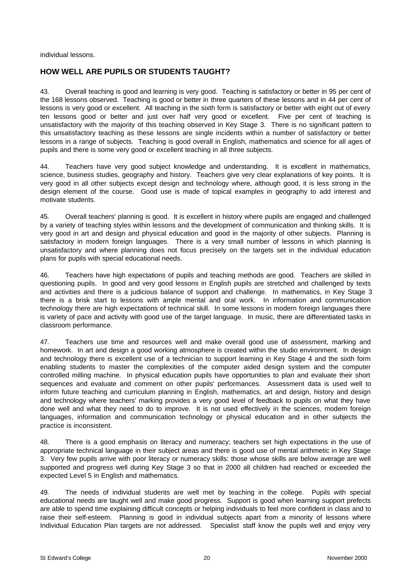individual lessons.

# **HOW WELL ARE PUPILS OR STUDENTS TAUGHT?**

43. Overall teaching is good and learning is very good. Teaching is satisfactory or better in 95 per cent of the 168 lessons observed. Teaching is good or better in three quarters of these lessons and in 44 per cent of lessons is very good or excellent. All teaching in the sixth form is satisfactory or better with eight out of every ten lessons good or better and just over half very good or excellent. Five per cent of teaching is unsatisfactory with the majority of this teaching observed in Key Stage 3. There is no significant pattern to this unsatisfactory teaching as these lessons are single incidents within a number of satisfactory or better lessons in a range of subjects. Teaching is good overall in English, mathematics and science for all ages of pupils and there is some very good or excellent teaching in all three subjects.

44. Teachers have very good subject knowledge and understanding. It is excellent in mathematics, science, business studies, geography and history. Teachers give very clear explanations of key points. It is very good in all other subjects except design and technology where, although good, it is less strong in the design element of the course. Good use is made of topical examples in geography to add interest and motivate students.

45. Overall teachers' planning is good. It is excellent in history where pupils are engaged and challenged by a variety of teaching styles within lessons and the development of communication and thinking skills. It is very good in art and design and physical education and good in the majority of other subjects. Planning is satisfactory in modern foreign languages. There is a very small number of lessons in which planning is unsatisfactory and where planning does not focus precisely on the targets set in the individual education plans for pupils with special educational needs.

46. Teachers have high expectations of pupils and teaching methods are good. Teachers are skilled in questioning pupils. In good and very good lessons in English pupils are stretched and challenged by texts and activities and there is a judicious balance of support and challenge. In mathematics, in Key Stage 3 there is a brisk start to lessons with ample mental and oral work. In information and communication technology there are high expectations of technical skill. In some lessons in modern foreign languages there is variety of pace and activity with good use of the target language. In music, there are differentiated tasks in classroom performance.

47. Teachers use time and resources well and make overall good use of assessment, marking and homework. In art and design a good working atmosphere is created within the studio environment. In design and technology there is excellent use of a technician to support learning in Key Stage 4 and the sixth form enabling students to master the complexities of the computer aided design system and the computer controlled milling machine. In physical education pupils have opportunities to plan and evaluate their short sequences and evaluate and comment on other pupils' performances. Assessment data is used well to inform future teaching and curriculum planning in English, mathematics, art and design, history and design and technology where teachers' marking provides a very good level of feedback to pupils on what they have done well and what they need to do to improve. It is not used effectively in the sciences, modern foreign languages, information and communication technology or physical education and in other subjects the practice is inconsistent.

48. There is a good emphasis on literacy and numeracy; teachers set high expectations in the use of appropriate technical language in their subject areas and there is good use of mental arithmetic in Key Stage 3. Very few pupils arrive with poor literacy or numeracy skills: those whose skills are below average are well supported and progress well during Key Stage 3 so that in 2000 all children had reached or exceeded the expected Level 5 in English and mathematics.

49. The needs of individual students are well met by teaching in the college. Pupils with special educational needs are taught well and make good progress. Support is good when learning support prefects are able to spend time explaining difficult concepts or helping individuals to feel more confident in class and to raise their self-esteem. Planning is good in individual subjects apart from a minority of lessons where Individual Education Plan targets are not addressed. Specialist staff know the pupils well and enjoy very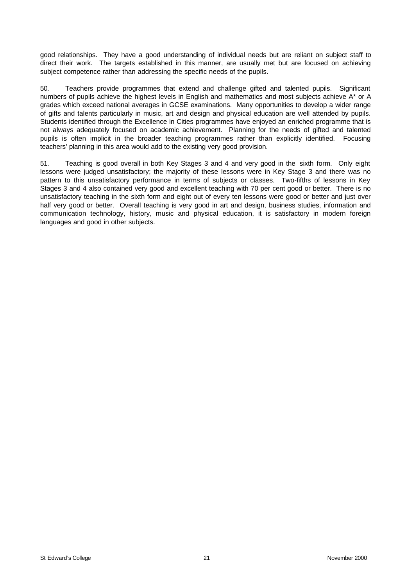good relationships. They have a good understanding of individual needs but are reliant on subject staff to direct their work. The targets established in this manner, are usually met but are focused on achieving subject competence rather than addressing the specific needs of the pupils.

50. Teachers provide programmes that extend and challenge gifted and talented pupils. Significant numbers of pupils achieve the highest levels in English and mathematics and most subjects achieve A\* or A grades which exceed national averages in GCSE examinations. Many opportunities to develop a wider range of gifts and talents particularly in music, art and design and physical education are well attended by pupils. Students identified through the Excellence in Cities programmes have enjoyed an enriched programme that is not always adequately focused on academic achievement. Planning for the needs of gifted and talented pupils is often implicit in the broader teaching programmes rather than explicitly identified. Focusing teachers' planning in this area would add to the existing very good provision.

51. Teaching is good overall in both Key Stages 3 and 4 and very good in the sixth form. Only eight lessons were judged unsatisfactory; the majority of these lessons were in Key Stage 3 and there was no pattern to this unsatisfactory performance in terms of subjects or classes. Two-fifths of lessons in Key Stages 3 and 4 also contained very good and excellent teaching with 70 per cent good or better. There is no unsatisfactory teaching in the sixth form and eight out of every ten lessons were good or better and just over half very good or better. Overall teaching is very good in art and design, business studies, information and communication technology, history, music and physical education, it is satisfactory in modern foreign languages and good in other subjects.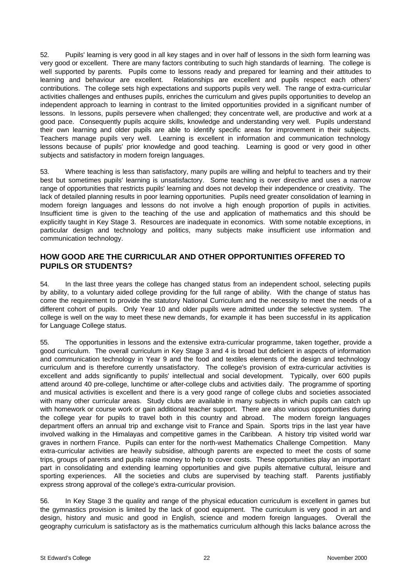52. Pupils' learning is very good in all key stages and in over half of lessons in the sixth form learning was very good or excellent. There are many factors contributing to such high standards of learning. The college is well supported by parents. Pupils come to lessons ready and prepared for learning and their attitudes to learning and behaviour are excellent. Relationships are excellent and pupils respect each others' contributions. The college sets high expectations and supports pupils very well. The range of extra-curricular activities challenges and enthuses pupils, enriches the curriculum and gives pupils opportunities to develop an independent approach to learning in contrast to the limited opportunities provided in a significant number of lessons. In lessons, pupils persevere when challenged; they concentrate well, are productive and work at a good pace. Consequently pupils acquire skills, knowledge and understanding very well. Pupils understand their own learning and older pupils are able to identify specific areas for improvement in their subjects. Teachers manage pupils very well. Learning is excellent in information and communication technology lessons because of pupils' prior knowledge and good teaching. Learning is good or very good in other subjects and satisfactory in modern foreign languages.

53. Where teaching is less than satisfactory, many pupils are willing and helpful to teachers and try their best but sometimes pupils' learning is unsatisfactory. Some teaching is over directive and uses a narrow range of opportunities that restricts pupils' learning and does not develop their independence or creativity. The lack of detailed planning results in poor learning opportunities. Pupils need greater consolidation of learning in modern foreign languages and lessons do not involve a high enough proportion of pupils in activities. Insufficient time is given to the teaching of the use and application of mathematics and this should be explicitly taught in Key Stage 3. Resources are inadequate in economics. With some notable exceptions, in particular design and technology and politics, many subjects make insufficient use information and communication technology.

# **HOW GOOD ARE THE CURRICULAR AND OTHER OPPORTUNITIES OFFERED TO PUPILS OR STUDENTS?**

54. In the last three years the college has changed status from an independent school, selecting pupils by ability, to a voluntary aided college providing for the full range of ability. With the change of status has come the requirement to provide the statutory National Curriculum and the necessity to meet the needs of a different cohort of pupils. Only Year 10 and older pupils were admitted under the selective system. The college is well on the way to meet these new demands, for example it has been successful in its application for Language College status.

55. The opportunities in lessons and the extensive extra-curricular programme, taken together, provide a good curriculum. The overall curriculum in Key Stage 3 and 4 is broad but deficient in aspects of information and communication technology in Year 9 and the food and textiles elements of the design and technology curriculum and is therefore currently unsatisfactory. The college's provision of extra-curricular activities is excellent and adds significantly to pupils' intellectual and social development. Typically, over 600 pupils attend around 40 pre-college, lunchtime or after-college clubs and activities daily. The programme of sporting and musical activities is excellent and there is a very good range of college clubs and societies associated with many other curricular areas. Study clubs are available in many subjects in which pupils can catch up with homework or course work or gain additional teacher support. There are also various opportunities during the college year for pupils to travel both in this country and abroad. The modern foreign languages department offers an annual trip and exchange visit to France and Spain. Sports trips in the last year have involved walking in the Himalayas and competitive games in the Caribbean. A history trip visited world war graves in northern France. Pupils can enter for the north-west Mathematics Challenge Competition. Many extra-curricular activities are heavily subsidise, although parents are expected to meet the costs of some trips, groups of parents and pupils raise money to help to cover costs. These opportunities play an important part in consolidating and extending learning opportunities and give pupils alternative cultural, leisure and sporting experiences. All the societies and clubs are supervised by teaching staff. Parents justifiably express strong approval of the college's extra-curricular provision.

56. In Key Stage 3 the quality and range of the physical education curriculum is excellent in games but the gymnastics provision is limited by the lack of good equipment. The curriculum is very good in art and design, history and music and good in English, science and modern foreign languages. Overall the geography curriculum is satisfactory as is the mathematics curriculum although this lacks balance across the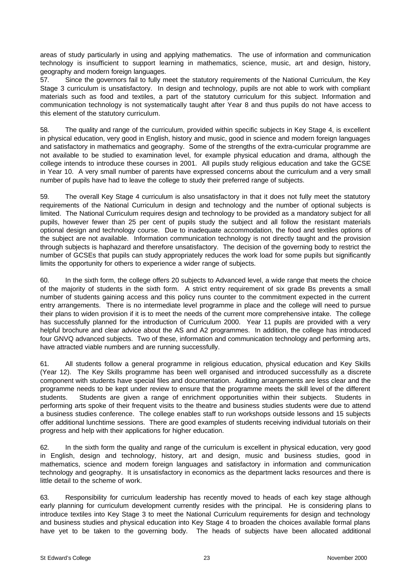areas of study particularly in using and applying mathematics. The use of information and communication technology is insufficient to support learning in mathematics, science, music, art and design, history, geography and modern foreign languages.

57. Since the governors fail to fully meet the statutory requirements of the National Curriculum, the Key Stage 3 curriculum is unsatisfactory. In design and technology, pupils are not able to work with compliant materials such as food and textiles, a part of the statutory curriculum for this subject. Information and communication technology is not systematically taught after Year 8 and thus pupils do not have access to this element of the statutory curriculum.

58. The quality and range of the curriculum, provided within specific subjects in Key Stage 4, is excellent in physical education, very good in English, history and music, good in science and modern foreign languages and satisfactory in mathematics and geography. Some of the strengths of the extra-curricular programme are not available to be studied to examination level, for example physical education and drama, although the college intends to introduce these courses in 2001. All pupils study religious education and take the GCSE in Year 10. A very small number of parents have expressed concerns about the curriculum and a very small number of pupils have had to leave the college to study their preferred range of subjects.

59. The overall Key Stage 4 curriculum is also unsatisfactory in that it does not fully meet the statutory requirements of the National Curriculum in design and technology and the number of optional subjects is limited. The National Curriculum requires design and technology to be provided as a mandatory subject for all pupils, however fewer than 25 per cent of pupils study the subject and all follow the resistant materials optional design and technology course. Due to inadequate accommodation, the food and textiles options of the subject are not available. Information communication technology is not directly taught and the provision through subjects is haphazard and therefore unsatisfactory. The decision of the governing body to restrict the number of GCSEs that pupils can study appropriately reduces the work load for some pupils but significantly limits the opportunity for others to experience a wider range of subjects.

60. In the sixth form, the college offers 20 subjects to Advanced level, a wide range that meets the choice of the majority of students in the sixth form. A strict entry requirement of six grade Bs prevents a small number of students gaining access and this policy runs counter to the commitment expected in the current entry arrangements. There is no intermediate level programme in place and the college will need to pursue their plans to widen provision if it is to meet the needs of the current more comprehensive intake. The college has successfully planned for the introduction of Curriculum 2000. Year 11 pupils are provided with a very helpful brochure and clear advice about the AS and A2 programmes. In addition, the college has introduced four GNVQ advanced subjects. Two of these, information and communication technology and performing arts, have attracted viable numbers and are running successfully.

61. All students follow a general programme in religious education, physical education and Key Skills (Year 12). The Key Skills programme has been well organised and introduced successfully as a discrete component with students have special files and documentation. Auditing arrangements are less clear and the programme needs to be kept under review to ensure that the programme meets the skill level of the different students. Students are given a range of enrichment opportunities within their subjects. Students in performing arts spoke of their frequent visits to the theatre and business studies students were due to attend a business studies conference. The college enables staff to run workshops outside lessons and 15 subjects offer additional lunchtime sessions. There are good examples of students receiving individual tutorials on their progress and help with their applications for higher education.

62. In the sixth form the quality and range of the curriculum is excellent in physical education, very good in English, design and technology, history, art and design, music and business studies, good in mathematics, science and modern foreign languages and satisfactory in information and communication technology and geography. It is unsatisfactory in economics as the department lacks resources and there is little detail to the scheme of work.

63. Responsibility for curriculum leadership has recently moved to heads of each key stage although early planning for curriculum development currently resides with the principal. He is considering plans to introduce textiles into Key Stage 3 to meet the National Curriculum requirements for design and technology and business studies and physical education into Key Stage 4 to broaden the choices available formal plans have yet to be taken to the governing body. The heads of subjects have been allocated additional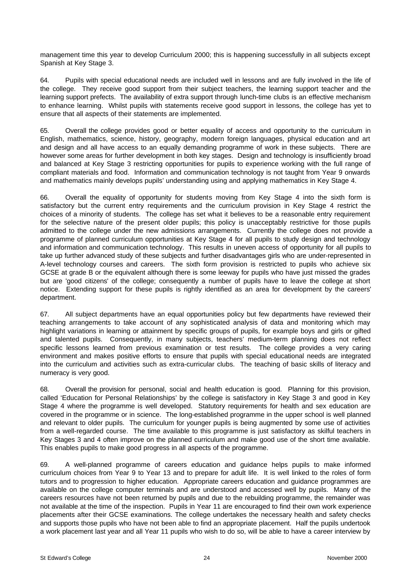management time this year to develop Curriculum 2000; this is happening successfully in all subjects except Spanish at Key Stage 3.

64. Pupils with special educational needs are included well in lessons and are fully involved in the life of the college. They receive good support from their subject teachers, the learning support teacher and the learning support prefects. The availability of extra support through lunch-time clubs is an effective mechanism to enhance learning. Whilst pupils with statements receive good support in lessons, the college has yet to ensure that all aspects of their statements are implemented.

65. Overall the college provides good or better equality of access and opportunity to the curriculum in English, mathematics, science, history, geography, modern foreign languages, physical education and art and design and all have access to an equally demanding programme of work in these subjects. There are however some areas for further development in both key stages. Design and technology is insufficiently broad and balanced at Key Stage 3 restricting opportunities for pupils to experience working with the full range of compliant materials and food. Information and communication technology is not taught from Year 9 onwards and mathematics mainly develops pupils' understanding using and applying mathematics in Key Stage 4.

66. Overall the equality of opportunity for students moving from Key Stage 4 into the sixth form is satisfactory but the current entry requirements and the curriculum provision in Key Stage 4 restrict the choices of a minority of students. The college has set what it believes to be a reasonable entry requirement for the selective nature of the present older pupils; this policy is unacceptably restrictive for those pupils admitted to the college under the new admissions arrangements. Currently the college does not provide a programme of planned curriculum opportunities at Key Stage 4 for all pupils to study design and technology and information and communication technology. This results in uneven access of opportunity for all pupils to take up further advanced study of these subjects and further disadvantages girls who are under-represented in A-level technology courses and careers. The sixth form provision is restricted to pupils who achieve six GCSE at grade B or the equivalent although there is some leeway for pupils who have just missed the grades but are 'good citizens' of the college; consequently a number of pupils have to leave the college at short notice. Extending support for these pupils is rightly identified as an area for development by the careers' department.

67. All subject departments have an equal opportunities policy but few departments have reviewed their teaching arrangements to take account of any sophisticated analysis of data and monitoring which may highlight variations in learning or attainment by specific groups of pupils, for example boys and girls or gifted and talented pupils. Consequently, in many subjects, teachers' medium-term planning does not reflect specific lessons learned from previous examination or test results. The college provides a very caring environment and makes positive efforts to ensure that pupils with special educational needs are integrated into the curriculum and activities such as extra-curricular clubs. The teaching of basic skills of literacy and numeracy is very good.

68. Overall the provision for personal, social and health education is good. Planning for this provision, called 'Education for Personal Relationships' by the college is satisfactory in Key Stage 3 and good in Key Stage 4 where the programme is well developed. Statutory requirements for health and sex education are covered in the programme or in science. The long-established programme in the upper school is well planned and relevant to older pupils. The curriculum for younger pupils is being augmented by some use of activities from a well-regarded course. The time available to this programme is just satisfactory as skilful teachers in Key Stages 3 and 4 often improve on the planned curriculum and make good use of the short time available. This enables pupils to make good progress in all aspects of the programme.

69. A well-planned programme of careers education and guidance helps pupils to make informed curriculum choices from Year 9 to Year 13 and to prepare for adult life. It is well linked to the roles of form tutors and to progression to higher education. Appropriate careers education and guidance programmes are available on the college computer terminals and are understood and accessed well by pupils. Many of the careers resources have not been returned by pupils and due to the rebuilding programme, the remainder was not available at the time of the inspection. Pupils in Year 11 are encouraged to find their own work experience placements after their GCSE examinations. The college undertakes the necessary health and safety checks and supports those pupils who have not been able to find an appropriate placement. Half the pupils undertook a work placement last year and all Year 11 pupils who wish to do so, will be able to have a career interview by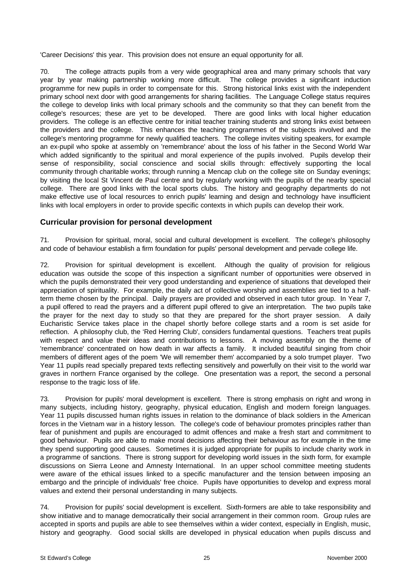'Career Decisions' this year. This provision does not ensure an equal opportunity for all.

70. The college attracts pupils from a very wide geographical area and many primary schools that vary year by year making partnership working more difficult. The college provides a significant induction programme for new pupils in order to compensate for this. Strong historical links exist with the independent primary school next door with good arrangements for sharing facilities. The Language College status requires the college to develop links with local primary schools and the community so that they can benefit from the college's resources; these are yet to be developed. There are good links with local higher education providers. The college is an effective centre for initial teacher training students and strong links exist between the providers and the college. This enhances the teaching programmes of the subjects involved and the college's mentoring programme for newly qualified teachers. The college invites visiting speakers, for example an ex-pupil who spoke at assembly on 'remembrance' about the loss of his father in the Second World War which added significantly to the spiritual and moral experience of the pupils involved. Pupils develop their sense of responsibility, social conscience and social skills through: effectively supporting the local community through charitable works; through running a Mencap club on the college site on Sunday evenings; by visiting the local St Vincent de Paul centre and by regularly working with the pupils of the nearby special college. There are good links with the local sports clubs. The history and geography departments do not make effective use of local resources to enrich pupils' learning and design and technology have insufficient links with local employers in order to provide specific contexts in which pupils can develop their work.

# **Curricular provision for personal development**

71. Provision for spiritual, moral, social and cultural development is excellent. The college's philosophy and code of behaviour establish a firm foundation for pupils' personal development and pervade college life.

72. Provision for spiritual development is excellent. Although the quality of provision for religious education was outside the scope of this inspection a significant number of opportunities were observed in which the pupils demonstrated their very good understanding and experience of situations that developed their appreciation of spirituality. For example, the daily act of collective worship and assemblies are tied to a halfterm theme chosen by the principal. Daily prayers are provided and observed in each tutor group. In Year 7, a pupil offered to read the prayers and a different pupil offered to give an interpretation. The two pupils take the prayer for the next day to study so that they are prepared for the short prayer session. A daily Eucharistic Service takes place in the chapel shortly before college starts and a room is set aside for reflection. A philosophy club, the 'Red Herring Club', considers fundamental questions. Teachers treat pupils with respect and value their ideas and contributions to lessons. A moving assembly on the theme of 'remembrance' concentrated on how death in war affects a family. It included beautiful singing from choir members of different ages of the poem 'We will remember them' accompanied by a solo trumpet player. Two Year 11 pupils read specially prepared texts reflecting sensitively and powerfully on their visit to the world war graves in northern France organised by the college. One presentation was a report, the second a personal response to the tragic loss of life.

73. Provision for pupils' moral development is excellent. There is strong emphasis on right and wrong in many subjects, including history, geography, physical education, English and modern foreign languages. Year 11 pupils discussed human rights issues in relation to the dominance of black soldiers in the American forces in the Vietnam war in a history lesson. The college's code of behaviour promotes principles rather than fear of punishment and pupils are encouraged to admit offences and make a fresh start and commitment to good behaviour. Pupils are able to make moral decisions affecting their behaviour as for example in the time they spend supporting good causes. Sometimes it is judged appropriate for pupils to include charity work in a programme of sanctions. There is strong support for developing world issues in the sixth form, for example discussions on Sierra Leone and Amnesty International. In an upper school committee meeting students were aware of the ethical issues linked to a specific manufacturer and the tension between imposing an embargo and the principle of individuals' free choice. Pupils have opportunities to develop and express moral values and extend their personal understanding in many subjects.

74. Provision for pupils' social development is excellent. Sixth-formers are able to take responsibility and show initiative and to manage democratically their social arrangement in their common room. Group rules are accepted in sports and pupils are able to see themselves within a wider context, especially in English, music, history and geography. Good social skills are developed in physical education when pupils discuss and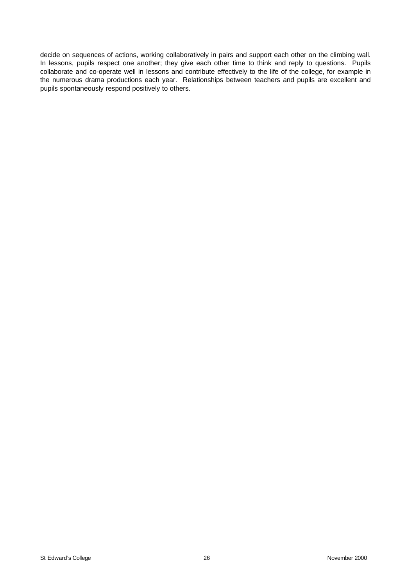decide on sequences of actions, working collaboratively in pairs and support each other on the climbing wall. In lessons, pupils respect one another; they give each other time to think and reply to questions. Pupils collaborate and co-operate well in lessons and contribute effectively to the life of the college, for example in the numerous drama productions each year. Relationships between teachers and pupils are excellent and pupils spontaneously respond positively to others.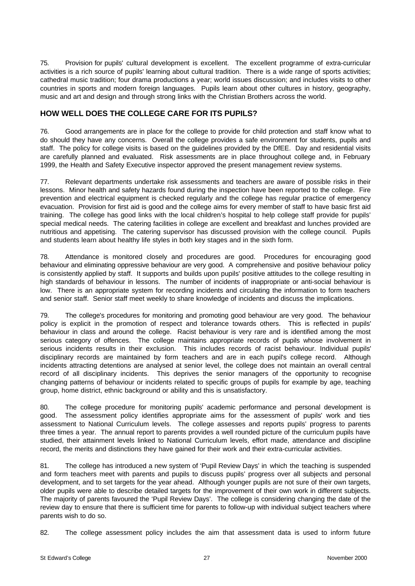75. Provision for pupils' cultural development is excellent. The excellent programme of extra-curricular activities is a rich source of pupils' learning about cultural tradition. There is a wide range of sports activities; cathedral music tradition; four drama productions a year; world issues discussion; and includes visits to other countries in sports and modern foreign languages. Pupils learn about other cultures in history, geography, music and art and design and through strong links with the Christian Brothers across the world.

# **HOW WELL DOES THE COLLEGE CARE FOR ITS PUPILS?**

76. Good arrangements are in place for the college to provide for child protection and staff know what to do should they have any concerns. Overall the college provides a safe environment for students, pupils and staff. The policy for college visits is based on the guidelines provided by the DfEE. Day and residential visits are carefully planned and evaluated. Risk assessments are in place throughout college and, in February 1999, the Health and Safety Executive inspector approved the present management review systems.

77. Relevant departments undertake risk assessments and teachers are aware of possible risks in their lessons. Minor health and safety hazards found during the inspection have been reported to the college. Fire prevention and electrical equipment is checked regularly and the college has regular practice of emergency evacuation. Provision for first aid is good and the college aims for every member of staff to have basic first aid training. The college has good links with the local children's hospital to help college staff provide for pupils' special medical needs. The catering facilities in college are excellent and breakfast and lunches provided are nutritious and appetising. The catering supervisor has discussed provision with the college council. Pupils and students learn about healthy life styles in both key stages and in the sixth form.

78. Attendance is monitored closely and procedures are good. Procedures for encouraging good behaviour and eliminating oppressive behaviour are very good. A comprehensive and positive behaviour policy is consistently applied by staff. It supports and builds upon pupils' positive attitudes to the college resulting in high standards of behaviour in lessons. The number of incidents of inappropriate or anti-social behaviour is low. There is an appropriate system for recording incidents and circulating the information to form teachers and senior staff. Senior staff meet weekly to share knowledge of incidents and discuss the implications.

79. The college's procedures for monitoring and promoting good behaviour are very good. The behaviour policy is explicit in the promotion of respect and tolerance towards others. This is reflected in pupils' behaviour in class and around the college. Racist behaviour is very rare and is identified among the most serious category of offences. The college maintains appropriate records of pupils whose involvement in serious incidents results in their exclusion. This includes records of racist behaviour. Individual pupils' disciplinary records are maintained by form teachers and are in each pupil's college record. Although incidents attracting detentions are analysed at senior level, the college does not maintain an overall central record of all disciplinary incidents. This deprives the senior managers of the opportunity to recognise changing patterns of behaviour or incidents related to specific groups of pupils for example by age, teaching group, home district, ethnic background or ability and this is unsatisfactory.

80. The college procedure for monitoring pupils' academic performance and personal development is good. The assessment policy identifies appropriate aims for the assessment of pupils' work and ties assessment to National Curriculum levels. The college assesses and reports pupils' progress to parents three times a year. The annual report to parents provides a well rounded picture of the curriculum pupils have studied, their attainment levels linked to National Curriculum levels, effort made, attendance and discipline record, the merits and distinctions they have gained for their work and their extra-curricular activities.

81. The college has introduced a new system of 'Pupil Review Days' in which the teaching is suspended and form teachers meet with parents and pupils to discuss pupils' progress over all subjects and personal development, and to set targets for the year ahead. Although younger pupils are not sure of their own targets, older pupils were able to describe detailed targets for the improvement of their own work in different subjects. The majority of parents favoured the 'Pupil Review Days'. The college is considering changing the date of the review day to ensure that there is sufficient time for parents to follow-up with individual subject teachers where parents wish to do so.

82. The college assessment policy includes the aim that assessment data is used to inform future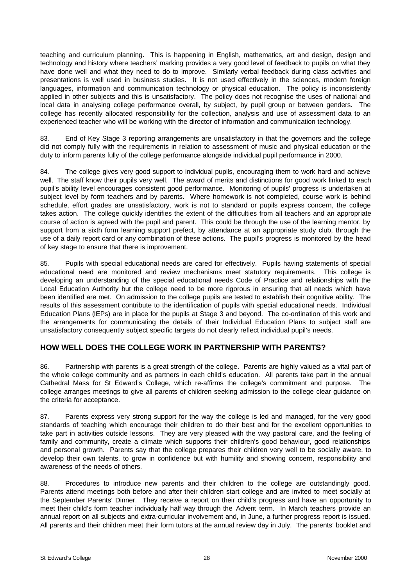teaching and curriculum planning. This is happening in English, mathematics, art and design, design and technology and history where teachers' marking provides a very good level of feedback to pupils on what they have done well and what they need to do to improve. Similarly verbal feedback during class activities and presentations is well used in business studies. It is not used effectively in the sciences, modern foreign languages, information and communication technology or physical education. The policy is inconsistently applied in other subjects and this is unsatisfactory. The policy does not recognise the uses of national and local data in analysing college performance overall, by subject, by pupil group or between genders. The college has recently allocated responsibility for the collection, analysis and use of assessment data to an experienced teacher who will be working with the director of information and communication technology.

83. End of Key Stage 3 reporting arrangements are unsatisfactory in that the governors and the college did not comply fully with the requirements in relation to assessment of music and physical education or the duty to inform parents fully of the college performance alongside individual pupil performance in 2000.

84. The college gives very good support to individual pupils, encouraging them to work hard and achieve well. The staff know their pupils very well. The award of merits and distinctions for good work linked to each pupil's ability level encourages consistent good performance. Monitoring of pupils' progress is undertaken at subject level by form teachers and by parents. Where homework is not completed, course work is behind schedule, effort grades are unsatisfactory, work is not to standard or pupils express concern, the college takes action. The college quickly identifies the extent of the difficulties from all teachers and an appropriate course of action is agreed with the pupil and parent. This could be through the use of the learning mentor, by support from a sixth form learning support prefect, by attendance at an appropriate study club, through the use of a daily report card or any combination of these actions. The pupil's progress is monitored by the head of key stage to ensure that there is improvement.

85. Pupils with special educational needs are cared for effectively. Pupils having statements of special educational need are monitored and review mechanisms meet statutory requirements. This college is developing an understanding of the special educational needs Code of Practice and relationships with the Local Education Authority but the college need to be more rigorous in ensuring that all needs which have been identified are met. On admission to the college pupils are tested to establish their cognitive ability. The results of this assessment contribute to the identification of pupils with special educational needs. Individual Education Plans (IEPs) are in place for the pupils at Stage 3 and beyond. The co-ordination of this work and the arrangements for communicating the details of their Individual Education Plans to subject staff are unsatisfactory consequently subject specific targets do not clearly reflect individual pupil's needs.

# **HOW WELL DOES THE COLLEGE WORK IN PARTNERSHIP WITH PARENTS?**

86. Partnership with parents is a great strength of the college. Parents are highly valued as a vital part of the whole college community and as partners in each child's education. All parents take part in the annual Cathedral Mass for St Edward's College, which re-affirms the college's commitment and purpose. The college arranges meetings to give all parents of children seeking admission to the college clear guidance on the criteria for acceptance.

87. Parents express very strong support for the way the college is led and managed, for the very good standards of teaching which encourage their children to do their best and for the excellent opportunities to take part in activities outside lessons. They are very pleased with the way pastoral care, and the feeling of family and community, create a climate which supports their children's good behaviour, good relationships and personal growth. Parents say that the college prepares their children very well to be socially aware, to develop their own talents, to grow in confidence but with humility and showing concern, responsibility and awareness of the needs of others.

88. Procedures to introduce new parents and their children to the college are outstandingly good. Parents attend meetings both before and after their children start college and are invited to meet socially at the September Parents' Dinner. They receive a report on their child's progress and have an opportunity to meet their child's form teacher individually half way through the Advent term. In March teachers provide an annual report on all subjects and extra-curricular involvement and, in June, a further progress report is issued. All parents and their children meet their form tutors at the annual review day in July. The parents' booklet and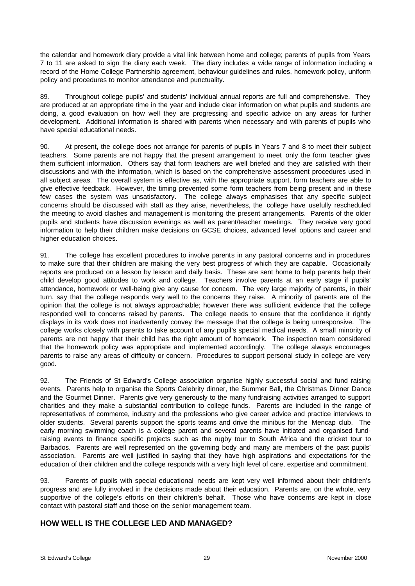the calendar and homework diary provide a vital link between home and college; parents of pupils from Years 7 to 11 are asked to sign the diary each week. The diary includes a wide range of information including a record of the Home College Partnership agreement, behaviour guidelines and rules, homework policy, uniform policy and procedures to monitor attendance and punctuality.

89. Throughout college pupils' and students' individual annual reports are full and comprehensive. They are produced at an appropriate time in the year and include clear information on what pupils and students are doing, a good evaluation on how well they are progressing and specific advice on any areas for further development. Additional information is shared with parents when necessary and with parents of pupils who have special educational needs.

90. At present, the college does not arrange for parents of pupils in Years 7 and 8 to meet their subject teachers. Some parents are not happy that the present arrangement to meet only the form teacher gives them sufficient information. Others say that form teachers are well briefed and they are satisfied with their discussions and with the information, which is based on the comprehensive assessment procedures used in all subject areas. The overall system is effective as, with the appropriate support, form teachers are able to give effective feedback. However, the timing prevented some form teachers from being present and in these few cases the system was unsatisfactory. The college always emphasises that any specific subject concerns should be discussed with staff as they arise, nevertheless, the college have usefully rescheduled the meeting to avoid clashes and management is monitoring the present arrangements. Parents of the older pupils and students have discussion evenings as well as parent/teacher meetings. They receive very good information to help their children make decisions on GCSE choices, advanced level options and career and higher education choices.

91. The college has excellent procedures to involve parents in any pastoral concerns and in procedures to make sure that their children are making the very best progress of which they are capable. Occasionally reports are produced on a lesson by lesson and daily basis. These are sent home to help parents help their child develop good attitudes to work and college. Teachers involve parents at an early stage if pupils' attendance, homework or well-being give any cause for concern. The very large majority of parents, in their turn, say that the college responds very well to the concerns they raise. A minority of parents are of the opinion that the college is not always approachable; however there was sufficient evidence that the college responded well to concerns raised by parents. The college needs to ensure that the confidence it rightly displays in its work does not inadvertently convey the message that the college is being unresponsive. The college works closely with parents to take account of any pupil's special medical needs. A small minority of parents are not happy that their child has the right amount of homework. The inspection team considered that the homework policy was appropriate and implemented accordingly. The college always encourages parents to raise any areas of difficulty or concern. Procedures to support personal study in college are very good.

92. The Friends of St Edward's College association organise highly successful social and fund raising events. Parents help to organise the Sports Celebrity dinner, the Summer Ball, the Christmas Dinner Dance and the Gourmet Dinner. Parents give very generously to the many fundraising activities arranged to support charities and they make a substantial contribution to college funds. Parents are included in the range of representatives of commerce, industry and the professions who give career advice and practice interviews to older students. Several parents support the sports teams and drive the minibus for the Mencap club. The early morning swimming coach is a college parent and several parents have initiated and organised fundraising events to finance specific projects such as the rugby tour to South Africa and the cricket tour to Barbados. Parents are well represented on the governing body and many are members of the past pupils' association. Parents are well justified in saying that they have high aspirations and expectations for the education of their children and the college responds with a very high level of care, expertise and commitment.

93. Parents of pupils with special educational needs are kept very well informed about their children's progress and are fully involved in the decisions made about their education. Parents are, on the whole, very supportive of the college's efforts on their children's behalf. Those who have concerns are kept in close contact with pastoral staff and those on the senior management team.

# **HOW WELL IS THE COLLEGE LED AND MANAGED?**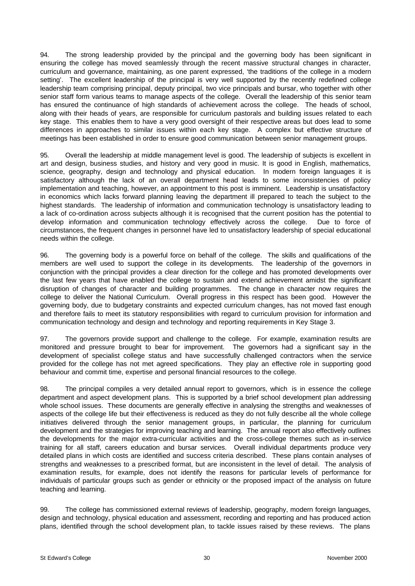94. The strong leadership provided by the principal and the governing body has been significant in ensuring the college has moved seamlessly through the recent massive structural changes in character, curriculum and governance, maintaining, as one parent expressed, 'the traditions of the college in a modern setting'. The excellent leadership of the principal is very well supported by the recently redefined college leadership team comprising principal, deputy principal, two vice principals and bursar, who together with other senior staff form various teams to manage aspects of the college. Overall the leadership of this senior team has ensured the continuance of high standards of achievement across the college. The heads of school, along with their heads of years, are responsible for curriculum pastorals and building issues related to each key stage. This enables them to have a very good oversight of their respective areas but does lead to some differences in approaches to similar issues within each key stage. A complex but effective structure of meetings has been established in order to ensure good communication between senior management groups.

95. Overall the leadership at middle management level is good. The leadership of subjects is excellent in art and design, business studies, and history and very good in music. It is good in English, mathematics, science, geography, design and technology and physical education. In modern foreign languages it is satisfactory although the lack of an overall department head leads to some inconsistencies of policy implementation and teaching, however, an appointment to this post is imminent. Leadership is unsatisfactory in economics which lacks forward planning leaving the department ill prepared to teach the subject to the highest standards. The leadership of information and communication technology is unsatisfactory leading to a lack of co-ordination across subjects although it is recognised that the current position has the potential to develop information and communication technology effectively across the college. Due to force of circumstances, the frequent changes in personnel have led to unsatisfactory leadership of special educational needs within the college.

96. The governing body is a powerful force on behalf of the college. The skills and qualifications of the members are well used to support the college in its developments. The leadership of the governors in conjunction with the principal provides a clear direction for the college and has promoted developments over the last few years that have enabled the college to sustain and extend achievement amidst the significant disruption of changes of character and building programmes. The change in character now requires the college to deliver the National Curriculum. Overall progress in this respect has been good. However the governing body, due to budgetary constraints and expected curriculum changes, has not moved fast enough and therefore fails to meet its statutory responsibilities with regard to curriculum provision for information and communication technology and design and technology and reporting requirements in Key Stage 3.

97. The governors provide support and challenge to the college. For example, examination results are monitored and pressure brought to bear for improvement. The governors had a significant say in the development of specialist college status and have successfully challenged contractors when the service provided for the college has not met agreed specifications. They play an effective role in supporting good behaviour and commit time, expertise and personal financial resources to the college.

98. The principal compiles a very detailed annual report to governors, which is in essence the college department and aspect development plans. This is supported by a brief school development plan addressing whole school issues. These documents are generally effective in analysing the strengths and weaknesses of aspects of the college life but their effectiveness is reduced as they do not fully describe all the whole college initiatives delivered through the senior management groups, in particular, the planning for curriculum development and the strategies for improving teaching and learning. The annual report also effectively outlines the developments for the major extra-curricular activities and the cross-college themes such as in-service training for all staff, careers education and bursar services. Overall individual departments produce very detailed plans in which costs are identified and success criteria described. These plans contain analyses of strengths and weaknesses to a prescribed format, but are inconsistent in the level of detail. The analysis of examination results, for example, does not identify the reasons for particular levels of performance for individuals of particular groups such as gender or ethnicity or the proposed impact of the analysis on future teaching and learning.

99. The college has commissioned external reviews of leadership, geography, modern foreign languages, design and technology, physical education and assessment, recording and reporting and has produced action plans, identified through the school development plan, to tackle issues raised by these reviews. The plans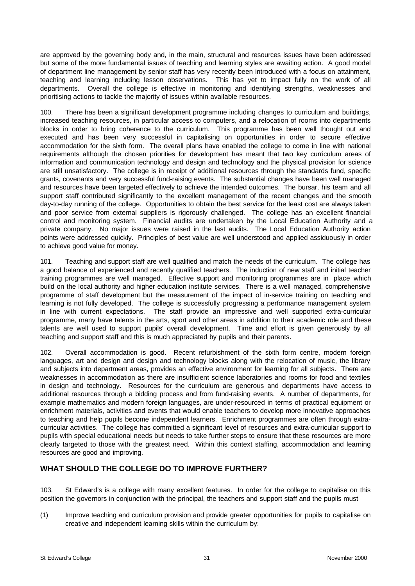are approved by the governing body and, in the main, structural and resources issues have been addressed but some of the more fundamental issues of teaching and learning styles are awaiting action. A good model of department line management by senior staff has very recently been introduced with a focus on attainment, teaching and learning including lesson observations. This has yet to impact fully on the work of all departments. Overall the college is effective in monitoring and identifying strengths, weaknesses and prioritising actions to tackle the majority of issues within available resources.

100. There has been a significant development programme including changes to curriculum and buildings, increased teaching resources, in particular access to computers, and a relocation of rooms into departments blocks in order to bring coherence to the curriculum. This programme has been well thought out and executed and has been very successful in capitalising on opportunities in order to secure effective accommodation for the sixth form. The overall plans have enabled the college to come in line with national requirements although the chosen priorities for development has meant that two key curriculum areas of information and communication technology and design and technology and the physical provision for science are still unsatisfactory. The college is in receipt of additional resources through the standards fund, specific grants, covenants and very successful fund-raising events. The substantial changes have been well managed and resources have been targeted effectively to achieve the intended outcomes. The bursar, his team and all support staff contributed significantly to the excellent management of the recent changes and the smooth day-to-day running of the college. Opportunities to obtain the best service for the least cost are always taken and poor service from external suppliers is rigorously challenged. The college has an excellent financial control and monitoring system. Financial audits are undertaken by the Local Education Authority and a private company. No major issues were raised in the last audits. The Local Education Authority action points were addressed quickly. Principles of best value are well understood and applied assiduously in order to achieve good value for money.

101. Teaching and support staff are well qualified and match the needs of the curriculum. The college has a good balance of experienced and recently qualified teachers. The induction of new staff and initial teacher training programmes are well managed. Effective support and monitoring programmes are in place which build on the local authority and higher education institute services. There is a well managed, comprehensive programme of staff development but the measurement of the impact of in-service training on teaching and learning is not fully developed. The college is successfully progressing a performance management system in line with current expectations. The staff provide an impressive and well supported extra-curricular programme, many have talents in the arts, sport and other areas in addition to their academic role and these talents are well used to support pupils' overall development. Time and effort is given generously by all teaching and support staff and this is much appreciated by pupils and their parents.

102. Overall accommodation is good. Recent refurbishment of the sixth form centre, modern foreign languages, art and design and design and technology blocks along with the relocation of music, the library and subjects into department areas, provides an effective environment for learning for all subjects. There are weaknesses in accommodation as there are insufficient science laboratories and rooms for food and textiles in design and technology. Resources for the curriculum are generous and departments have access to additional resources through a bidding process and from fund-raising events. A number of departments, for example mathematics and modern foreign languages, are under-resourced in terms of practical equipment or enrichment materials, activities and events that would enable teachers to develop more innovative approaches to teaching and help pupils become independent learners. Enrichment programmes are often through extracurricular activities. The college has committed a significant level of resources and extra-curricular support to pupils with special educational needs but needs to take further steps to ensure that these resources are more clearly targeted to those with the greatest need. Within this context staffing, accommodation and learning resources are good and improving.

# **WHAT SHOULD THE COLLEGE DO TO IMPROVE FURTHER?**

103. St Edward's is a college with many excellent features. In order for the college to capitalise on this position the governors in conjunction with the principal, the teachers and support staff and the pupils must

(1) Improve teaching and curriculum provision and provide greater opportunities for pupils to capitalise on creative and independent learning skills within the curriculum by: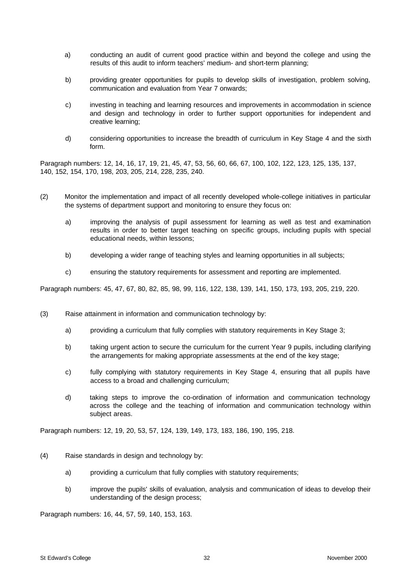- a) conducting an audit of current good practice within and beyond the college and using the results of this audit to inform teachers' medium- and short-term planning;
- b) providing greater opportunities for pupils to develop skills of investigation, problem solving, communication and evaluation from Year 7 onwards;
- c) investing in teaching and learning resources and improvements in accommodation in science and design and technology in order to further support opportunities for independent and creative learning;
- d) considering opportunities to increase the breadth of curriculum in Key Stage 4 and the sixth form.

Paragraph numbers: 12, 14, 16, 17, 19, 21, 45, 47, 53, 56, 60, 66, 67, 100, 102, 122, 123, 125, 135, 137, 140, 152, 154, 170, 198, 203, 205, 214, 228, 235, 240.

- (2) Monitor the implementation and impact of all recently developed whole-college initiatives in particular the systems of department support and monitoring to ensure they focus on:
	- a) improving the analysis of pupil assessment for learning as well as test and examination results in order to better target teaching on specific groups, including pupils with special educational needs, within lessons;
	- b) developing a wider range of teaching styles and learning opportunities in all subjects;
	- c) ensuring the statutory requirements for assessment and reporting are implemented.

Paragraph numbers: 45, 47, 67, 80, 82, 85, 98, 99, 116, 122, 138, 139, 141, 150, 173, 193, 205, 219, 220.

- (3) Raise attainment in information and communication technology by:
	- a) providing a curriculum that fully complies with statutory requirements in Key Stage 3;
	- b) taking urgent action to secure the curriculum for the current Year 9 pupils, including clarifying the arrangements for making appropriate assessments at the end of the key stage;
	- c) fully complying with statutory requirements in Key Stage 4, ensuring that all pupils have access to a broad and challenging curriculum;
	- d) taking steps to improve the co-ordination of information and communication technology across the college and the teaching of information and communication technology within subject areas.

Paragraph numbers: 12, 19, 20, 53, 57, 124, 139, 149, 173, 183, 186, 190, 195, 218.

- (4) Raise standards in design and technology by:
	- a) providing a curriculum that fully complies with statutory requirements;
	- b) improve the pupils' skills of evaluation, analysis and communication of ideas to develop their understanding of the design process;

Paragraph numbers: 16, 44, 57, 59, 140, 153, 163.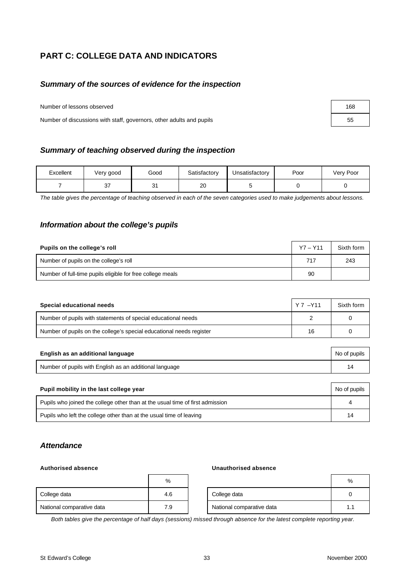# **PART C: COLLEGE DATA AND INDICATORS**

## *Summary of the sources of evidence for the inspection*

Number of lessons observed

Number of discussions with staff, governors, other adults and pupils 55

| Summary of teaching observed during the inspection |
|----------------------------------------------------|
|----------------------------------------------------|

| Excellent | Very good | Good    | Satisfactory | Unsatisfactory | Poor | Very Poor |
|-----------|-----------|---------|--------------|----------------|------|-----------|
|           | ິ         | 21<br>ັ | 20           |                |      |           |

*The table gives the percentage of teaching observed in each of the seven categories used to make judgements about lessons.*

## *Information about the college's pupils*

| Pupils on the college's roll                               | $Y7 - Y11$ | Sixth form |
|------------------------------------------------------------|------------|------------|
| Number of pupils on the college's roll                     | 717        | 243        |
| Number of full-time pupils eligible for free college meals | 90         |            |

| Special educational needs                                            | Y 7 - Y 11 | Sixth form |
|----------------------------------------------------------------------|------------|------------|
| Number of pupils with statements of special educational needs        |            |            |
| Number of pupils on the college's special educational needs register | 16         |            |

| English as an additional language                       | No of pupils |
|---------------------------------------------------------|--------------|
| Number of pupils with English as an additional language |              |

| Pupil mobility in the last college year                                       |    |  |
|-------------------------------------------------------------------------------|----|--|
| Pupils who joined the college other than at the usual time of first admission |    |  |
| Pupils who left the college other than at the usual time of leaving           | 14 |  |

## *Attendance*

#### **Authorised absence Unauthorised absence**

|                           | %   |                           | %   |
|---------------------------|-----|---------------------------|-----|
| College data              | 4.6 | College data              |     |
| National comparative data | 7.9 | National comparative data | 1.1 |

*Both tables give the percentage of half days (sessions) missed through absence for the latest complete reporting year.*

| 168 |  |
|-----|--|
| 55  |  |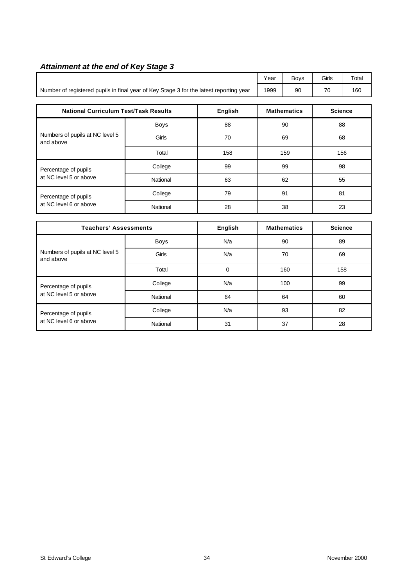# *Attainment at the end of Key Stage 3*

|                                                                                        |                     |                |    | Boys               | Girls | Total          |  |
|----------------------------------------------------------------------------------------|---------------------|----------------|----|--------------------|-------|----------------|--|
| Number of registered pupils in final year of Key Stage 3 for the latest reporting year | 1999                | 90             | 70 | 160                |       |                |  |
| <b>National Curriculum Test/Task Results</b>                                           | <b>Mathematics</b>  |                |    | <b>Science</b>     |       |                |  |
|                                                                                        | Boys                | 88             |    | 90                 | 88    |                |  |
| Numbers of pupils at NC level 5<br>and above                                           | Girls               | 70             |    | 69                 |       | 68             |  |
|                                                                                        | Total               | 158            |    | 159                |       | 156            |  |
| Percentage of pupils                                                                   | College<br>99<br>99 |                | 98 |                    |       |                |  |
| at NC level 5 or above                                                                 | National            | 63             | 62 |                    | 55    |                |  |
| Percentage of pupils                                                                   | College             | 79             |    | 91                 | 81    |                |  |
| at NC level 6 or above                                                                 | National            | 28             | 38 |                    | 23    |                |  |
|                                                                                        |                     |                |    |                    |       |                |  |
| <b>Teachers' Assessments</b>                                                           |                     | <b>English</b> |    | <b>Mathematics</b> |       | <b>Science</b> |  |
|                                                                                        | Boys                | N/a            |    | 90                 |       | 89             |  |
| Numbers of pupils at NC level 5<br>and above                                           | Girls               | N/a            |    | 70                 | 69    |                |  |
|                                                                                        | Total               | $\mathbf 0$    |    | 160                | 158   |                |  |
| Percentage of pupils                                                                   | College             | N/a            |    | 100                | 99    |                |  |
| at NC level 5 or above                                                                 | National            | 64             |    | 64                 |       | 60             |  |
| Percentage of pupils                                                                   | College             | N/a            |    | 93                 |       | 82             |  |

at NC level 6 or above National 31 37 37 28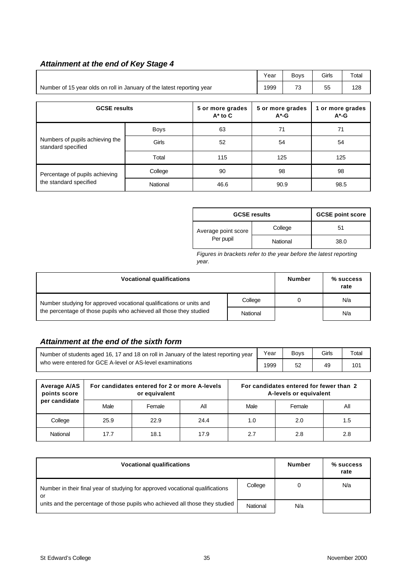# *Attainment at the end of Key Stage 4*

|                                                                        | Year     | <b>Boys</b> | Girls | Total                        |      |                              |  |
|------------------------------------------------------------------------|----------|-------------|-------|------------------------------|------|------------------------------|--|
| Number of 15 year olds on roll in January of the latest reporting year | 1999     | 73          | 55    | 128                          |      |                              |  |
|                                                                        |          |             |       |                              |      |                              |  |
| <b>GCSE results</b><br>5 or more grades<br>$A^*$ to $C$                |          |             |       | 5 or more grades<br>$A^*$ -G |      | 1 or more grades<br>$A^*$ -G |  |
|                                                                        | Boys     | 63          | 71    |                              | 71   |                              |  |
| Numbers of pupils achieving the<br>standard specified                  | Girls    | 52          |       | 54                           |      | 54                           |  |
|                                                                        | Total    | 115         |       | 125                          |      | 125                          |  |
| Percentage of pupils achieving                                         | College  | 90          | 98    |                              | 98   |                              |  |
| the standard specified                                                 | National | 46.6        | 90.9  |                              | 98.5 |                              |  |

| <b>GCSE results</b> |          | <b>GCSE point score</b> |
|---------------------|----------|-------------------------|
| Average point score | College  | 51                      |
| Per pupil           | National | 38.0                    |

*Figures in brackets refer to the year before the latest reporting year.*

| <b>Vocational qualifications</b>                                    | <b>Number</b> | $%$ success<br>rate |     |
|---------------------------------------------------------------------|---------------|---------------------|-----|
| Number studying for approved vocational qualifications or units and | College       |                     | N/a |
| the percentage of those pupils who achieved all those they studied  | National      |                     | N/a |

# *Attainment at the end of the sixth form*

| Number of students aged 16, 17 and 18 on roll in January of the latest reporting year |      | <b>Bovs</b> | Girls | $\tau$ otal |
|---------------------------------------------------------------------------------------|------|-------------|-------|-------------|
| who were entered for GCE A-level or AS-level examinations                             | 1999 |             | 49    | 101         |

| Average A/AS<br>points score |      | For candidates entered for 2 or more A-levels<br>or equivalent |      |      | For candidates entered for fewer than 2<br>A-levels or equivalent |     |
|------------------------------|------|----------------------------------------------------------------|------|------|-------------------------------------------------------------------|-----|
| per candidate                | Male | Female                                                         | Αll  | Male | Female                                                            | All |
| College                      | 25.9 | 22.9                                                           | 24.4 | 1.0  | 2.0                                                               | 1.5 |
| National                     | 17.7 | 18.1                                                           | 17.9 | 2.7  | 2.8                                                               | 2.8 |

| <b>Vocational qualifications</b>                                                                                                                                    | <b>Number</b> | $%$ success<br>rate |     |
|---------------------------------------------------------------------------------------------------------------------------------------------------------------------|---------------|---------------------|-----|
| Number in their final year of studying for approved vocational qualifications<br>or<br>units and the percentage of those pupils who achieved all those they studied |               |                     | N/a |
|                                                                                                                                                                     |               | N/a                 |     |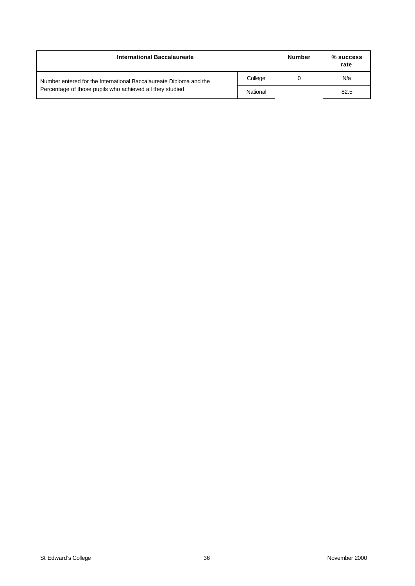| International Baccalaureate                                        |          | <b>Number</b> | % success<br>rate |
|--------------------------------------------------------------------|----------|---------------|-------------------|
| Number entered for the International Baccalaureate Diploma and the | College  |               | N/a               |
| Percentage of those pupils who achieved all they studied           | National |               | 82.5              |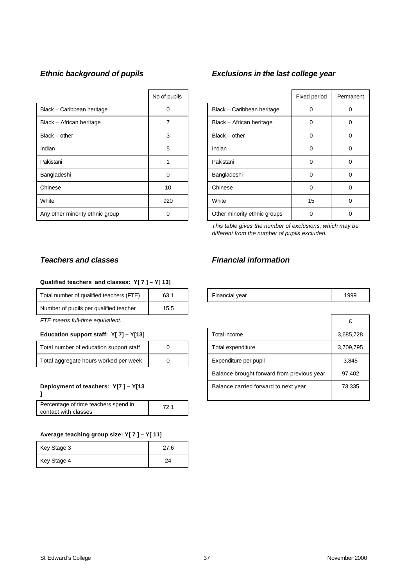|                                 | No of pupils |                              | Fixed period | Perma    |
|---------------------------------|--------------|------------------------------|--------------|----------|
| Black - Caribbean heritage      | 0            | Black - Caribbean heritage   | 0            | 0        |
| Black - African heritage        |              | Black - African heritage     | 0            | 0        |
| Black – other                   | 3            | $Black - other$              | O            | 0        |
| Indian                          | 5            | Indian                       | 0            | 0        |
| Pakistani                       |              | Pakistani                    | 0            | 0        |
| Bangladeshi                     | $\Omega$     | Bangladeshi                  | 0            | 0        |
| Chinese                         | 10           | Chinese                      | 0            | 0        |
| White                           | 920          | White                        | 15           | $\Omega$ |
| Any other minority ethnic group | 0            | Other minority ethnic groups | 0            | 0        |

# *Ethnic background of pupils Exclusions in the last college year*

| No of pupils |                              | Fixed period | Permanent |
|--------------|------------------------------|--------------|-----------|
| ი            | Black - Caribbean heritage   | O            |           |
|              | Black - African heritage     | 0            | 0         |
| 3            | $Black - other$              | 0            |           |
| 5            | Indian                       | 0            |           |
|              | Pakistani                    | O            | Ω         |
| 0            | Bangladeshi                  | 0            | 0         |
| 10           | Chinese                      | 0            | Ω         |
| 920          | White                        | 15           | Ω         |
| 0            | Other minority ethnic groups | Ω            |           |

*This table gives the number of exclusions, which may be different from the number of pupils excluded.*

#### **Qualified teachers and classes: Y[ 7 ] – Y[ 13]**

| Total number of qualified teachers (FTE) | 63.1 | Financial year | 1999 |
|------------------------------------------|------|----------------|------|
| Number of pupils per qualified teacher   | 15.5 |                |      |

#### **Education support staff: Y[ 7] - Y[13]**

| Total number of education support staff |  |
|-----------------------------------------|--|
| Total aggregate hours worked per week   |  |

#### **Deployment of teachers: Y[7 ] – Y[13**

**]**

| Percentage of time teachers spend in | 721 |
|--------------------------------------|-----|
| contact with classes                 |     |

#### **Average teaching group size: Y[ 7 ] – Y[ 11]**

| Key Stage 3 | 27.6 |
|-------------|------|
| Key Stage 4 | 2Δ   |

# *Teachers and classes Financial information*

| Financial year | 1999 |
|----------------|------|
|----------------|------|

| FTE means full-time equivalent.         |  |                                      |                                            |        |
|-----------------------------------------|--|--------------------------------------|--------------------------------------------|--------|
| Education support staff: Y[ 7] - Y[13]  |  | Total income                         | 3,685,728                                  |        |
| Total number of education support staff |  | Total expenditure                    | 3,709,795                                  |        |
| Total aggregate hours worked per week   |  | Expenditure per pupil                | 3,845                                      |        |
|                                         |  |                                      | Balance brought forward from previous year | 97,402 |
| Deployment of teachers: Y[7] - Y[13     |  | Balance carried forward to next year | 73,335                                     |        |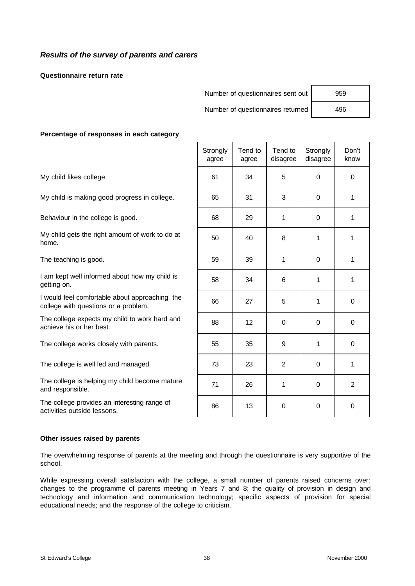# *Results of the survey of parents and carers*

**Questionnaire return rate**

| Number of questionnaires sent out | 959 |
|-----------------------------------|-----|
| Number of questionnaires returned | 496 |

#### **Percentage of responses in each category**

|                                                                                        | Strongly<br>agree | Tend to<br>agree | Tend to<br>disagree | Strongly<br>disagree | Don't<br>know  |
|----------------------------------------------------------------------------------------|-------------------|------------------|---------------------|----------------------|----------------|
| My child likes college.                                                                | 61                | 34               | 5                   | 0                    | $\mathbf 0$    |
| My child is making good progress in college.                                           | 65                | 31               | 3                   | $\Omega$             | 1              |
| Behaviour in the college is good.                                                      | 68                | 29               | 1                   | 0                    | 1              |
| My child gets the right amount of work to do at<br>home.                               | 50                | 40               | 8                   | 1                    | 1              |
| The teaching is good.                                                                  | 59                | 39               | 1                   | $\Omega$             | 1              |
| I am kept well informed about how my child is<br>getting on.                           | 58                | 34               | 6                   | 1                    | 1              |
| I would feel comfortable about approaching the<br>college with questions or a problem. | 66                | 27               | 5                   | 1                    | $\mathbf 0$    |
| The college expects my child to work hard and<br>achieve his or her best.              | 88                | 12 <sub>2</sub>  | $\pmb{0}$           | 0                    | $\mathbf 0$    |
| The college works closely with parents.                                                | 55                | 35               | 9                   | 1                    | 0              |
| The college is well led and managed.                                                   | 73                | 23               | $\overline{2}$      | $\mathbf 0$          | 1              |
| The college is helping my child become mature<br>and responsible.                      | 71                | 26               | 1                   | $\Omega$             | $\overline{2}$ |
| The college provides an interesting range of<br>activities outside lessons.            | 86                | 13               | 0                   | $\Omega$             | $\Omega$       |

#### **Other issues raised by parents**

The overwhelming response of parents at the meeting and through the questionnaire is very supportive of the school.

While expressing overall satisfaction with the college, a small number of parents raised concerns over: changes to the programme of parents meeting in Years 7 and 8; the quality of provision in design and technology and information and communication technology; specific aspects of provision for special educational needs; and the response of the college to criticism.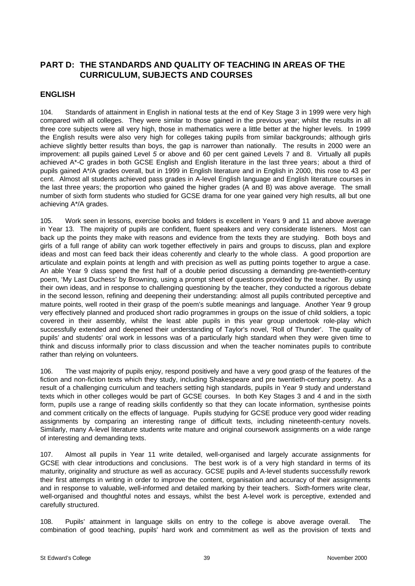# **PART D: THE STANDARDS AND QUALITY OF TEACHING IN AREAS OF THE CURRICULUM, SUBJECTS AND COURSES**

## **ENGLISH**

104. Standards of attainment in English in national tests at the end of Key Stage 3 in 1999 were very high compared with all colleges. They were similar to those gained in the previous year; whilst the results in all three core subjects were all very high, those in mathematics were a little better at the higher levels. In 1999 the English results were also very high for colleges taking pupils from similar backgrounds; although girls achieve slightly better results than boys, the gap is narrower than nationally. The results in 2000 were an improvement: all pupils gained Level *5* or above and 60 per cent gained Levels 7 and 8. Virtually all pupils achieved A\*-C grades in both GCSE English and English literature in the last three years; about a third of pupils gained A\*/A grades overall, but in 1999 in English literature and in English in 2000, this rose to 43 per cent. Almost all students achieved pass grades in A-level English language and English literature courses in the last three years; the proportion who gained the higher grades (A and B) was above average. The small number of sixth form students who studied for GCSE drama for one year gained very high results, all but one achieving A\*/A grades.

105. Work seen in lessons, exercise books and folders is excellent in Years 9 and 11 and above average in Year 13. The majority of pupils are confident, fluent speakers and very considerate listeners. Most can back up the points they make with reasons and evidence from the texts they are studying. Both boys and girls of a full range of ability can work together effectively in pairs and groups to discuss, plan and explore ideas and most can feed back their ideas coherently and clearly to the whole class. A good proportion are articulate and explain points at length and with precision as well as putting points together to argue a case. An able Year 9 class spend the first half of a double period discussing a demanding pre-twentieth-century poem, 'My Last Duchess' by Browning, using a prompt sheet of questions provided by the teacher. By using their own ideas, and in response to challenging questioning by the teacher, they conducted a rigorous debate in the second lesson, refining and deepening their understanding: almost all pupils contributed perceptive and mature points, well rooted in their grasp of the poem's subtle meanings and language. Another Year 9 group very effectively planned and produced short radio programmes in groups on the issue of child soldiers, a topic covered in their assembly, whilst the least able pupils in this year group undertook role-play which successfully extended and deepened their understanding of Taylor's novel, 'Roll of Thunder'. The quality of pupils' and students' oral work in lessons was of a particularly high standard when they were given time to think and discuss informally prior to class discussion and when the teacher nominates pupils to contribute rather than relying on volunteers.

106. The vast majority of pupils enjoy, respond positively and have a very good grasp of the features of the fiction and non-fiction texts which they study, including Shakespeare and pre twentieth-century poetry. As a result of a challenging curriculum and teachers setting high standards, pupils in Year 9 study and understand texts which in other colleges would be part of GCSE courses. In both Key Stages 3 and 4 and in the sixth form, pupils use a range of reading skills confidently so that they can locate information, synthesise points and comment critically on the effects of language. Pupils studying for GCSE produce very good wider reading assignments by comparing an interesting range of difficult texts, including nineteenth-century novels. Similarly, many A-level literature students write mature and original coursework assignments on a wide range of interesting and demanding texts.

107. Almost all pupils in Year 11 write detailed, well-organised and largely accurate assignments for GCSE with clear introductions and conclusions. The best work is of a very high standard in terms of its maturity, originality and structure as well as accuracy. GCSE pupils and A-level students successfully rework their first attempts in writing in order to improve the content, organisation and accuracy of their assignments and in response to valuable, well-informed and detailed marking by their teachers. Sixth-formers write clear, well-organised and thoughtful notes and essays, whilst the best A-level work is perceptive, extended and carefully structured.

108. Pupils' attainment in language skills on entry to the college is above average overall. The combination of good teaching, pupils' hard work and commitment as well as the provision of texts and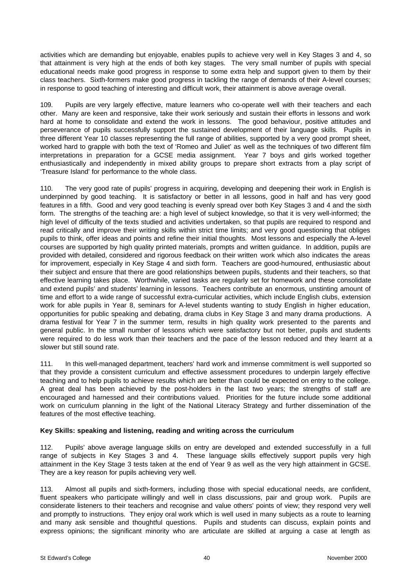activities which are demanding but enjoyable, enables pupils to achieve very well in Key Stages 3 and 4, so that attainment is very high at the ends of both key stages. The very small number of pupils with special educational needs make good progress in response to some extra help and support given to them by their class teachers. Sixth-formers make good progress in tackling the range of demands of their A-level courses; in response to good teaching of interesting and difficult work, their attainment is above average overall.

109. Pupils are very largely effective, mature learners who co-operate well with their teachers and each other. Many are keen and responsive, take their work seriously and sustain their efforts in lessons and work hard at home to consolidate and extend the work in lessons. The good behaviour, positive attitudes and perseverance of pupils successfully support the sustained development of their language skills. Pupils in three different Year 10 classes representing the full range of abilities, supported by a very good prompt sheet, worked hard to grapple with both the text of 'Romeo and Juliet' as well as the techniques of two different film interpretations in preparation for a GCSE media assignment. Year 7 boys and girls worked together enthusiastically and independently in mixed ability groups to prepare short extracts from a play script of 'Treasure Island' for performance to the whole class.

110. The very good rate of pupils' progress in acquiring, developing and deepening their work in English is underpinned by good teaching. It is satisfactory or better in all lessons, good in half and has very good features in a fifth. Good and very good teaching is evenly spread over both Key Stages 3 and 4 and the sixth form. The strengths of the teaching are: a high level of subject knowledge, so that it is very well-informed; the high level of difficulty of the texts studied and activities undertaken, so that pupils are required to respond and read critically and improve their writing skills within strict time limits; and very good questioning that obliges pupils to think, offer ideas and points and refine their initial thoughts. Most lessons and especially the A-level courses are supported by high quality printed materials, prompts and written guidance. In addition, pupils are provided with detailed, considered and rigorous feedback on their written work which also indicates the areas for improvement, especially in Key Stage 4 and sixth form. Teachers are good-humoured, enthusiastic about their subject and ensure that there are good relationships between pupils, students and their teachers, so that effective learning takes place. Worthwhile, varied tasks are regularly set for homework and these consolidate and extend pupils' and students' learning in lessons. Teachers contribute an enormous, unstinting amount of time and effort to a wide range of successful extra-curricular activities, which include English clubs, extension work for able pupils in Year 8, seminars for A-level students wanting to study English in higher education, opportunities for public speaking and debating, drama clubs in Key Stage 3 and many drama productions. A drama festival for Year 7 in the summer term, results in high quality work presented to the parents and general public. In the small number of lessons which were satisfactory but not better, pupils and students were required to do less work than their teachers and the pace of the lesson reduced and they learnt at a slower but still sound rate.

111. In this well-managed department, teachers' hard work and immense commitment is well supported so that they provide a consistent curriculum and effective assessment procedures to underpin largely effective teaching and to help pupils to achieve results which are better than could be expected on entry to the college. A great deal has been achieved by the post-holders in the last two years; the strengths of staff are encouraged and harnessed and their contributions valued. Priorities for the future include some additional work on curriculum planning in the light of the National Literacy Strategy and further dissemination of the features of the most effective teaching.

### **Key Skills: speaking and listening, reading and writing across the curriculum**

112. Pupils' above average language skills on entry are developed and extended successfully in a full range of subjects in Key Stages 3 and 4. These language skills effectively support pupils very high attainment in the Key Stage 3 tests taken at the end of Year 9 as well as the very high attainment in GCSE. They are a key reason for pupils achieving very well.

113. Almost all pupils and sixth-formers, including those with special educational needs, are confident, fluent speakers who participate willingly and well in class discussions, pair and group work. Pupils are considerate listeners to their teachers and recognise and value others' points of view; they respond very well and promptly to instructions. They enjoy oral work which is well used in many subjects as a route to learning and many ask sensible and thoughtful questions. Pupils and students can discuss, explain points and express opinions; the significant minority who are articulate are skilled at arguing a case at length as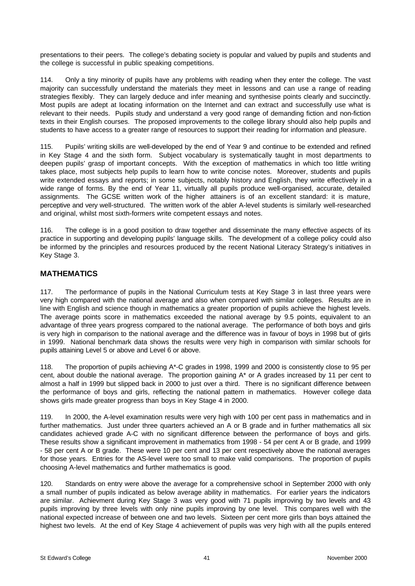presentations to their peers. The college's debating society is popular and valued by pupils and students and the college is successful in public speaking competitions.

114. Only a tiny minority of pupils have any problems with reading when they enter the college. The vast majority can successfully understand the materials they meet in lessons and can use a range of reading strategies flexibly. They can largely deduce and infer meaning and synthesise points clearly and succinctly. Most pupils are adept at locating information on the Internet and can extract and successfully use what is relevant to their needs. Pupils study and understand a very good range of demanding fiction and non-fiction texts in their English courses. The proposed improvements to the college library should also help pupils and students to have access to a greater range of resources to support their reading for information and pleasure.

115. Pupils' writing skills are well-developed by the end of Year 9 and continue to be extended and refined in Key Stage 4 and the sixth form. Subject vocabulary is systematically taught in most departments to deepen pupils' grasp of important concepts. With the exception of mathematics in which too little writing takes place, most subjects help pupils to learn how to write concise notes. Moreover, students and pupils write extended essays and reports; in some subjects, notably history and English, they write effectively in a wide range of forms. By the end of Year 11, virtually all pupils produce well-organised, accurate, detailed assignments. The GCSE written work of the higher attainers is of an excellent standard: it is mature, perceptive and very well-structured. The written work of the abler A-level students is similarly well-researched and original, whilst most sixth-formers write competent essays and notes.

116. The college is in a good position to draw together and disseminate the many effective aspects of its practice in supporting and developing pupils' language skills. The development of a college policy could also be informed by the principles and resources produced by the recent National Literacy Strategy's initiatives in Key Stage 3.

# **MATHEMATICS**

117. The performance of pupils in the National Curriculum tests at Key Stage 3 in last three years were very high compared with the national average and also when compared with similar colleges. Results are in line with English and science though in mathematics a greater proportion of pupils achieve the highest levels. The average points score in mathematics exceeded the national average by 9.5 points, equivalent to an advantage of three years progress compared to the national average. The performance of both boys and girls is very high in comparison to the national average and the difference was in favour of boys in 1998 but of girls in 1999. National benchmark data shows the results were very high in comparison with similar schools for pupils attaining Level 5 or above and Level 6 or above.

118. The proportion of pupils achieving A\*-C grades in 1998, 1999 and 2000 is consistently close to 95 per cent, about double the national average. The proportion gaining A\* or A grades increased by 11 per cent to almost a half in 1999 but slipped back in 2000 to just over a third. There is no significant difference between the performance of boys and girls, reflecting the national pattern in mathematics. However college data shows girls made greater progress than boys in Key Stage 4 in 2000.

119. In 2000, the A-level examination results were very high with 100 per cent pass in mathematics and in further mathematics. Just under three quarters achieved an A or B grade and in further mathematics all six candidates achieved grade A-C with no significant difference between the performance of boys and girls. These results show a significant improvement in mathematics from 1998 - 54 per cent A or B grade, and 1999 - 58 per cent A or B grade. These were 10 per cent and 13 per cent respectively above the national averages for those years. Entries for the AS-level were too small to make valid comparisons. The proportion of pupils choosing A-level mathematics and further mathematics is good.

120. Standards on entry were above the average for a comprehensive school in September 2000 with only a small number of pupils indicated as below average ability in mathematics. For earlier years the indicators are similar. Achievment during Key Stage 3 was very good with 71 pupils improving by two levels and 43 pupils improving by three levels with only nine pupils improving by one level. This compares well with the national expected increase of between one and two levels. Sixteen per cent more girls than boys attained the highest two levels. At the end of Key Stage 4 achievement of pupils was very high with all the pupils entered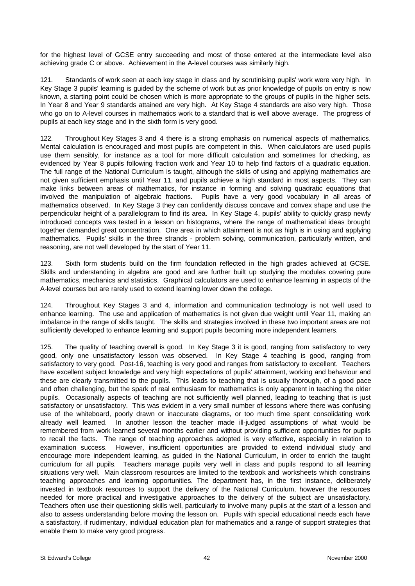for the highest level of GCSE entry succeeding and most of those entered at the intermediate level also achieving grade C or above. Achievement in the A-level courses was similarly high.

121. Standards of work seen at each key stage in class and by scrutinising pupils' work were very high. In Key Stage 3 pupils' learning is guided by the scheme of work but as prior knowledge of pupils on entry is now known, a starting point could be chosen which is more appropriate to the groups of pupils in the higher sets. In Year 8 and Year 9 standards attained are very high. At Key Stage 4 standards are also very high. Those who go on to A-level courses in mathematics work to a standard that is well above average. The progress of pupils at each key stage and in the sixth form is very good.

122. Throughout Key Stages 3 and 4 there is a strong emphasis on numerical aspects of mathematics. Mental calculation is encouraged and most pupils are competent in this. When calculators are used pupils use them sensibly, for instance as a tool for more difficult calculation and sometimes for checking, as evidenced by Year 8 pupils following fraction work and Year 10 to help find factors of a quadratic equation. The full range of the National Curriculum is taught, although the skills of using and applying mathematics are not given sufficient emphasis until Year 11, and pupils achieve a high standard in most aspects. They can make links between areas of mathematics, for instance in forming and solving quadratic equations that involved the manipulation of algebraic fractions. Pupils have a very good vocabulary in all areas of mathematics observed. In Key Stage 3 they can confidently discuss concave and convex shape and use the perpendicular height of a parallelogram to find its area. In Key Stage 4, pupils' ability to quickly grasp newly introduced concepts was tested in a lesson on histograms, where the range of mathematical ideas brought together demanded great concentration. One area in which attainment is not as high is in using and applying mathematics. Pupils' skills in the three strands - problem solving, communication, particularly written, and reasoning, are not well developed by the start of Year 11.

123. Sixth form students build on the firm foundation reflected in the high grades achieved at GCSE. Skills and understanding in algebra are good and are further built up studying the modules covering pure mathematics, mechanics and statistics. Graphical calculators are used to enhance learning in aspects of the A-level courses but are rarely used to extend learning lower down the college.

124. Throughout Key Stages 3 and 4, information and communication technology is not well used to enhance learning. The use and application of mathematics is not given due weight until Year 11, making an imbalance in the range of skills taught. The skills and strategies involved in these two important areas are not sufficiently developed to enhance learning and support pupils becoming more independent learners.

125. The quality of teaching overall is good. In Key Stage 3 it is good, ranging from satisfactory to very good, only one unsatisfactory lesson was observed. In Key Stage 4 teaching is good, ranging from satisfactory to very good. Post-16, teaching is very good and ranges from satisfactory to excellent. Teachers have excellent subject knowledge and very high expectations of pupils' attainment, working and behaviour and these are clearly transmitted to the pupils. This leads to teaching that is usually thorough, of a good pace and often challenging, but the spark of real enthusiasm for mathematics is only apparent in teaching the older pupils. Occasionally aspects of teaching are not sufficiently well planned, leading to teaching that is just satisfactory or unsatisfactory. This was evident in a very small number of lessons where there was confusing use of the whiteboard, poorly drawn or inaccurate diagrams, or too much time spent consolidating work already well learned. In another lesson the teacher made ill-judged assumptions of what would be remembered from work learned several months earlier and without providing sufficient opportunities for pupils to recall the facts. The range of teaching approaches adopted is very effective, especially in relation to examination success. However, insufficient opportunities are provided to extend individual study and encourage more independent learning, as guided in the National Curriculum, in order to enrich the taught curriculum for all pupils. Teachers manage pupils very well in class and pupils respond to all learning situations very well. Main classroom resources are limited to the textbook and worksheets which constrains teaching approaches and learning opportunities. The department has, in the first instance, deliberately invested in textbook resources to support the delivery of the National Curriculum, however the resources needed for more practical and investigative approaches to the delivery of the subject are unsatisfactory. Teachers often use their questioning skills well, particularly to involve many pupils at the start of a lesson and also to assess understanding before moving the lesson on. Pupils with special educational needs each have a satisfactory, if rudimentary, individual education plan for mathematics and a range of support strategies that enable them to make very good progress.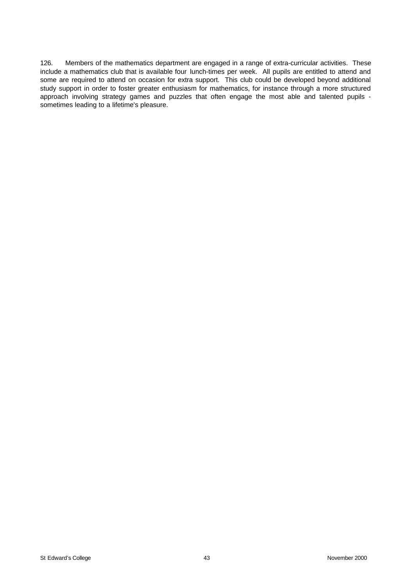126. Members of the mathematics department are engaged in a range of extra-curricular activities. These include a mathematics club that is available four lunch-times per week. All pupils are entitled to attend and some are required to attend on occasion for extra support. This club could be developed beyond additional study support in order to foster greater enthusiasm for mathematics, for instance through a more structured approach involving strategy games and puzzles that often engage the most able and talented pupils sometimes leading to a lifetime's pleasure.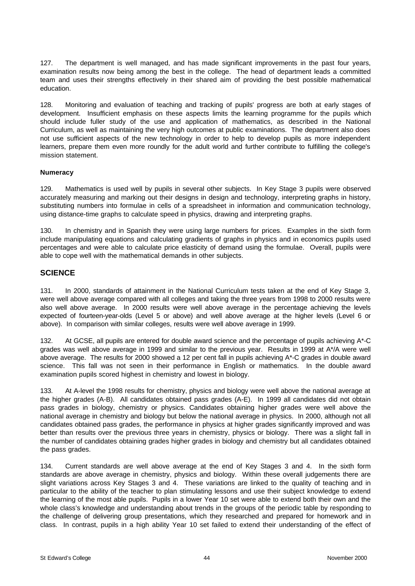127. The department is well managed, and has made significant improvements in the past four years, examination results now being among the best in the college. The head of department leads a committed team and uses their strengths effectively in their shared aim of providing the best possible mathematical education.

128. Monitoring and evaluation of teaching and tracking of pupils' progress are both at early stages of development. Insufficient emphasis on these aspects limits the learning programme for the pupils which should include fuller study of the use and application of mathematics, as described in the National Curriculum, as well as maintaining the very high outcomes at public examinations. The department also does not use sufficient aspects of the new technology in order to help to develop pupils as more independent learners, prepare them even more roundly for the adult world and further contribute to fulfilling the college's mission statement.

#### **Numeracy**

129. Mathematics is used well by pupils in several other subjects. In Key Stage 3 pupils were observed accurately measuring and marking out their designs in design and technology, interpreting graphs in history, substituting numbers into formulae in cells of a spreadsheet in information and communication technology, using distance-time graphs to calculate speed in physics, drawing and interpreting graphs.

130. In chemistry and in Spanish they were using large numbers for prices. Examples in the sixth form include manipulating equations and calculating gradients of graphs in physics and in economics pupils used percentages and were able to calculate price elasticity of demand using the formulae. Overall, pupils were able to cope well with the mathematical demands in other subjects.

## **SCIENCE**

131. In 2000, standards of attainment in the National Curriculum tests taken at the end of Key Stage 3, were well above average compared with all colleges and taking the three years from 1998 to 2000 results were also well above average. In 2000 results were well above average in the percentage achieving the levels expected of fourteen-year-olds (Level 5 or above) and well above average at the higher levels (Level 6 or above). In comparison with similar colleges, results were well above average in 1999.

132. At GCSE, all pupils are entered for double award science and the percentage of pupils achieving A\*-C grades was well above average in 1999 and similar to the previous year. Results in 1999 at A\*/A were well above average. The results for 2000 showed a 12 per cent fall in pupils achieving A\*-C grades in double award science. This fall was not seen in their performance in English or mathematics. In the double award examination pupils scored highest in chemistry and lowest in biology.

133. At A-level the 1998 results for chemistry, physics and biology were well above the national average at the higher grades (A-B). All candidates obtained pass grades (A-E). In 1999 all candidates did not obtain pass grades in biology, chemistry or physics. Candidates obtaining higher grades were well above the national average in chemistry and biology but below the national average in physics. In 2000, although not all candidates obtained pass grades, the performance in physics at higher grades significantly improved and was better than results over the previous three years in chemistry, physics or biology. There was a slight fall in the number of candidates obtaining grades higher grades in biology and chemistry but all candidates obtained the pass grades.

134. Current standards are well above average at the end of Key Stages 3 and 4. In the sixth form standards are above average in chemistry, physics and biology. Within these overall judgements there are slight variations across Key Stages 3 and 4. These variations are linked to the quality of teaching and in particular to the ability of the teacher to plan stimulating lessons and use their subject knowledge to extend the learning of the most able pupils. Pupils in a lower Year 10 set were able to extend both their own and the whole class's knowledge and understanding about trends in the groups of the periodic table by responding to the challenge of delivering group presentations, which they researched and prepared for homework and in class. In contrast, pupils in a high ability Year 10 set failed to extend their understanding of the effect of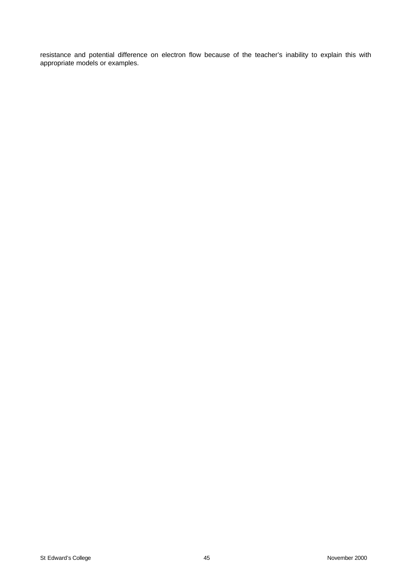resistance and potential difference on electron flow because of the teacher's inability to explain this with appropriate models or examples.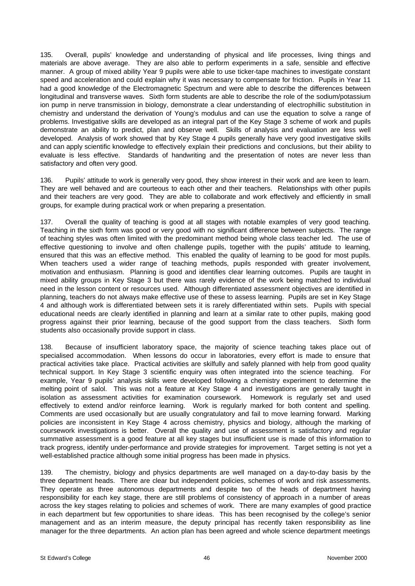135. Overall, pupils' knowledge and understanding of physical and life processes, living things and materials are above average. They are also able to perform experiments in a safe, sensible and effective manner. A group of mixed ability Year 9 pupils were able to use ticker-tape machines to investigate constant speed and acceleration and could explain why it was necessary to compensate for friction. Pupils in Year 11 had a good knowledge of the Electromagnetic Spectrum and were able to describe the differences between longitudinal and transverse waves. Sixth form students are able to describe the role of the sodium/potassium ion pump in nerve transmission in biology, demonstrate a clear understanding of electrophillic substitution in chemistry and understand the derivation of Young's modulus and can use the equation to solve a range of problems. Investigative skills are developed as an integral part of the Key Stage 3 scheme of work and pupils demonstrate an ability to predict, plan and observe well. Skills of analysis and evaluation are less well developed. Analysis of work showed that by Key Stage 4 pupils generally have very good investigative skills and can apply scientific knowledge to effectively explain their predictions and conclusions, but their ability to evaluate is less effective. Standards of handwriting and the presentation of notes are never less than satisfactory and often very good.

136. Pupils' attitude to work is generally very good, they show interest in their work and are keen to learn. They are well behaved and are courteous to each other and their teachers. Relationships with other pupils and their teachers are very good. They are able to collaborate and work effectively and efficiently in small groups, for example during practical work or when preparing a presentation.

137. Overall the quality of teaching is good at all stages with notable examples of very good teaching. Teaching in the sixth form was good or very good with no significant difference between subjects. The range of teaching styles was often limited with the predominant method being whole class teacher led. The use of effective questioning to involve and often challenge pupils, together with the pupils' attitude to learning, ensured that this was an effective method. This enabled the quality of learning to be good for most pupils. When teachers used a wider range of teaching methods, pupils responded with greater involvement, motivation and enthusiasm. Planning is good and identifies clear learning outcomes. Pupils are taught in mixed ability groups in Key Stage 3 but there was rarely evidence of the work being matched to individual need in the lesson content or resources used. Although differentiated assessment objectives are identified in planning, teachers do not always make effective use of these to assess learning. Pupils are set in Key Stage 4 and although work is differentiated between sets it is rarely differentiated within sets. Pupils with special educational needs are clearly identified in planning and learn at a similar rate to other pupils, making good progress against their prior learning, because of the good support from the class teachers. Sixth form students also occasionally provide support in class.

138. Because of insufficient laboratory space, the majority of science teaching takes place out of specialised accommodation. When lessons do occur in laboratories, every effort is made to ensure that practical activities take place. Practical activities are skilfully and safely planned with help from good quality technical support. In Key Stage 3 scientific enquiry was often integrated into the science teaching. For example, Year 9 pupils' analysis skills were developed following a chemistry experiment to determine the melting point of salol. This was not a feature at Key Stage 4 and investigations are generally taught in isolation as assessment activities for examination coursework. Homework is regularly set and used effectively to extend and/or reinforce learning. Work is regularly marked for both content and spelling. Comments are used occasionally but are usually congratulatory and fail to move learning forward. Marking policies are inconsistent in Key Stage 4 across chemistry, physics and biology, although the marking of coursework investigations is better. Overall the quality and use of assessment is satisfactory and regular summative assessment is a good feature at all key stages but insufficient use is made of this information to track progress, identify under-performance and provide strategies for improvement. Target setting is not yet a well-established practice although some initial progress has been made in physics.

139. The chemistry, biology and physics departments are well managed on a day-to-day basis by the three department heads. There are clear but independent policies, schemes of work and risk assessments. They operate as three autonomous departments and despite two of the heads of department having responsibility for each key stage, there are still problems of consistency of approach in a number of areas across the key stages relating to policies and schemes of work. There are many examples of good practice in each department but few opportunities to share ideas. This has been recognised by the college's senior management and as an interim measure, the deputy principal has recently taken responsibility as line manager for the three departments. An action plan has been agreed and whole science department meetings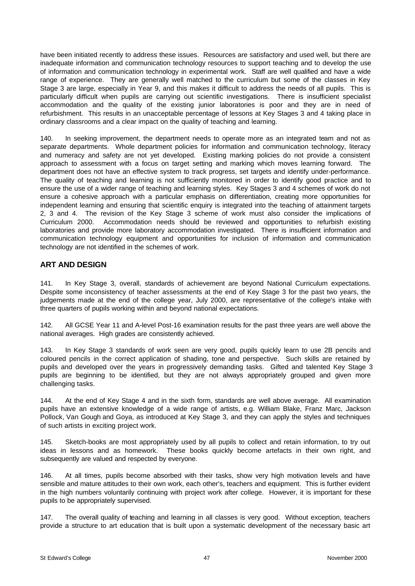have been initiated recently to address these issues. Resources are satisfactory and used well, but there are inadequate information and communication technology resources to support teaching and to develop the use of information and communication technology in experimental work. Staff are well qualified and have a wide range of experience. They are generally well matched to the curriculum but some of the classes in Key Stage 3 are large, especially in Year 9, and this makes it difficult to address the needs of all pupils. This is particularly difficult when pupils are carrying out scientific investigations. There is insufficient specialist accommodation and the quality of the existing junior laboratories is poor and they are in need of refurbishment. This results in an unacceptable percentage of lessons at Key Stages 3 and 4 taking place in ordinary classrooms and a clear impact on the quality of teaching and learning.

140. In seeking improvement, the department needs to operate more as an integrated team and not as separate departments. Whole department policies for information and communication technology, literacy and numeracy and safety are not yet developed. Existing marking policies do not provide a consistent approach to assessment with a focus on target setting and marking which moves learning forward. The department does not have an effective system to track progress, set targets and identify under-performance. The quality of teaching and learning is not sufficiently monitored in order to identify good practice and to ensure the use of a wider range of teaching and learning styles. Key Stages 3 and 4 schemes of work do not ensure a cohesive approach with a particular emphasis on differentiation, creating more opportunities for independent learning and ensuring that scientific enquiry is integrated into the teaching of attainment targets 2, 3 and 4. The revision of the Key Stage 3 scheme of work must also consider the implications of Curriculum 2000. Accommodation needs should be reviewed and opportunities to refurbish existing laboratories and provide more laboratory accommodation investigated. There is insufficient information and communication technology equipment and opportunities for inclusion of information and communication technology are not identified in the schemes of work.

# **ART AND DESIGN**

141. In Key Stage 3, overall, standards of achievement are beyond National Curriculum expectations. Despite some inconsistency of teacher assessments at the end of Key Stage 3 for the past two years, the judgements made at the end of the college year, July 2000, are representative of the college's intake with three quarters of pupils working within and beyond national expectations.

142. All GCSE Year 11 and A-level Post-16 examination results for the past three years are well above the national averages. High grades are consistently achieved.

143. In Key Stage 3 standards of work seen are very good, pupils quickly learn to use 2B pencils and coloured pencils in the correct application of shading, tone and perspective. Such skills are retained by pupils and developed over the years in progressively demanding tasks. Gifted and talented Key Stage 3 pupils are beginning to be identified, but they are not always appropriately grouped and given more challenging tasks.

144. At the end of Key Stage 4 and in the sixth form, standards are well above average. All examination pupils have an extensive knowledge of a wide range of artists, e.g. William Blake, Franz Marc, Jackson Pollock, Van Gough and Goya, as introduced at Key Stage 3, and they can apply the styles and techniques of such artists in exciting project work.

145. Sketch-books are most appropriately used by all pupils to collect and retain information, to try out ideas in lessons and as homework. These books quickly become artefacts in their own right, and subsequently are valued and respected by everyone.

146. At all times, pupils become absorbed with their tasks, show very high motivation levels and have sensible and mature attitudes to their own work, each other's, teachers and equipment. This is further evident in the high numbers voluntarily continuing with project work after college. However, it is important for these pupils to be appropriately supervised.

147. The overall quality of teaching and learning in all classes is very good. Without exception, teachers provide a structure to art education that is built upon a systematic development of the necessary basic art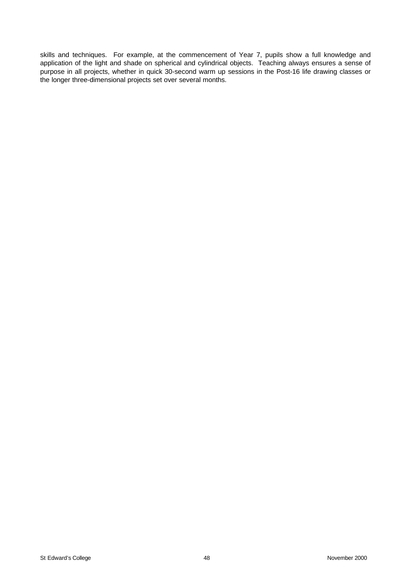skills and techniques. For example, at the commencement of Year 7, pupils show a full knowledge and application of the light and shade on spherical and cylindrical objects. Teaching always ensures a sense of purpose in all projects, whether in quick 30-second warm up sessions in the Post-16 life drawing classes or the longer three-dimensional projects set over several months.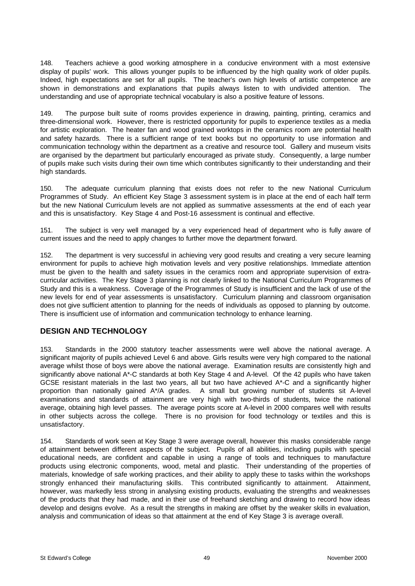148. Teachers achieve a good working atmosphere in a conducive environment with a most extensive display of pupils' work. This allows younger pupils to be influenced by the high quality work of older pupils. Indeed, high expectations are set for all pupils. The teacher's own high levels of artistic competence are shown in demonstrations and explanations that pupils always listen to with undivided attention. The understanding and use of appropriate technical vocabulary is also a positive feature of lessons.

149. The purpose built suite of rooms provides experience in drawing, painting, printing, ceramics and three-dimensional work. However, there is restricted opportunity for pupils to experience textiles as a media for artistic exploration. The heater fan and wood grained worktops in the ceramics room are potential health and safety hazards. There is a sufficient range of text books but no opportunity to use information and communication technology within the department as a creative and resource tool. Gallery and museum visits are organised by the department but particularly encouraged as private study. Consequently, a large number of pupils make such visits during their own time which contributes significantly to their understanding and their high standards.

150. The adequate curriculum planning that exists does not refer to the new National Curriculum Programmes of Study. An efficient Key Stage 3 assessment system is in place at the end of each half term but the new National Curriculum levels are not applied as summative assessments at the end of each year and this is unsatisfactory. Key Stage 4 and Post-16 assessment is continual and effective.

151. The subject is very well managed by a very experienced head of department who is fully aware of current issues and the need to apply changes to further move the department forward.

152. The department is very successful in achieving very good results and creating a very secure learning environment for pupils to achieve high motivation levels and very positive relationships. Immediate attention must be given to the health and safety issues in the ceramics room and appropriate supervision of extracurricular activities. The Key Stage 3 planning is not clearly linked to the National Curriculum Programmes of Study and this is a weakness. Coverage of the Programmes of Study is insufficient and the lack of use of the new levels for end of year assessments is unsatisfactory. Curriculum planning and classroom organisation does not give sufficient attention to planning for the needs of individuals as opposed to planning by outcome. There is insufficient use of information and communication technology to enhance learning.

# **DESIGN AND TECHNOLOGY**

153. Standards in the 2000 statutory teacher assessments were well above the national average. A significant majority of pupils achieved Level 6 and above. Girls results were very high compared to the national average whilst those of boys were above the national average. Examination results are consistently high and significantly above national A\*-C standards at both Key Stage 4 and A-level. Of the 42 pupils who have taken GCSE resistant materials in the last two years, all but two have achieved A\*-C and a significantly higher proportion than nationally gained A\*/A grades. A small but growing number of students sit A-level examinations and standards of attainment are very high with two-thirds of students, twice the national average, obtaining high level passes. The average points score at A-level in 2000 compares well with results in other subjects across the college. There is no provision for food technology or textiles and this is unsatisfactory.

154. Standards of work seen at Key Stage 3 were average overall, however this masks considerable range of attainment between different aspects of the subject. Pupils of all abilities, including pupils with special educational needs, are confident and capable in using a range of tools and techniques to manufacture products using electronic components, wood, metal and plastic. Their understanding of the properties of materials, knowledge of safe working practices, and their ability to apply these to tasks within the workshops strongly enhanced their manufacturing skills. This contributed significantly to attainment. Attainment, however, was markedly less strong in analysing existing products, evaluating the strengths and weaknesses of the products that they had made, and in their use of freehand sketching and drawing to record how ideas develop and designs evolve. As a result the strengths in making are offset by the weaker skills in evaluation, analysis and communication of ideas so that attainment at the end of Key Stage 3 is average overall.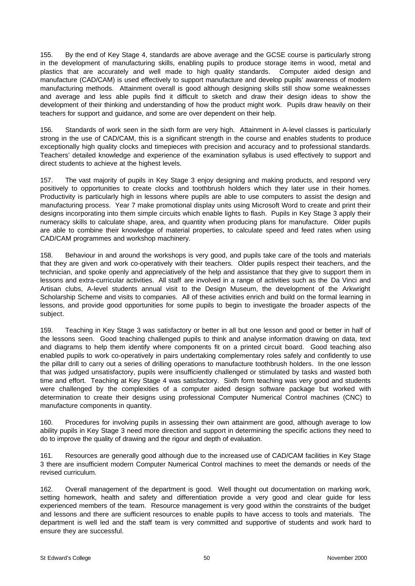155. By the end of Key Stage 4, standards are above average and the GCSE course is particularly strong in the development of manufacturing skills, enabling pupils to produce storage items in wood, metal and plastics that are accurately and well made to high quality standards. Computer aided design and manufacture (CAD/CAM) is used effectively to support manufacture and develop pupils' awareness of modern manufacturing methods. Attainment overall is good although designing skills still show some weaknesses and average and less able pupils find it difficult to sketch and draw their design ideas to show the development of their thinking and understanding of how the product might work. Pupils draw heavily on their teachers for support and guidance, and some are over dependent on their help.

156. Standards of work seen in the sixth form are very high. Attainment in A-level classes is particularly strong in the use of CAD/CAM, this is a significant strength in the course and enables students to produce exceptionally high quality clocks and timepieces with precision and accuracy and to professional standards. Teachers' detailed knowledge and experience of the examination syllabus is used effectively to support and direct students to achieve at the highest levels.

157. The vast majority of pupils in Key Stage 3 enjoy designing and making products, and respond very positively to opportunities to create clocks and toothbrush holders which they later use in their homes. Productivity is particularly high in lessons where pupils are able to use computers to assist the design and manufacturing process. Year 7 make promotional display units using Microsoft Word to create and print their designs incorporating into them simple circuits which enable lights to flash. Pupils in Key Stage 3 apply their numeracy skills to calculate shape, area, and quantity when producing plans for manufacture. Older pupils are able to combine their knowledge of material properties, to calculate speed and feed rates when using CAD/CAM programmes and workshop machinery.

158. Behaviour in and around the workshops is very good, and pupils take care of the tools and materials that they are given and work co-operatively with their teachers. Older pupils respect their teachers, and the technician, and spoke openly and appreciatively of the help and assistance that they give to support them in lessons and extra-curricular activities. All staff are involved in a range of activities such as the Da Vinci and Artisan clubs, A-level students annual visit to the Design Museum, the development of the Arkwright Scholarship Scheme and visits to companies. All of these activities enrich and build on the formal learning in lessons, and provide good opportunities for some pupils to begin to investigate the broader aspects of the subject.

159. Teaching in Key Stage 3 was satisfactory or better in all but one lesson and good or better in half of the lessons seen. Good teaching challenged pupils to think and analyse information drawing on data, text and diagrams to help them identify where components fit on a printed circuit board. Good teaching also enabled pupils to work co-operatively in pairs undertaking complementary roles safely and confidently to use the pillar drill to carry out a series of drilling operations to manufacture toothbrush holders. In the one lesson that was judged unsatisfactory, pupils were insufficiently challenged or stimulated by tasks and wasted both time and effort. Teaching at Key Stage 4 was satisfactory. Sixth form teaching was very good and students were challenged by the complexities of a computer aided design software package but worked with determination to create their designs using professional Computer Numerical Control machines (CNC) to manufacture components in quantity.

160. Procedures for involving pupils in assessing their own attainment are good, although average to low ability pupils in Key Stage 3 need more direction and support in determining the specific actions they need to do to improve the quality of drawing and the rigour and depth of evaluation.

161. Resources are generally good although due to the increased use of CAD/CAM facilities in Key Stage 3 there are insufficient modern Computer Numerical Control machines to meet the demands or needs of the revised curriculum.

162. Overall management of the department is good. Well thought out documentation on marking work, setting homework, health and safety and differentiation provide a very good and clear guide for less experienced members of the team. Resource management is very good within the constraints of the budget and lessons and there are sufficient resources to enable pupils to have access to tools and materials. The department is well led and the staff team is very committed and supportive of students and work hard to ensure they are successful.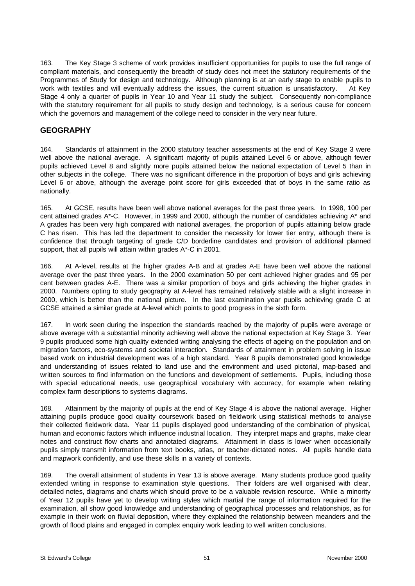163. The Key Stage 3 scheme of work provides insufficient opportunities for pupils to use the full range of compliant materials, and consequently the breadth of study does not meet the statutory requirements of the Programmes of Study for design and technology. Although planning is at an early stage to enable pupils to work with textiles and will eventually address the issues, the current situation is unsatisfactory. At Key Stage 4 only a quarter of pupils in Year 10 and Year 11 study the subject. Consequently non-compliance with the statutory requirement for all pupils to study design and technology, is a serious cause for concern which the governors and management of the college need to consider in the very near future.

## **GEOGRAPHY**

164. Standards of attainment in the 2000 statutory teacher assessments at the end of Key Stage 3 were well above the national average. A significant majority of pupils attained Level 6 or above, although fewer pupils achieved Level 8 and slightly more pupils attained below the national expectation of Level 5 than in other subjects in the college. There was no significant difference in the proportion of boys and girls achieving Level 6 or above, although the average point score for girls exceeded that of boys in the same ratio as nationally.

165. At GCSE, results have been well above national averages for the past three years. In 1998, 100 per cent attained grades A\*-C. However, in 1999 and 2000, although the number of candidates achieving A\* and A grades has been very high compared with national averages, the proportion of pupils attaining below grade C has risen. This has led the department to consider the necessity for lower tier entry, although there is confidence that through targeting of grade C/D borderline candidates and provision of additional planned support, that all pupils will attain within grades A\*-C in 2001.

166. At A-level, results at the higher grades A-B and at grades A-E have been well above the national average over the past three years. In the 2000 examination 50 per cent achieved higher grades and 95 per cent between grades A-E. There was a similar proportion of boys and girls achieving the higher grades in 2000. Numbers opting to study geography at A-level has remained relatively stable with a slight increase in 2000, which is better than the national picture. In the last examination year pupils achieving grade C at GCSE attained a similar grade at A-level which points to good progress in the sixth form.

167. In work seen during the inspection the standards reached by the majority of pupils were average or above average with a substantial minority achieving well above the national expectation at Key Stage 3. Year 9 pupils produced some high quality extended writing analysing the effects of ageing on the population and on migration factors, eco-systems and societal interaction. Standards of attainment in problem solving in issue based work on industrial development was of a high standard. Year 8 pupils demonstrated good knowledge and understanding of issues related to land use and the environment and used pictorial, map-based and written sources to find information on the functions and development of settlements. Pupils, including those with special educational needs, use geographical vocabulary with accuracy, for example when relating complex farm descriptions to systems diagrams.

168. Attainment by the majority of pupils at the end of Key Stage 4 is above the national average. Higher attaining pupils produce good quality coursework based on fieldwork using statistical methods to analyse their collected fieldwork data. Year 11 pupils displayed good understanding of the combination of physical, human and economic factors which influence industrial location. They interpret maps and graphs, make clear notes and construct flow charts and annotated diagrams. Attainment in class is lower when occasionally pupils simply transmit information from text books, atlas, or teacher-dictated notes. All pupils handle data and mapwork confidently, and use these skills in a variety of contexts.

169. The overall attainment of students in Year 13 is above average. Many students produce good quality extended writing in response to examination style questions. Their folders are well organised with clear, detailed notes, diagrams and charts which should prove to be a valuable revision resource. While a minority of Year 12 pupils have yet to develop writing styles which martial the range of information required for the examination, all show good knowledge and understanding of geographical processes and relationships, as for example in their work on fluvial deposition, where they explained the relationship between meanders and the growth of flood plains and engaged in complex enquiry work leading to well written conclusions.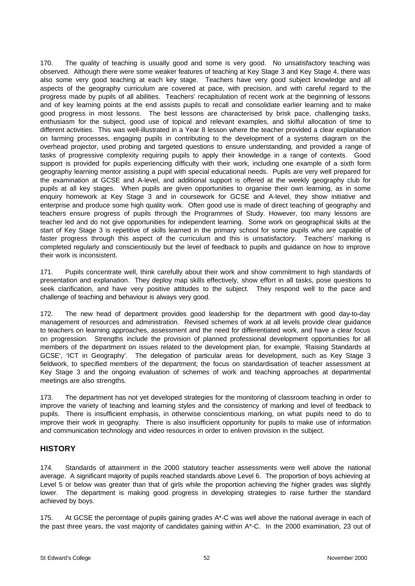170. The quality of teaching is usually good and some is very good. No unsatisfactory teaching was observed. Although there were some weaker features of teaching at Key Stage 3 and Key Stage 4, there was also some very good teaching at each key stage. Teachers have very good subject knowledge and all aspects of the geography curriculum are covered at pace, with precision, and with careful regard to the progress made by pupils of all abilities. Teachers' recapitulation of recent work at the beginning of lessons and of key learning points at the end assists pupils to recall and consolidate earlier learning and to make good progress in most lessons. The best lessons are characterised by brisk pace, challenging tasks, enthusiasm for the subject, good use of topical and relevant examples, and skilful allocation of time to different activities. This was well-illustrated in a Year 8 lesson where the teacher provided a clear explanation on farming processes, engaging pupils in contributing to the development of a systems diagram on the overhead projector, used probing and targeted questions to ensure understanding, and provided a range of tasks of progressive complexity requiring pupils to apply their knowledge in a range of contexts. Good support is provided for pupils experiencing difficulty with their work, including one example of a sixth form geography learning mentor assisting a pupil with special educational needs. Pupils are very well prepared for the examination at GCSE and A-level, and additional support is offered at the weekly geography club for pupils at all key stages. When pupils are given opportunities to organise their own learning, as in some enquiry homework at Key Stage 3 and in coursework for GCSE and A-level, they show initiative and enterprise and produce some high quality work. Often good use is made of direct teaching of geography and teachers ensure progress of pupils through the Programmes of Study. However, too many lessons are teacher led and do not give opportunities for independent learning. Some work on geographical skills at the start of Key Stage 3 is repetitive of skills learned in the primary school for some pupils who are capable of faster progress through this aspect of the curriculum and this is unsatisfactory. Teachers' marking is completed regularly and conscientiously but the level of feedback to pupils and guidance on how to improve their work is inconsistent.

171. Pupils concentrate well, think carefully about their work and show commitment to high standards of presentation and explanation. They deploy map skills effectively, show effort in all tasks, pose questions to seek clarification, and have very positive attitudes to the subject. They respond well to the pace and challenge of teaching and behaviour is always very good.

172. The new head of department provides good leadership for the department with good day-to-day management of resources and administration. Revised schemes of work at all levels provide clear guidance to teachers on learning approaches, assessment and the need for differentiated work, and have a clear focus on progression. Strengths include the provision of planned professional development opportunities for all members of the department on issues related to the development plan, for example, 'Raising Standards at GCSE', 'ICT in Geography'. The delegation of particular areas for development, such as Key Stage 3 fieldwork, to specified members of the department; the focus on standardisation of teacher assessment at Key Stage 3 and the ongoing evaluation of schemes of work and teaching approaches at departmental meetings are also strengths.

173. The department has not yet developed strategies for the monitoring of classroom teaching in order to improve the variety of teaching and learning styles and the consistency of marking and level of feedback to pupils. There is insufficient emphasis, in otherwise conscientious marking, on what pupils need to do to improve their work in geography. There is also insufficient opportunity for pupils to make use of information and communication technology and video resources in order to enliven provision in the subject.

### **HISTORY**

174. Standards of attainment in the 2000 statutory teacher assessments were well above the national average. A significant majority of pupils reached standards above Level 6. The proportion of boys achieving at Level 5 or below was greater than that of girls while the proportion achieving the higher grades was slightly lower. The department is making good progress in developing strategies to raise further the standard achieved by boys.

175. At GCSE the percentage of pupils gaining grades A\*-C was well above the national average in each of the past three years, the vast majority of candidates gaining within A\*-C. In the 2000 examination, 23 out of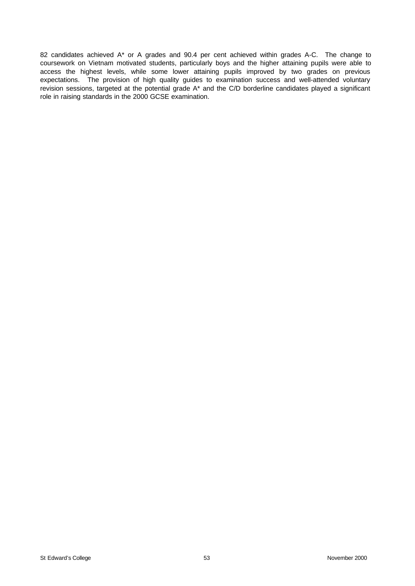82 candidates achieved A\* or A grades and 90.4 per cent achieved within grades A-C. The change to coursework on Vietnam motivated students, particularly boys and the higher attaining pupils were able to access the highest levels, while some lower attaining pupils improved by two grades on previous expectations. The provision of high quality guides to examination success and well-attended voluntary revision sessions, targeted at the potential grade A\* and the C/D borderline candidates played a significant role in raising standards in the 2000 GCSE examination.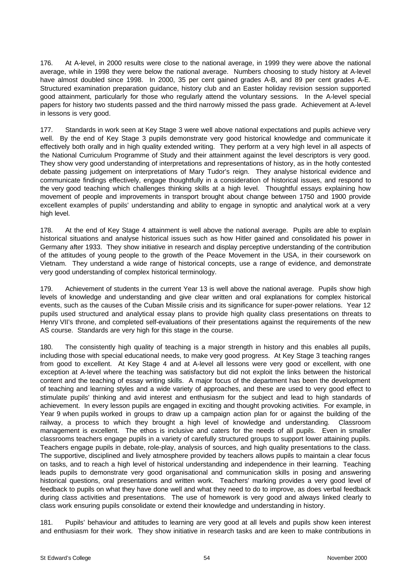176. At A-level, in 2000 results were close to the national average, in 1999 they were above the national average, while in 1998 they were below the national average. Numbers choosing to study history at A-level have almost doubled since 1998. In 2000, 35 per cent gained grades A-B, and 89 per cent grades A-E. Structured examination preparation guidance, history club and an Easter holiday revision session supported good attainment, particularly for those who regularly attend the voluntary sessions. In the A-level special papers for history two students passed and the third narrowly missed the pass grade. Achievement at A-level in lessons is very good.

177. Standards in work seen at Key Stage 3 were well above national expectations and pupils achieve very well. By the end of Key Stage 3 pupils demonstrate very good historical knowledge and communicate it effectively both orally and in high quality extended writing. They perform at a very high level in all aspects of the National Curriculum Programme of Study and their attainment against the level descriptors is very good. They show very good understanding of interpretations and representations of history, as in the hotly contested debate passing judgement on interpretations of Mary Tudor's reign. They analyse historical evidence and communicate findings effectively, engage thoughtfully in a consideration of historical issues, and respond to the very good teaching which challenges thinking skills at a high level. Thoughtful essays explaining how movement of people and improvements in transport brought about change between 1750 and 1900 provide excellent examples of pupils' understanding and ability to engage in synoptic and analytical work at a very high level.

178. At the end of Key Stage 4 attainment is well above the national average. Pupils are able to explain historical situations and analyse historical issues such as how Hitler gained and consolidated his power in Germany after 1933. They show initiative in research and display perceptive understanding of the contribution of the attitudes of young people to the growth of the Peace Movement in the USA, in their coursework on Vietnam. They understand a wide range of historical concepts, use a range of evidence, and demonstrate very good understanding of complex historical terminology.

179. Achievement of students in the current Year 13 is well above the national average. Pupils show high levels of knowledge and understanding and give clear written and oral explanations for complex historical events, such as the causes of the Cuban Missile crisis and its significance for super-power relations. Year 12 pupils used structured and analytical essay plans to provide high quality class presentations on threats to Henry VII's throne, and completed self-evaluations of their presentations against the requirements of the new AS course. Standards are very high for this stage in the course.

180. The consistently high quality of teaching is a major strength in history and this enables all pupils, including those with special educational needs, to make very good progress. At Key Stage 3 teaching ranges from good to excellent. At Key Stage 4 and at A-level all lessons were very good or excellent, with one exception at A-level where the teaching was satisfactory but did not exploit the links between the historical content and the teaching of essay writing skills. A major focus of the department has been the development of teaching and learning styles and a wide variety of approaches, and these are used to very good effect to stimulate pupils' thinking and avid interest and enthusiasm for the subject and lead to high standards of achievement. In every lesson pupils are engaged in exciting and thought provoking activities. For example, in Year 9 when pupils worked in groups to draw up a campaign action plan for or against the building of the railway, a process to which they brought a high level of knowledge and understanding. Classroom management is excellent. The ethos is inclusive and caters for the needs of all pupils. Even in smaller classrooms teachers engage pupils in a variety of carefully structured groups to support lower attaining pupils. Teachers engage pupils in debate, role-play, analysis of sources, and high quality presentations to the class. The supportive, disciplined and lively atmosphere provided by teachers allows pupils to maintain a clear focus on tasks, and to reach a high level of historical understanding and independence in their learning. Teaching leads pupils to demonstrate very good organisational and communication skills in posing and answering historical questions, oral presentations and written work. Teachers' marking provides a very good level of feedback to pupils on what they have done well and what they need to do to improve, as does verbal feedback during class activities and presentations. The use of homework is very good and always linked clearly to class work ensuring pupils consolidate or extend their knowledge and understanding in history.

181. Pupils' behaviour and attitudes to learning are very good at all levels and pupils show keen interest and enthusiasm for their work. They show initiative in research tasks and are keen to make contributions in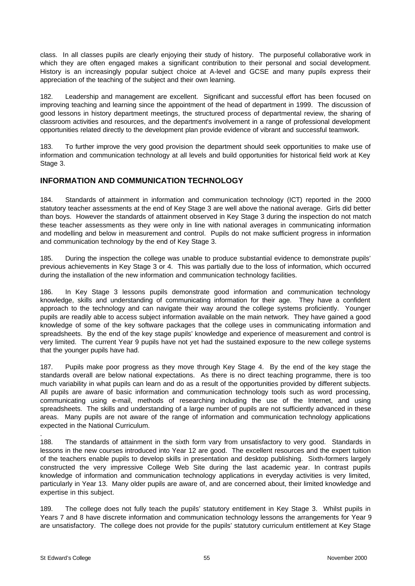class. In all classes pupils are clearly enjoying their study of history. The purposeful collaborative work in which they are often engaged makes a significant contribution to their personal and social development. History is an increasingly popular subject choice at A-level and GCSE and many pupils express their appreciation of the teaching of the subject and their own learning.

182. Leadership and management are excellent. Significant and successful effort has been focused on improving teaching and learning since the appointment of the head of department in 1999. The discussion of good lessons in history department meetings, the structured process of departmental review, the sharing of classroom activities and resources, and the department's involvement in a range of professional development opportunities related directly to the development plan provide evidence of vibrant and successful teamwork.

183. To further improve the very good provision the department should seek opportunities to make use of information and communication technology at all levels and build opportunities for historical field work at Key Stage 3.

# **INFORMATION AND COMMUNICATION TECHNOLOGY**

184. Standards of attainment in information and communication technology (ICT) reported in the 2000 statutory teacher assessments at the end of Key Stage 3 are well above the national average. Girls did better than boys. However the standards of attainment observed in Key Stage 3 during the inspection do not match these teacher assessments as they were only in line with national averages in communicating information and modelling and below in measurement and control. Pupils do not make sufficient progress in information and communication technology by the end of Key Stage 3.

185. During the inspection the college was unable to produce substantial evidence to demonstrate pupils' previous achievements in Key Stage 3 or 4. This was partially due to the loss of information, which occurred during the installation of the new information and communication technology facilities.

186. In Key Stage 3 lessons pupils demonstrate good information and communication technology knowledge, skills and understanding of communicating information for their age. They have a confident approach to the technology and can navigate their way around the college systems proficiently. Younger pupils are readily able to access subject information available on the main network. They have gained a good knowledge of some of the key software packages that the college uses in communicating information and spreadsheets. By the end of the key stage pupils' knowledge and experience of measurement and control is very limited. The current Year 9 pupils have not yet had the sustained exposure to the new college systems that the younger pupils have had.

187. Pupils make poor progress as they move through Key Stage 4. By the end of the key stage the standards overall are below national expectations. As there is no direct teaching programme, there is too much variability in what pupils can learn and do as a result of the opportunities provided by different subjects. All pupils are aware of basic information and communication technology tools such as word processing, communicating using e-mail, methods of researching including the use of the Internet, and using spreadsheets. The skills and understanding of a large number of pupils are not sufficiently advanced in these areas. Many pupils are not aware of the range of information and communication technology applications expected in the National Curriculum.

188. The standards of attainment in the sixth form vary from unsatisfactory to very good. Standards in lessons in the new courses introduced into Year 12 are good. The excellent resources and the expert tuition of the teachers enable pupils to develop skills in presentation and desktop publishing. Sixth-formers largely constructed the very impressive College Web Site during the last academic year. In contrast pupils knowledge of information and communication technology applications in everyday activities is very limited, particularly in Year 13. Many older pupils are aware of, and are concerned about, their limited knowledge and expertise in this subject.

189. The college does not fully teach the pupils' statutory entitlement in Key Stage 3. Whilst pupils in Years 7 and 8 have discrete information and communication technology lessons the arrangements for Year 9 are unsatisfactory. The college does not provide for the pupils' statutory curriculum entitlement at Key Stage

.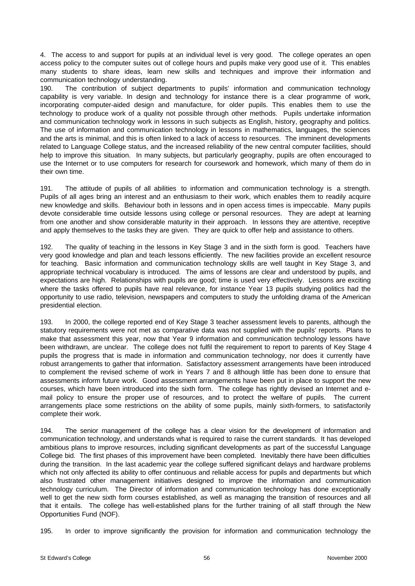4. The access to and support for pupils at an individual level is very good. The college operates an open access policy to the computer suites out of college hours and pupils make very good use of it. This enables many students to share ideas, learn new skills and techniques and improve their information and communication technology understanding.

190. The contribution of subject departments to pupils' information and communication technology capability is very variable. In design and technology for instance there is a clear programme of work, incorporating computer-aided design and manufacture, for older pupils. This enables them to use the technology to produce work of a quality not possible through other methods. Pupils undertake information and communication technology work in lessons in such subjects as English, history, geography and politics. The use of information and communication technology in lessons in mathematics, languages, the sciences and the arts is minimal, and this is often linked to a lack of access to resources. The imminent developments related to Language College status, and the increased reliability of the new central computer facilities, should help to improve this situation. In many subjects, but particularly geography, pupils are often encouraged to use the Internet or to use computers for research for coursework and homework, which many of them do in their own time.

191. The attitude of pupils of all abilities to information and communication technology is a strength. Pupils of all ages bring an interest and an enthusiasm to their work, which enables them to readily acquire new knowledge and skills. Behaviour both in lessons and in open access times is impeccable. Many pupils devote considerable time outside lessons using college or personal resources. They are adept at learning from one another and show considerable maturity in their approach. In lessons they are attentive, receptive and apply themselves to the tasks they are given. They are quick to offer help and assistance to others.

192. The quality of teaching in the lessons in Key Stage 3 and in the sixth form is good. Teachers have very good knowledge and plan and teach lessons efficiently. The new facilities provide an excellent resource for teaching. Basic information and communication technology skills are well taught in Key Stage 3, and appropriate technical vocabulary is introduced. The aims of lessons are clear and understood by pupils, and expectations are high. Relationships with pupils are good; time is used very effectively. Lessons are exciting where the tasks offered to pupils have real relevance, for instance Year 13 pupils studying politics had the opportunity to use radio, television, newspapers and computers to study the unfolding drama of the American presidential election.

193. In 2000, the college reported end of Key Stage 3 teacher assessment levels to parents, although the statutory requirements were not met as comparative data was not supplied with the pupils' reports. Plans to make that assessment this year, now that Year 9 information and communication technology lessons have been withdrawn, are unclear. The college does not fulfil the requirement to report to parents of Key Stage 4 pupils the progress that is made in information and communication technology, nor does it currently have robust arrangements to gather that information. Satisfactory assessment arrangements have been introduced to complement the revised scheme of work in Years 7 and 8 although little has been done to ensure that assessments inform future work. Good assessment arrangements have been put in place to support the new courses, which have been introduced into the sixth form. The college has rightly devised an Internet and email policy to ensure the proper use of resources, and to protect the welfare of pupils. The current arrangements place some restrictions on the ability of some pupils, mainly sixth-formers, to satisfactorily complete their work.

194. The senior management of the college has a clear vision for the development of information and communication technology, and understands what is required to raise the current standards. It has developed ambitious plans to improve resources, including significant developments as part of the successful Language College bid. The first phases of this improvement have been completed. Inevitably there have been difficulties during the transition. In the last academic year the college suffered significant delays and hardware problems which not only affected its ability to offer continuous and reliable access for pupils and departments but which also frustrated other management initiatives designed to improve the information and communication technology curriculum. The Director of information and communication technology has done exceptionally well to get the new sixth form courses established, as well as managing the transition of resources and all that it entails. The college has well-established plans for the further training of all staff through the New Opportunities Fund (NOF).

195. In order to improve significantly the provision for information and communication technology the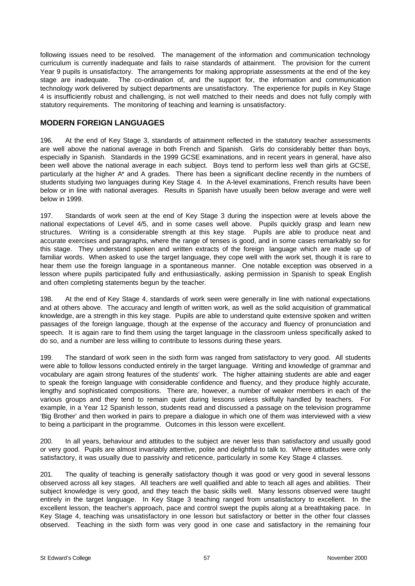following issues need to be resolved. The management of the information and communication technology curriculum is currently inadequate and fails to raise standards of attainment. The provision for the current Year 9 pupils is unsatisfactory. The arrangements for making appropriate assessments at the end of the key stage are inadequate. The co-ordination of, and the support for, the information and communication technology work delivered by subject departments are unsatisfactory. The experience for pupils in Key Stage 4 is insufficiently robust and challenging, is not well matched to their needs and does not fully comply with statutory requirements. The monitoring of teaching and learning is unsatisfactory.

## **MODERN FOREIGN LANGUAGES**

196. At the end of Key Stage 3, standards of attainment reflected in the statutory teacher assessments are well above the national average in both French and Spanish. Girls do considerably better than boys, especially in Spanish. Standards in the 1999 GCSE examinations, and in recent years in general, have also been well above the national average in each subject. Boys tend to perform less well than girls at GCSE, particularly at the higher A\* and A grades. There has been a significant decline recently in the numbers of students studying two languages during Key Stage 4. In the A-level examinations, French results have been below or in line with national averages. Results in Spanish have usually been below average and were well below in 1999.

197. Standards of work seen at the end of Key Stage 3 during the inspection were at levels above the national expectations of Level 4/5, and in some cases well above. Pupils quickly grasp and learn new structures. Writing is a considerable strength at this key stage. Pupils are able to produce neat and accurate exercises and paragraphs, where the range of tenses is good, and in some cases remarkably so for this stage. They understand spoken and written extracts of the foreign language which are made up of familiar words. When asked to use the target language, they cope well with the work set, though it is rare to hear them use the foreign language in a spontaneous manner. One notable exception was observed in a lesson where pupils participated fully and enthusiastically, asking permission in Spanish to speak English and often completing statements begun by the teacher.

198. At the end of Key Stage 4, standards of work seen were generally in line with national expectations and at others above. The accuracy and length of written work, as well as the solid acquisition of grammatical knowledge, are a strength in this key stage. Pupils are able to understand quite extensive spoken and written passages of the foreign language, though at the expense of the accuracy and fluency of pronunciation and speech. It is again rare to find them using the target language in the classroom unless specifically asked to do so, and a number are less willing to contribute to lessons during these years.

199. The standard of work seen in the sixth form was ranged from satisfactory to very good. All students were able to follow lessons conducted entirely in the target language. Writing and knowledge of grammar and vocabulary are again strong features of the students' work. The higher attaining students are able and eager to speak the foreign language with considerable confidence and fluency, and they produce highly accurate, lengthy and sophisticated compositions. There are, however, a number of weaker members in each of the various groups and they tend to remain quiet during lessons unless skilfully handled by teachers. For example, in a Year 12 Spanish lesson, students read and discussed a passage on the television programme 'Big Brother' and then worked in pairs to prepare a dialogue in which one of them was interviewed with a view to being a participant in the programme. Outcomes in this lesson were excellent.

200. In all years, behaviour and attitudes to the subject are never less than satisfactory and usually good or very good. Pupils are almost invariably attentive, polite and delightful to talk to. Where attitudes were only satisfactory, it was usually due to passivity and reticence, particularly in some Key Stage 4 classes.

201. The quality of teaching is generally satisfactory though it was good or very good in several lessons observed across all key stages. All teachers are well qualified and able to teach all ages and abilities. Their subject knowledge is very good, and they teach the basic skills well. Many lessons observed were taught entirely in the target language. In Key Stage 3 teaching ranged from unsatisfactory to excellent. In the excellent lesson, the teacher's approach, pace and control swept the pupils along at a breathtaking pace. In Key Stage 4, teaching was unsatisfactory in one lesson but satisfactory or better in the other four classes observed. Teaching in the sixth form was very good in one case and satisfactory in the remaining four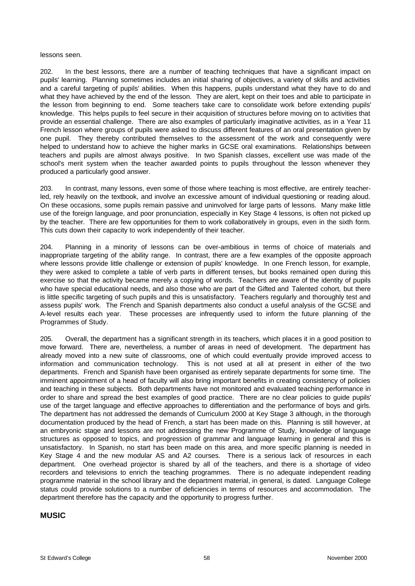#### lessons seen.

202. In the best lessons, there are a number of teaching techniques that have a significant impact on pupils' learning. Planning sometimes includes an initial sharing of objectives, a variety of skills and activities and a careful targeting of pupils' abilities. When this happens, pupils understand what they have to do and what they have achieved by the end of the lesson. They are alert, kept on their toes and able to participate in the lesson from beginning to end. Some teachers take care to consolidate work before extending pupils' knowledge. This helps pupils to feel secure in their acquisition of structures before moving on to activities that provide an essential challenge. There are also examples of particularly imaginative activities, as in a Year 11 French lesson where groups of pupils were asked to discuss different features of an oral presentation given by one pupil. They thereby contributed themselves to the assessment of the work and consequently were helped to understand how to achieve the higher marks in GCSE oral examinations. Relationships between teachers and pupils are almost always positive. In two Spanish classes, excellent use was made of the school's merit system when the teacher awarded points to pupils throughout the lesson whenever they produced a particularly good answer.

203. In contrast, many lessons, even some of those where teaching is most effective, are entirely teacherled, rely heavily on the textbook, and involve an excessive amount of individual questioning or reading aloud. On these occasions, some pupils remain passive and uninvolved for large parts of lessons. Many make little use of the foreign language, and poor pronunciation, especially in Key Stage 4 lessons, is often not picked up by the teacher. There are few opportunities for them to work collaboratively in groups, even in the sixth form. This cuts down their capacity to work independently of their teacher.

204. Planning in a minority of lessons can be over-ambitious in terms of choice of materials and inappropriate targeting of the ability range. In contrast, there are a few examples of the opposite approach where lessons provide little challenge or extension of pupils' knowledge. In one French lesson, for example, they were asked to complete a table of verb parts in different tenses, but books remained open during this exercise so that the activity became merely a copying of words. Teachers are aware of the identity of pupils who have special educational needs, and also those who are part of the Gifted and Talented cohort, but there is little specific targeting of such pupils and this is unsatisfactory. Teachers regularly and thoroughly test and assess pupils' work. The French and Spanish departments also conduct a useful analysis of the GCSE and A-level results each year. These processes are infrequently used to inform the future planning of the Programmes of Study.

205. Overall, the department has a significant strength in its teachers, which places it in a good position to move forward. There are, nevertheless, a number of areas in need of development. The department has already moved into a new suite of classrooms, one of which could eventually provide improved access to information and communication technology. This is not used at all at present in either of the two departments. French and Spanish have been organised as entirely separate departments for some time. The imminent appointment of a head of faculty will also bring important benefits in creating consistency of policies and teaching in these subjects. Both departments have not monitored and evaluated teaching performance in order to share and spread the best examples of good practice. There are no clear policies to guide pupils' use of the target language and effective approaches to differentiation and the performance of boys and girls. The department has not addressed the demands of Curriculum 2000 at Key Stage 3 although, in the thorough documentation produced by the head of French, a start has been made on this. Planning is still however, at an embryonic stage and lessons are not addressing the new Programme of Study, knowledge of language structures as opposed to topics, and progression of grammar and language learning in general and this is unsatisfactory. In Spanish, no start has been made on this area, and more specific planning is needed in Key Stage 4 and the new modular AS and A2 courses. There is a serious lack of resources in each department. One overhead projector is shared by all of the teachers, and there is a shortage of video recorders and televisions to enrich the teaching programmes. There is no adequate independent reading programme material in the school library and the department material, in general, is dated. Language College status could provide solutions to a number of deficiencies in terms of resources and accommodation. The department therefore has the capacity and the opportunity to progress further.

#### **MUSIC**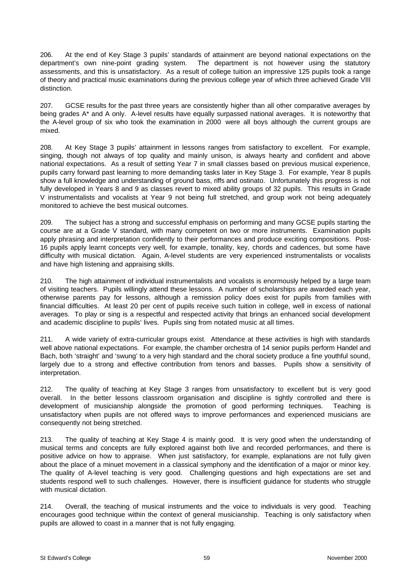206. At the end of Key Stage 3 pupils' standards of attainment are beyond national expectations on the department's own nine-point grading system. The department is not however using the statutory assessments, and this is unsatisfactory. As a result of college tuition an impressive 125 pupils took a range of theory and practical music examinations during the previous college year of which three achieved Grade VIII distinction.

207. GCSE results for the past three years are consistently higher than all other comparative averages by being grades A\* and A only. A-level results have equally surpassed national averages. It is noteworthy that the A-level group of six who took the examination in 2000 were all boys although the current groups are mixed.

208. At Key Stage 3 pupils' attainment in lessons ranges from satisfactory to excellent. For example, singing, though not always of top quality and mainly unison, is always hearty and confident and above national expectations. As a result of setting Year 7 in small classes based on previous musical experience, pupils carry forward past learning to more demanding tasks later in Key Stage 3. For example, Year 8 pupils show a full knowledge and understanding of ground bass, riffs and ostinato. Unfortunately this progress is not fully developed in Years 8 and 9 as classes revert to mixed ability groups of 32 pupils. This results in Grade V instrumentalists and vocalists at Year 9 not being full stretched, and group work not being adequately monitored to achieve the best musical outcomes.

209. The subject has a strong and successful emphasis on performing and many GCSE pupils starting the course are at a Grade V standard, with many competent on two or more instruments. Examination pupils apply phrasing and interpretation confidently to their performances and produce exciting compositions. Post-16 pupils apply learnt concepts very well, for example, tonality, key, chords and cadences, but some have difficulty with musical dictation. Again, A-level students are very experienced instrumentalists or vocalists and have high listening and appraising skills.

210. The high attainment of individual instrumentalists and vocalists is enormously helped by a large team of visiting teachers. Pupils willingly attend these lessons. A number of scholarships are awarded each year, otherwise parents pay for lessons, although a remission policy does exist for pupils from families with financial difficulties. At least 20 per cent of pupils receive such tuition in college, well in excess of national averages. To play or sing is a respectful and respected activity that brings an enhanced social development and academic discipline to pupils' lives. Pupils sing from notated music at all times.

211. A wide variety of extra-curricular groups exist. Attendance at these activities is high with standards well above national expectations. For example, the chamber orchestra of 14 senior pupils perform Handel and Bach, both 'straight' and 'swung' to a very high standard and the choral society produce a fine youthful sound, largely due to a strong and effective contribution from tenors and basses. Pupils show a sensitivity of interpretation.

212. The quality of teaching at Key Stage 3 ranges from unsatisfactory to excellent but is very good overall. In the better lessons classroom organisation and discipline is tightly controlled and there is development of musicianship alongside the promotion of good performing techniques. Teaching is unsatisfactory when pupils are not offered ways to improve performances and experienced musicians are consequently not being stretched.

213. The quality of teaching at Key Stage 4 is mainly good. It is very good when the understanding of musical terms and concepts are fully explored against both live and recorded performances, and there is positive advice on how to appraise. When just satisfactory, for example, explanations are not fully given about the place of a minuet movement in a classical symphony and the identification of a major or minor key. The quality of A-level teaching is very good. Challenging questions and high expectations are set and students respond well to such challenges. However, there is insufficient guidance for students who struggle with musical dictation.

214. Overall, the teaching of musical instruments and the voice to individuals is very good. Teaching encourages good technique within the context of general musicianship. Teaching is only satisfactory when pupils are allowed to coast in a manner that is not fully engaging.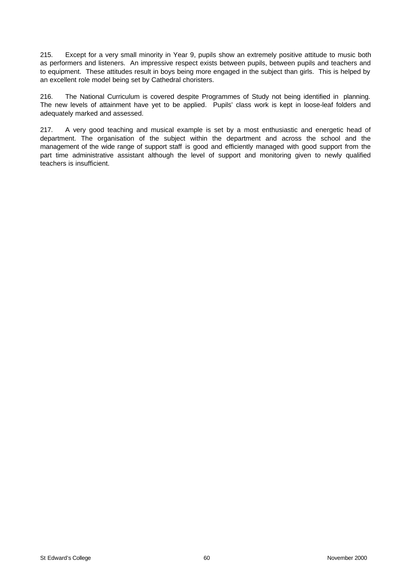215. Except for a very small minority in Year 9, pupils show an extremely positive attitude to music both as performers and listeners. An impressive respect exists between pupils, between pupils and teachers and to equipment. These attitudes result in boys being more engaged in the subject than girls. This is helped by an excellent role model being set by Cathedral choristers.

216. The National Curriculum is covered despite Programmes of Study not being identified in planning. The new levels of attainment have yet to be applied. Pupils' class work is kept in loose-leaf folders and adequately marked and assessed.

217. A very good teaching and musical example is set by a most enthusiastic and energetic head of department. The organisation of the subject within the department and across the school and the management of the wide range of support staff is good and efficiently managed with good support from the part time administrative assistant although the level of support and monitoring given to newly qualified teachers is insufficient.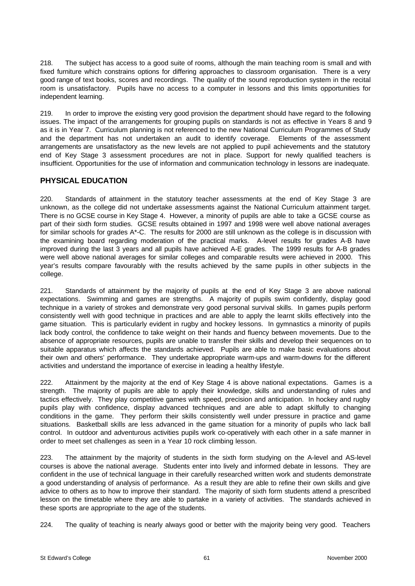218. The subject has access to a good suite of rooms, although the main teaching room is small and with fixed furniture which constrains options for differing approaches to classroom organisation. There is a very good range of text books, scores and recordings. The quality of the sound reproduction system in the recital room is unsatisfactory. Pupils have no access to a computer in lessons and this limits opportunities for independent learning.

219. In order to improve the existing very good provision the department should have regard to the following issues. The impact of the arrangements for grouping pupils on standards is not as effective in Years 8 and 9 as it is in Year 7. Curriculum planning is not referenced to the new National Curriculum Programmes of Study and the department has not undertaken an audit to identify coverage. Elements of the assessment arrangements are unsatisfactory as the new levels are not applied to pupil achievements and the statutory end of Key Stage 3 assessment procedures are not in place. Support for newly qualified teachers is insufficient. Opportunities for the use of information and communication technology in lessons are inadequate.

# **PHYSICAL EDUCATION**

220. Standards of attainment in the statutory teacher assessments at the end of Key Stage 3 are unknown, as the college did not undertake assessments against the National Curriculum attainment target. There is no GCSE course in Key Stage 4. However, a minority of pupils are able to take a GCSE course as part of their sixth form studies. GCSE results obtained in 1997 and 1998 were well above national averages for similar schools for grades A\*-C. The results for 2000 are still unknown as the college is in discussion with the examining board regarding moderation of the practical marks. A-level results for grades A-B have improved during the last 3 years and all pupils have achieved A-E grades. The 1999 results for A-B grades were well above national averages for similar colleges and comparable results were achieved in 2000. This year's results compare favourably with the results achieved by the same pupils in other subjects in the college.

221. Standards of attainment by the majority of pupils at the end of Key Stage 3 are above national expectations. Swimming and games are strengths. A majority of pupils swim confidently, display good technique in a variety of strokes and demonstrate very good personal survival skills. In games pupils perform consistently well with good technique in practices and are able to apply the learnt skills effectively into the game situation. This is particularly evident in rugby and hockey lessons. In gymnastics a minority of pupils lack body control, the confidence to take weight on their hands and fluency between movements. Due to the absence of appropriate resources, pupils are unable to transfer their skills and develop their sequences on to suitable apparatus which affects the standards achieved. Pupils are able to make basic evaluations about their own and others' performance. They undertake appropriate warm-ups and warm-downs for the different activities and understand the importance of exercise in leading a healthy lifestyle.

222. Attainment by the majority at the end of Key Stage 4 is above national expectations. Games is a strength. The majority of pupils are able to apply their knowledge, skills and understanding of rules and tactics effectively. They play competitive games with speed, precision and anticipation. In hockey and rugby pupils play with confidence, display advanced techniques and are able to adapt skilfully to changing conditions in the game. They perform their skills consistently well under pressure in practice and game situations. Basketball skills are less advanced in the game situation for a minority of pupils who lack ball control. In outdoor and adventurous activities pupils work co-operatively with each other in a safe manner in order to meet set challenges as seen in a Year 10 rock climbing lesson.

223. The attainment by the majority of students in the sixth form studying on the A-level and AS-level courses is above the national average. Students enter into lively and informed debate in lessons. They are confident in the use of technical language in their carefully researched written work and students demonstrate a good understanding of analysis of performance. As a result they are able to refine their own skills and give advice to others as to how to improve their standard. The majority of sixth form students attend a prescribed lesson on the timetable where they are able to partake in a variety of activities. The standards achieved in these sports are appropriate to the age of the students.

224. The quality of teaching is nearly always good or better with the majority being very good. Teachers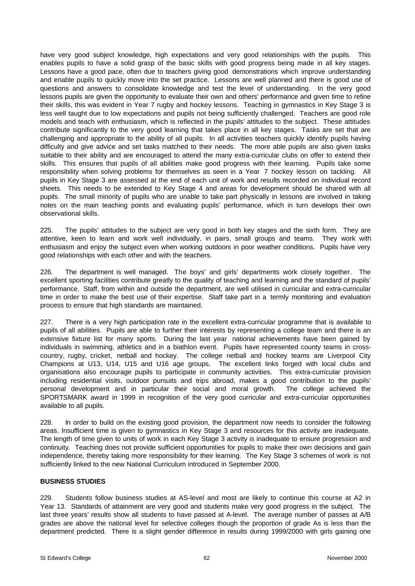have very good subject knowledge, high expectations and very good relationships with the pupils. This enables pupils to have a solid grasp of the basic skills with good progress being made in all key stages. Lessons have a good pace, often due to teachers giving good demonstrations which improve understanding and enable pupils to quickly move into the set practice. Lessons are well planned and there is good use of questions and answers to consolidate knowledge and test the level of understanding. In the very good lessons pupils are given the opportunity to evaluate their own and others' performance and given time to refine their skills, this was evident in Year 7 rugby and hockey lessons. Teaching in gymnastics in Key Stage 3 is less well taught due to low expectations and pupils not being sufficiently challenged. Teachers are good role models and teach with enthusiasm, which is reflected in the pupils' attitudes to the subject. These attitudes contribute significantly to the very good learning that takes place in all key stages. Tasks are set that are challenging and appropriate to the ability of all pupils. In all activities teachers quickly identify pupils having difficulty and give advice and set tasks matched to their needs. The more able pupils are also given tasks suitable to their ability and are encouraged to attend the many extra-curricular clubs on offer to extend their skills. This ensures that pupils of all abilities make good progress with their learning. Pupils take some responsibility when solving problems for themselves as seen in a Year 7 hockey lesson on tackling. All pupils in Key Stage 3 are assessed at the end of each unit of work and results recorded on individual record sheets. This needs to be extended to Key Stage 4 and areas for development should be shared with all pupils. The small minority of pupils who are unable to take part physically in lessons are involved in taking notes on the main teaching points and evaluating pupils' performance, which in turn develops their own observational skills.

225. The pupils' attitudes to the subject are very good in both key stages and the sixth form. They are attentive, keen to learn and work well individually, in pairs, small groups and teams. They work with enthusiasm and enjoy the subject even when working outdoors in poor weather conditions. Pupils have very good relationships with each other and with the teachers.

226. The department is well managed. The boys' and girls' departments work closely together. The excellent sporting facilities contribute greatly to the quality of teaching and learning and the standard of pupils' performance. Staff, from within and outside the department, are well utilised in curricular and extra-curricular time in order to make the best use of their expertise. Staff take part in a termly monitoring and evaluation process to ensure that high standards are maintained.

227. There is a very high participation rate in the excellent extra-curricular programme that is available to pupils of all abilities. Pupils are able to further their interests by representing a college team and there is an extensive fixture list for many sports. During the last year national achievements have been gained by individuals in swimming, athletics and in a biathlon event. Pupils have represented county teams in crosscountry, rugby, cricket, netball and hockey. The college netball and hockey teams are Liverpool City Champions at U13, U14, U15 and U16 age groups. The excellent links forged with local clubs and organisations also encourage pupils to participate in community activities. This extra-curricular provision including residential visits, outdoor pursuits and trips abroad, makes a good contribution to the pupils' personal development and in particular their social and moral growth. The college achieved the SPORTSMARK award in 1999 in recognition of the very good curricular and extra-curricular opportunities available to all pupils.

228. In order to build on the existing good provision, the department now needs to consider the following areas. Insufficient time is given to gymnastics in Key Stage 3 and resources for this activity are inadequate. The length of time given to units of work in each Key Stage 3 activity is inadequate to ensure progression and continuity. Teaching does not provide sufficient opportunities for pupils to make their own decisions and gain independence, thereby taking more responsibility for their learning. The Key Stage 3 schemes of work is not sufficiently linked to the new National Curriculum introduced in September 2000.

#### **BUSINESS STUDIES**

229. Students follow business studies at AS-level and most are likely to continue this course at A2 in Year 13. Standards of attainment are very good and students make very good progress in the subject. The last three years' results show all students to have passed at A-level. The average number of passes at A/B grades are above the national level for selective colleges though the proportion of grade As is less than the department predicted. There is a slight gender difference in results during 1999/2000 with girls gaining one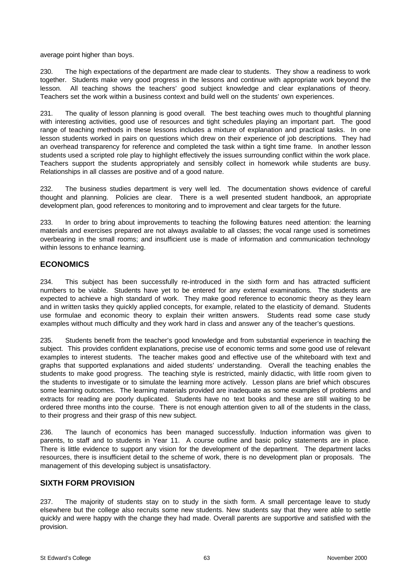average point higher than boys.

230. The high expectations of the department are made clear to students. They show a readiness to work together. Students make very good progress in the lessons and continue with appropriate work beyond the lesson. All teaching shows the teachers' good subject knowledge and clear explanations of theory. Teachers set the work within a business context and build well on the students' own experiences.

231. The quality of lesson planning is good overall. The best teaching owes much to thoughtful planning with interesting activities, good use of resources and tight schedules playing an important part. The good range of teaching methods in these lessons includes a mixture of explanation and practical tasks. In one lesson students worked in pairs on questions which drew on their experience of job descriptions. They had an overhead transparency for reference and completed the task within a tight time frame. In another lesson students used a scripted role play to highlight effectively the issues surrounding conflict within the work place. Teachers support the students appropriately and sensibly collect in homework while students are busy. Relationships in all classes are positive and of a good nature.

232. The business studies department is very well led. The documentation shows evidence of careful thought and planning. Policies are clear. There is a well presented student handbook, an appropriate development plan, good references to monitoring and to improvement and clear targets for the future.

233. In order to bring about improvements to teaching the following features need attention: the learning materials and exercises prepared are not always available to all classes; the vocal range used is sometimes overbearing in the small rooms; and insufficient use is made of information and communication technology within lessons to enhance learning.

# **ECONOMICS**

234. This subject has been successfully re-introduced in the sixth form and has attracted sufficient numbers to be viable. Students have yet to be entered for any external examinations. The students are expected to achieve a high standard of work. They make good reference to economic theory as they learn and in written tasks they quickly applied concepts, for example, related to the elasticity of demand. Students use formulae and economic theory to explain their written answers. Students read some case study examples without much difficulty and they work hard in class and answer any of the teacher's questions.

235. Students benefit from the teacher's good knowledge and from substantial experience in teaching the subject. This provides confident explanations, precise use of economic terms and some good use of relevant examples to interest students. The teacher makes good and effective use of the whiteboard with text and graphs that supported explanations and aided students' understanding. Overall the teaching enables the students to make good progress. The teaching style is restricted, mainly didactic, with little room given to the students to investigate or to simulate the learning more actively. Lesson plans are brief which obscures some learning outcomes. The learning materials provided are inadequate as some examples of problems and extracts for reading are poorly duplicated. Students have no text books and these are still waiting to be ordered three months into the course. There is not enough attention given to all of the students in the class, to their progress and their grasp of this new subject.

236. The launch of economics has been managed successfully. Induction information was given to parents, to staff and to students in Year 11. A course outline and basic policy statements are in place. There is little evidence to support any vision for the development of the department. The department lacks resources, there is insufficient detail to the scheme of work, there is no development plan or proposals. The management of this developing subject is unsatisfactory.

# **SIXTH FORM PROVISION**

237. The majority of students stay on to study in the sixth form. A small percentage leave to study elsewhere but the college also recruits some new students. New students say that they were able to settle quickly and were happy with the change they had made. Overall parents are supportive and satisfied with the provision.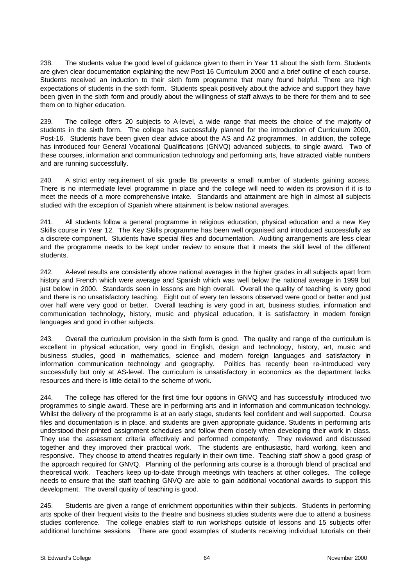238. The students value the good level of guidance given to them in Year 11 about the sixth form. Students are given clear documentation explaining the new Post-16 Curriculum 2000 and a brief outline of each course. Students received an induction to their sixth form programme that many found helpful. There are high expectations of students in the sixth form. Students speak positively about the advice and support they have been given in the sixth form and proudly about the willingness of staff always to be there for them and to see them on to higher education.

239. The college offers 20 subjects to A-level, a wide range that meets the choice of the majority of students in the sixth form. The college has successfully planned for the introduction of Curriculum 2000, Post-16. Students have been given clear advice about the AS and A2 programmes. In addition, the college has introduced four General Vocational Qualifications (GNVQ) advanced subjects, to single award. Two of these courses, information and communication technology and performing arts, have attracted viable numbers and are running successfully.

240. A strict entry requirement of six grade Bs prevents a small number of students gaining access. There is no intermediate level programme in place and the college will need to widen its provision if it is to meet the needs of a more comprehensive intake. Standards and attainment are high in almost all subjects studied with the exception of Spanish where attainment is below national averages.

241. All students follow a general programme in religious education, physical education and a new Key Skills course in Year 12. The Key Skills programme has been well organised and introduced successfully as a discrete component. Students have special files and documentation. Auditing arrangements are less clear and the programme needs to be kept under review to ensure that it meets the skill level of the different students.

242. A-level results are consistently above national averages in the higher grades in all subjects apart from history and French which were average and Spanish which was well below the national average in 1999 but just below in 2000. Standards seen in lessons are high overall. Overall the quality of teaching is very good and there is no unsatisfactory teaching. Eight out of every ten lessons observed were good or better and just over half were very good or better. Overall teaching is very good in art, business studies, information and communication technology, history, music and physical education, it is satisfactory in modern foreign languages and good in other subjects.

243. Overall the curriculum provision in the sixth form is good. The quality and range of the curriculum is excellent in physical education, very good in English, design and technology, history, art, music and business studies, good in mathematics, science and modern foreign languages and satisfactory in information communication technology and geography. Politics has recently been re-introduced very successfully but only at AS-level. The curriculum is unsatisfactory in economics as the department lacks resources and there is little detail to the scheme of work.

244. The college has offered for the first time four options in GNVQ and has successfully introduced two programmes to single award. These are in performing arts and in information and communication technology. Whilst the delivery of the programme is at an early stage, students feel confident and well supported. Course files and documentation is in place, and students are given appropriate guidance. Students in performing arts understood their printed assignment schedules and follow them closely when developing their work in class. They use the assessment criteria effectively and performed competently. They reviewed and discussed together and they improved their practical work. The students are enthusiastic, hard working, keen and responsive. They choose to attend theatres regularly in their own time. Teaching staff show a good grasp of the approach required for GNVQ. Planning of the performing arts course is a thorough blend of practical and theoretical work. Teachers keep up-to-date through meetings with teachers at other colleges. The college needs to ensure that the staff teaching GNVQ are able to gain additional vocational awards to support this development. The overall quality of teaching is good.

245. Students are given a range of enrichment opportunities within their subjects. Students in performing arts spoke of their frequent visits to the theatre and business studies students were due to attend a business studies conference. The college enables staff to run workshops outside of lessons and 15 subjects offer additional lunchtime sessions. There are good examples of students receiving individual tutorials on their